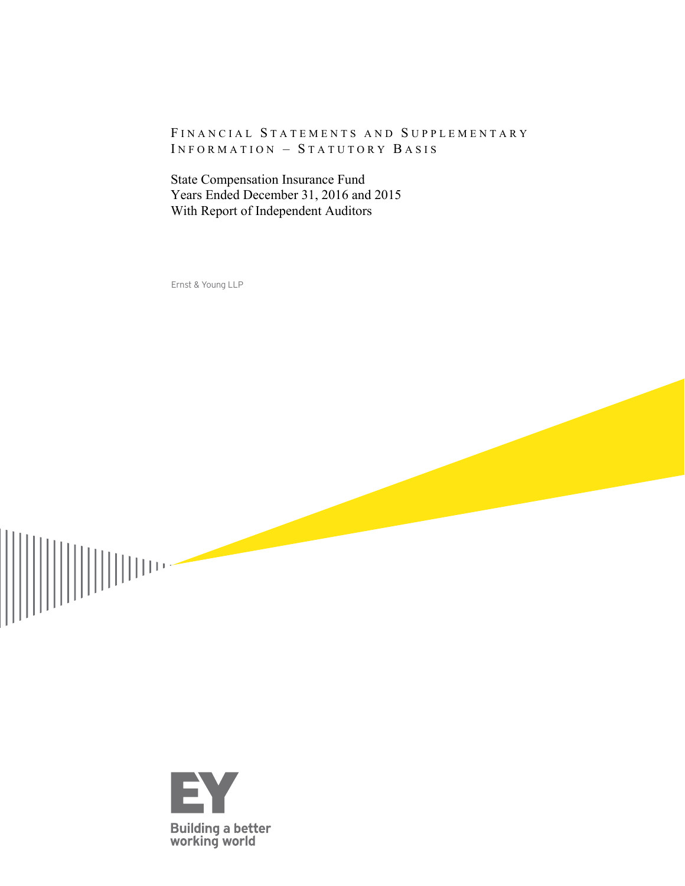#### FINANCIAL STATEMENTS AND SUPPLEMENTARY I NFORMATION – S TATUTORY B ASIS

State Compensation Insurance Fund Years Ended December 31, 2016 and 2015 With Report of Independent Auditors

Ernst & Young LLP



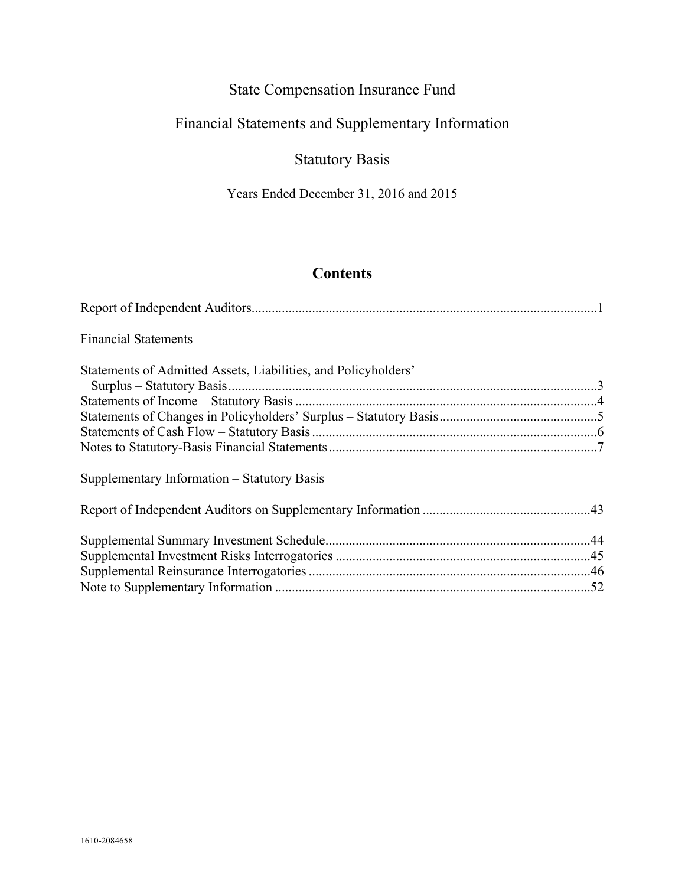# Financial Statements and Supplementary Information

# Statutory Basis

# Years Ended December 31, 2016 and 2015

# **Contents**

| <b>Financial Statements</b>                                    |  |
|----------------------------------------------------------------|--|
| Statements of Admitted Assets, Liabilities, and Policyholders' |  |
|                                                                |  |
|                                                                |  |
|                                                                |  |
|                                                                |  |
| Supplementary Information – Statutory Basis                    |  |
|                                                                |  |
|                                                                |  |
|                                                                |  |
|                                                                |  |
|                                                                |  |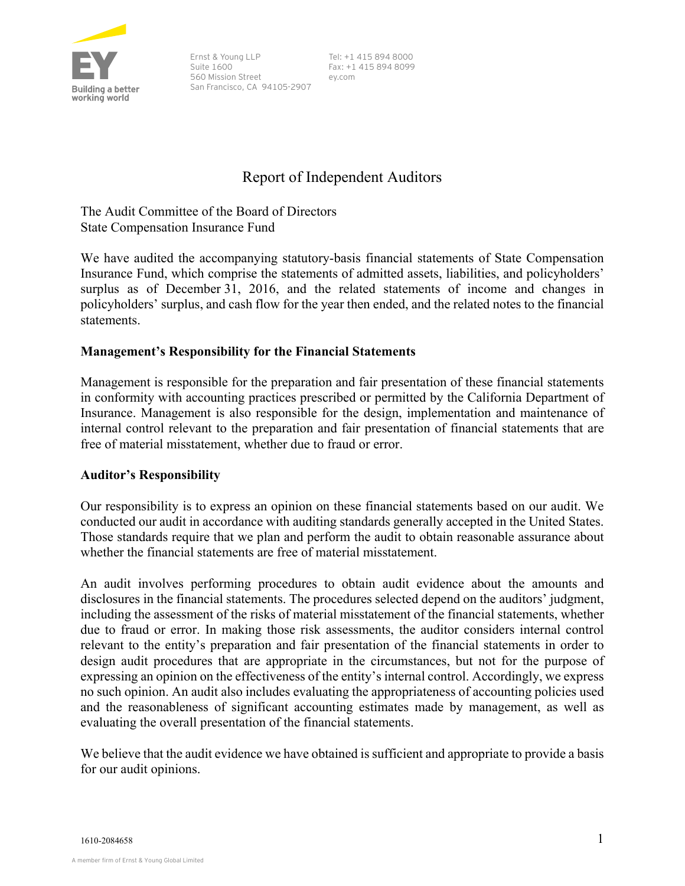

Ernst & Young LLP Suite 1600 560 Mission Street San Francisco, CA 94105-2907

Tel: +1 415 894 8000 Fax: +1 415 894 8099 ey.com

# Report of Independent Auditors

The Audit Committee of the Board of Directors State Compensation Insurance Fund

We have audited the accompanying statutory-basis financial statements of State Compensation Insurance Fund, which comprise the statements of admitted assets, liabilities, and policyholders' surplus as of December 31, 2016, and the related statements of income and changes in policyholders' surplus, and cash flow for the year then ended, and the related notes to the financial statements.

#### **Management's Responsibility for the Financial Statements**

Management is responsible for the preparation and fair presentation of these financial statements in conformity with accounting practices prescribed or permitted by the California Department of Insurance. Management is also responsible for the design, implementation and maintenance of internal control relevant to the preparation and fair presentation of financial statements that are free of material misstatement, whether due to fraud or error.

#### **Auditor's Responsibility**

Our responsibility is to express an opinion on these financial statements based on our audit. We conducted our audit in accordance with auditing standards generally accepted in the United States. Those standards require that we plan and perform the audit to obtain reasonable assurance about whether the financial statements are free of material misstatement.

An audit involves performing procedures to obtain audit evidence about the amounts and disclosures in the financial statements. The procedures selected depend on the auditors' judgment, including the assessment of the risks of material misstatement of the financial statements, whether due to fraud or error. In making those risk assessments, the auditor considers internal control relevant to the entity's preparation and fair presentation of the financial statements in order to design audit procedures that are appropriate in the circumstances, but not for the purpose of expressing an opinion on the effectiveness of the entity's internal control. Accordingly, we express no such opinion. An audit also includes evaluating the appropriateness of accounting policies used and the reasonableness of significant accounting estimates made by management, as well as evaluating the overall presentation of the financial statements.

We believe that the audit evidence we have obtained is sufficient and appropriate to provide a basis for our audit opinions.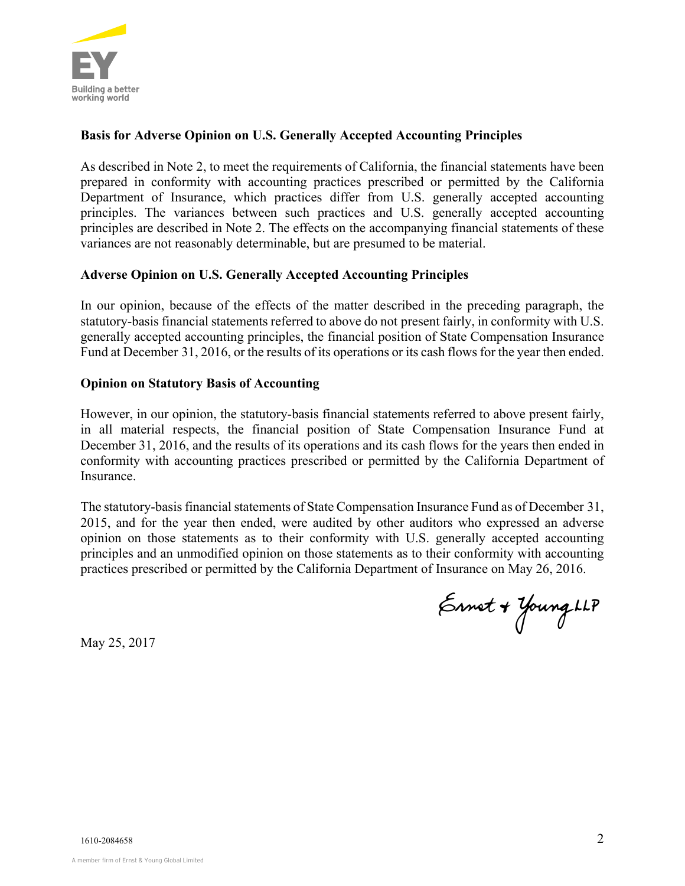

## **Basis for Adverse Opinion on U.S. Generally Accepted Accounting Principles**

As described in Note 2, to meet the requirements of California, the financial statements have been prepared in conformity with accounting practices prescribed or permitted by the California Department of Insurance, which practices differ from U.S. generally accepted accounting principles. The variances between such practices and U.S. generally accepted accounting principles are described in Note 2. The effects on the accompanying financial statements of these variances are not reasonably determinable, but are presumed to be material.

#### **Adverse Opinion on U.S. Generally Accepted Accounting Principles**

In our opinion, because of the effects of the matter described in the preceding paragraph, the statutory-basis financial statements referred to above do not present fairly, in conformity with U.S. generally accepted accounting principles, the financial position of State Compensation Insurance Fund at December 31, 2016, or the results of its operations or its cash flows for the year then ended.

#### **Opinion on Statutory Basis of Accounting**

However, in our opinion, the statutory-basis financial statements referred to above present fairly, in all material respects, the financial position of State Compensation Insurance Fund at December 31, 2016, and the results of its operations and its cash flows for the years then ended in conformity with accounting practices prescribed or permitted by the California Department of Insurance.

The statutory-basis financial statements of State Compensation Insurance Fund as of December 31, 2015, and for the year then ended, were audited by other auditors who expressed an adverse opinion on those statements as to their conformity with U.S. generally accepted accounting principles and an unmodified opinion on those statements as to their conformity with accounting practices prescribed or permitted by the California Department of Insurance on May 26, 2016.

Ernet + Young LLP

May 25, 2017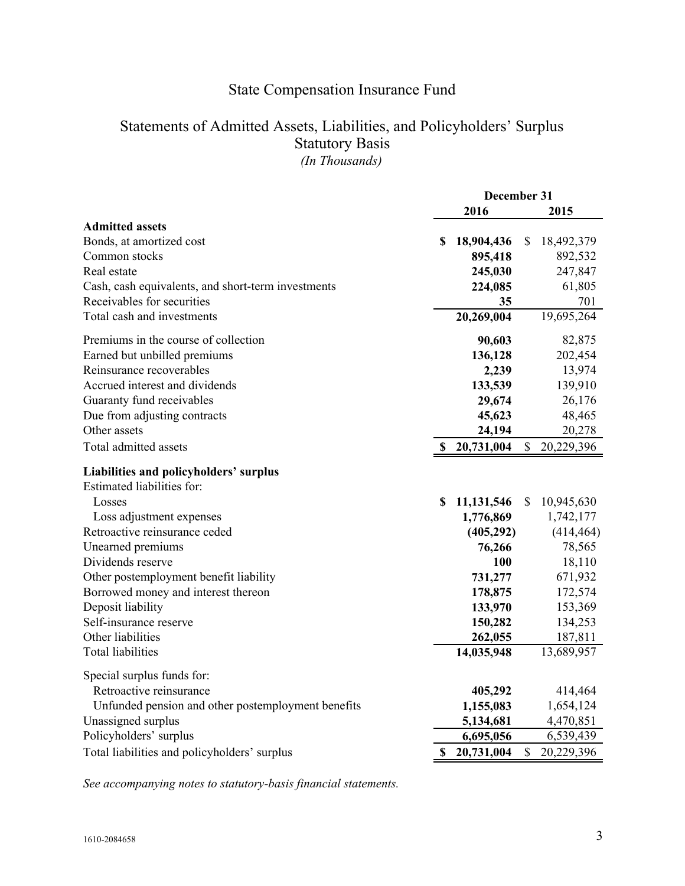# Statements of Admitted Assets, Liabilities, and Policyholders' Surplus Statutory Basis

*(In Thousands)*

|                                                    | December 31 |            |    |            |  |  |
|----------------------------------------------------|-------------|------------|----|------------|--|--|
|                                                    |             | 2016       |    | 2015       |  |  |
| <b>Admitted assets</b>                             |             |            |    |            |  |  |
| Bonds, at amortized cost                           | S           | 18,904,436 | S  | 18,492,379 |  |  |
| Common stocks                                      |             | 895,418    |    | 892,532    |  |  |
| Real estate                                        |             | 245,030    |    | 247,847    |  |  |
| Cash, cash equivalents, and short-term investments |             | 224,085    |    | 61,805     |  |  |
| Receivables for securities                         |             | 35         |    | 701        |  |  |
| Total cash and investments                         |             | 20,269,004 |    | 19,695,264 |  |  |
| Premiums in the course of collection               |             | 90,603     |    | 82,875     |  |  |
| Earned but unbilled premiums                       |             | 136,128    |    | 202,454    |  |  |
| Reinsurance recoverables                           |             | 2,239      |    | 13,974     |  |  |
| Accrued interest and dividends                     |             | 133,539    |    | 139,910    |  |  |
| Guaranty fund receivables                          |             | 29,674     |    | 26,176     |  |  |
| Due from adjusting contracts                       |             | 45,623     |    | 48,465     |  |  |
| Other assets                                       |             | 24,194     |    | 20,278     |  |  |
| Total admitted assets                              | \$          | 20,731,004 | \$ | 20,229,396 |  |  |
| Liabilities and policyholders' surplus             |             |            |    |            |  |  |
| Estimated liabilities for:                         |             |            |    |            |  |  |
| Losses                                             | \$          | 11,131,546 | \$ | 10,945,630 |  |  |
| Loss adjustment expenses                           |             | 1,776,869  |    | 1,742,177  |  |  |
| Retroactive reinsurance ceded                      |             | (405, 292) |    | (414, 464) |  |  |
| Unearned premiums                                  |             | 76,266     |    | 78,565     |  |  |
| Dividends reserve                                  |             | 100        |    | 18,110     |  |  |
| Other postemployment benefit liability             |             | 731,277    |    | 671,932    |  |  |
| Borrowed money and interest thereon                |             | 178,875    |    | 172,574    |  |  |
| Deposit liability                                  |             | 133,970    |    | 153,369    |  |  |
| Self-insurance reserve                             |             | 150,282    |    | 134,253    |  |  |
| Other liabilities                                  |             | 262,055    |    | 187,811    |  |  |
| <b>Total liabilities</b>                           |             | 14,035,948 |    | 13,689,957 |  |  |
| Special surplus funds for:                         |             |            |    |            |  |  |
| Retroactive reinsurance                            |             | 405,292    |    | 414,464    |  |  |
| Unfunded pension and other postemployment benefits |             | 1,155,083  |    | 1,654,124  |  |  |
| Unassigned surplus                                 |             | 5,134,681  |    | 4,470,851  |  |  |
| Policyholders' surplus                             |             | 6,695,056  |    | 6,539,439  |  |  |
| Total liabilities and policyholders' surplus       | S           | 20,731,004 | \$ | 20,229,396 |  |  |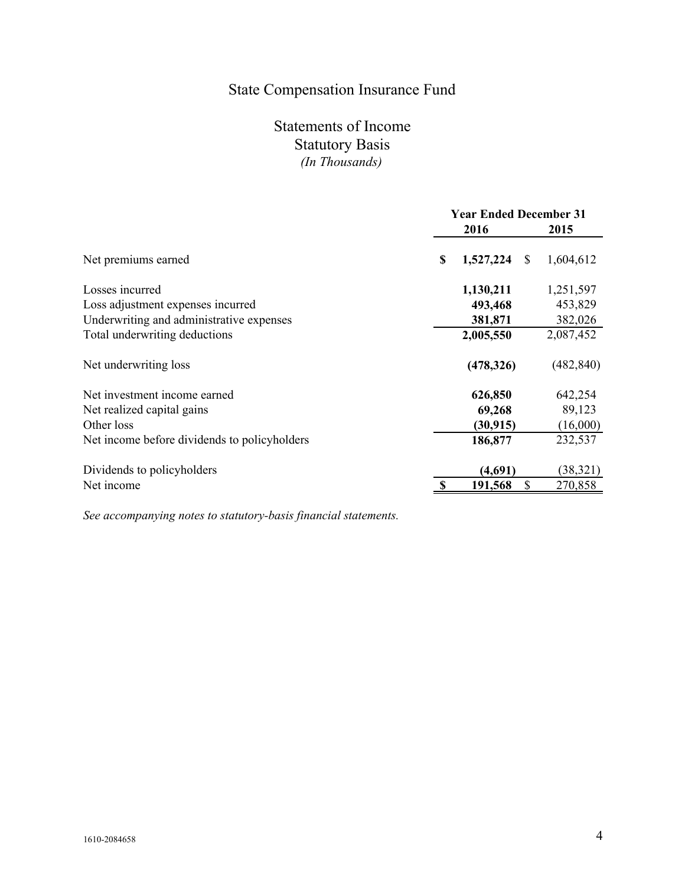# Statements of Income *(In Thousands)* Statutory Basis

|                                              |    | <b>Year Ended December 31</b> |            |
|----------------------------------------------|----|-------------------------------|------------|
|                                              |    | 2016                          | 2015       |
| Net premiums earned                          | \$ | 1,527,224<br><sup>\$</sup>    | 1,604,612  |
| Losses incurred                              |    | 1,130,211                     | 1,251,597  |
| Loss adjustment expenses incurred            |    | 493,468                       | 453,829    |
| Underwriting and administrative expenses     |    | 381,871                       | 382,026    |
| Total underwriting deductions                |    | 2,005,550                     | 2,087,452  |
| Net underwriting loss                        |    | (478, 326)                    | (482, 840) |
| Net investment income earned                 |    | 626,850                       | 642,254    |
| Net realized capital gains                   |    | 69,268                        | 89,123     |
| Other loss                                   |    | (30, 915)                     | (16,000)   |
| Net income before dividends to policyholders |    | 186,877                       | 232,537    |
| Dividends to policyholders                   |    | (4,691)                       | (38, 321)  |
| Net income                                   |    | 191,568<br>\$                 | 270,858    |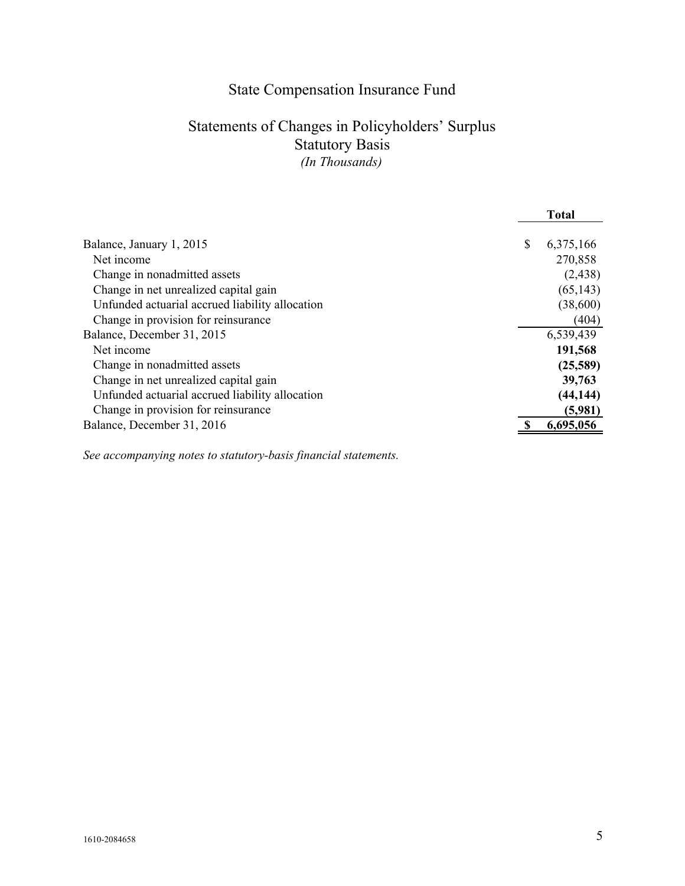# Statements of Changes in Policyholders' Surplus *(In Thousands)* Statutory Basis

|                                                 | <b>Total</b>    |
|-------------------------------------------------|-----------------|
| Balance, January 1, 2015                        | \$<br>6,375,166 |
| Net income                                      | 270,858         |
| Change in nonadmitted assets                    | (2, 438)        |
| Change in net unrealized capital gain           | (65, 143)       |
| Unfunded actuarial accrued liability allocation | (38,600)        |
| Change in provision for reinsurance             | (404)           |
| Balance, December 31, 2015                      | 6,539,439       |
| Net income                                      | 191,568         |
| Change in nonadmitted assets                    | (25,589)        |
| Change in net unrealized capital gain           | 39,763          |
| Unfunded actuarial accrued liability allocation | (44, 144)       |
| Change in provision for reinsurance             | (5,981)         |
| Balance, December 31, 2016                      | 6,695,056       |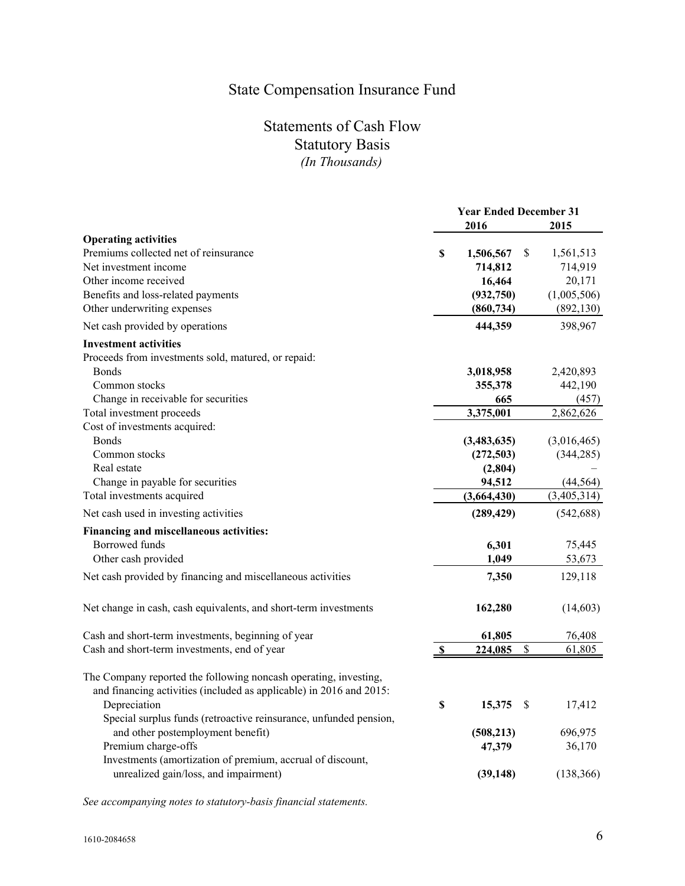# Statements of Cash Flow *(In Thousands)* Statutory Basis

|                                                                                                                                         |             | <b>Year Ended December 31</b> |             |  |  |  |
|-----------------------------------------------------------------------------------------------------------------------------------------|-------------|-------------------------------|-------------|--|--|--|
|                                                                                                                                         |             | 2016                          | 2015        |  |  |  |
| <b>Operating activities</b>                                                                                                             |             |                               |             |  |  |  |
| Premiums collected net of reinsurance                                                                                                   | \$          | \$<br>1,506,567               | 1,561,513   |  |  |  |
| Net investment income                                                                                                                   |             | 714,812                       | 714,919     |  |  |  |
| Other income received                                                                                                                   |             | 16,464                        | 20,171      |  |  |  |
| Benefits and loss-related payments                                                                                                      |             | (932,750)                     | (1,005,506) |  |  |  |
| Other underwriting expenses                                                                                                             |             | (860, 734)                    | (892, 130)  |  |  |  |
| Net cash provided by operations                                                                                                         |             | 444,359                       | 398,967     |  |  |  |
| <b>Investment activities</b>                                                                                                            |             |                               |             |  |  |  |
| Proceeds from investments sold, matured, or repaid:                                                                                     |             |                               |             |  |  |  |
| <b>Bonds</b>                                                                                                                            |             | 3,018,958                     | 2,420,893   |  |  |  |
| Common stocks                                                                                                                           |             | 355,378                       | 442,190     |  |  |  |
| Change in receivable for securities                                                                                                     |             | 665                           | (457)       |  |  |  |
| Total investment proceeds                                                                                                               |             | 3,375,001                     | 2,862,626   |  |  |  |
| Cost of investments acquired:                                                                                                           |             |                               |             |  |  |  |
| <b>Bonds</b>                                                                                                                            |             | (3,483,635)                   | (3,016,465) |  |  |  |
| Common stocks                                                                                                                           |             | (272,503)                     | (344, 285)  |  |  |  |
| Real estate                                                                                                                             |             | (2,804)                       |             |  |  |  |
| Change in payable for securities                                                                                                        |             | 94,512                        | (44, 564)   |  |  |  |
| Total investments acquired                                                                                                              |             | (3,664,430)                   | (3,405,314) |  |  |  |
| Net cash used in investing activities                                                                                                   |             | (289, 429)                    | (542, 688)  |  |  |  |
| Financing and miscellaneous activities:                                                                                                 |             |                               |             |  |  |  |
| Borrowed funds                                                                                                                          |             | 6,301                         | 75,445      |  |  |  |
| Other cash provided                                                                                                                     |             | 1,049                         | 53,673      |  |  |  |
| Net cash provided by financing and miscellaneous activities                                                                             |             | 7,350                         | 129,118     |  |  |  |
|                                                                                                                                         |             |                               |             |  |  |  |
| Net change in cash, cash equivalents, and short-term investments                                                                        |             | 162,280                       | (14, 603)   |  |  |  |
| Cash and short-term investments, beginning of year                                                                                      |             | 61,805                        | 76,408      |  |  |  |
| Cash and short-term investments, end of year                                                                                            | $\mathbb S$ | 224,085<br>$\mathsf{\$}$      | 61,805      |  |  |  |
| The Company reported the following noncash operating, investing,<br>and financing activities (included as applicable) in 2016 and 2015: |             |                               |             |  |  |  |
| Depreciation                                                                                                                            | \$          | 15,375<br>\$                  | 17,412      |  |  |  |
| Special surplus funds (retroactive reinsurance, unfunded pension,                                                                       |             |                               |             |  |  |  |
| and other postemployment benefit)                                                                                                       |             | (508, 213)                    | 696,975     |  |  |  |
| Premium charge-offs                                                                                                                     |             | 47,379                        | 36,170      |  |  |  |
| Investments (amortization of premium, accrual of discount,                                                                              |             |                               |             |  |  |  |
| unrealized gain/loss, and impairment)                                                                                                   |             | (39, 148)                     | (138, 366)  |  |  |  |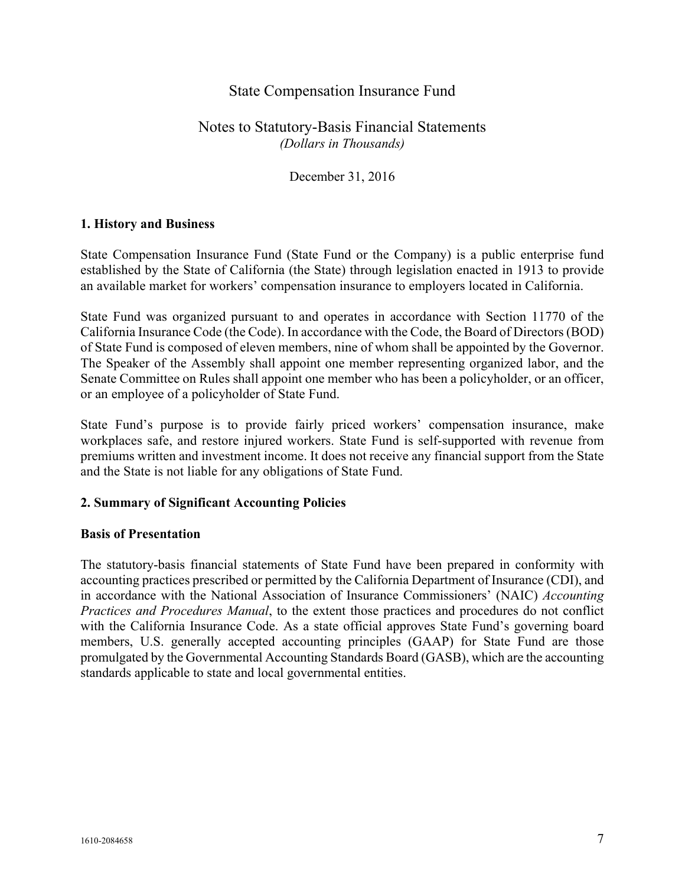# Notes to Statutory-Basis Financial Statements *(Dollars in Thousands)*

#### December 31, 2016

#### **1. History and Business**

State Compensation Insurance Fund (State Fund or the Company) is a public enterprise fund established by the State of California (the State) through legislation enacted in 1913 to provide an available market for workers' compensation insurance to employers located in California.

State Fund was organized pursuant to and operates in accordance with Section 11770 of the California Insurance Code (the Code). In accordance with the Code, the Board of Directors (BOD) of State Fund is composed of eleven members, nine of whom shall be appointed by the Governor. The Speaker of the Assembly shall appoint one member representing organized labor, and the Senate Committee on Rules shall appoint one member who has been a policyholder, or an officer, or an employee of a policyholder of State Fund.

State Fund's purpose is to provide fairly priced workers' compensation insurance, make workplaces safe, and restore injured workers. State Fund is self-supported with revenue from premiums written and investment income. It does not receive any financial support from the State and the State is not liable for any obligations of State Fund.

#### **2. Summary of Significant Accounting Policies**

#### **Basis of Presentation**

The statutory-basis financial statements of State Fund have been prepared in conformity with accounting practices prescribed or permitted by the California Department of Insurance (CDI), and in accordance with the National Association of Insurance Commissioners' (NAIC) *Accounting Practices and Procedures Manual*, to the extent those practices and procedures do not conflict with the California Insurance Code. As a state official approves State Fund's governing board members, U.S. generally accepted accounting principles (GAAP) for State Fund are those promulgated by the Governmental Accounting Standards Board (GASB), which are the accounting standards applicable to state and local governmental entities.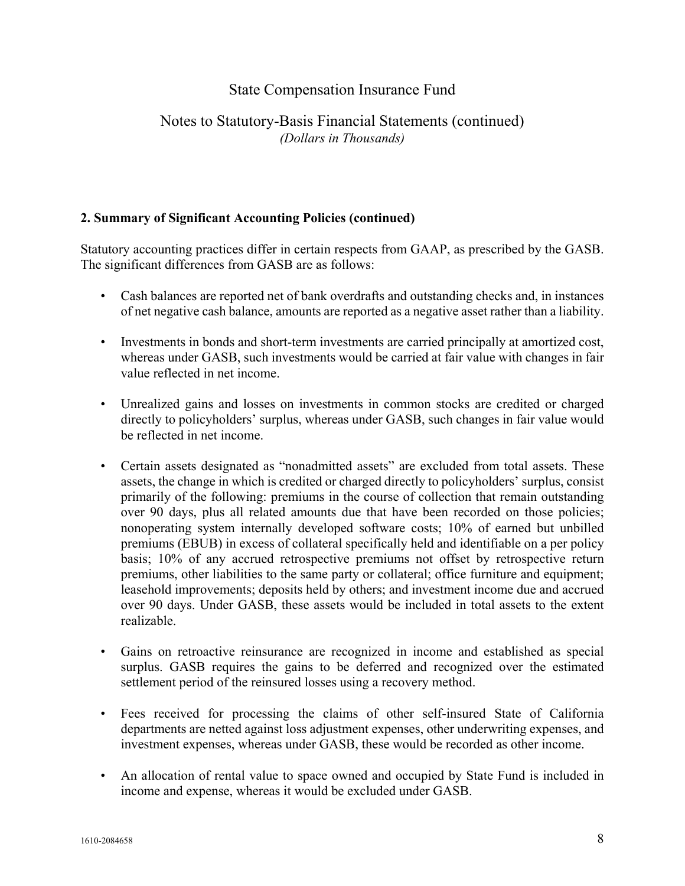# Notes to Statutory-Basis Financial Statements (continued) *(Dollars in Thousands)*

#### **2. Summary of Significant Accounting Policies (continued)**

Statutory accounting practices differ in certain respects from GAAP, as prescribed by the GASB. The significant differences from GASB are as follows:

- Cash balances are reported net of bank overdrafts and outstanding checks and, in instances of net negative cash balance, amounts are reported as a negative asset rather than a liability.
- Investments in bonds and short-term investments are carried principally at amortized cost, whereas under GASB, such investments would be carried at fair value with changes in fair value reflected in net income.
- Unrealized gains and losses on investments in common stocks are credited or charged directly to policyholders' surplus, whereas under GASB, such changes in fair value would be reflected in net income.
- Certain assets designated as "nonadmitted assets" are excluded from total assets. These assets, the change in which is credited or charged directly to policyholders' surplus, consist primarily of the following: premiums in the course of collection that remain outstanding over 90 days, plus all related amounts due that have been recorded on those policies; nonoperating system internally developed software costs; 10% of earned but unbilled premiums (EBUB) in excess of collateral specifically held and identifiable on a per policy basis; 10% of any accrued retrospective premiums not offset by retrospective return premiums, other liabilities to the same party or collateral; office furniture and equipment; leasehold improvements; deposits held by others; and investment income due and accrued over 90 days. Under GASB, these assets would be included in total assets to the extent realizable.
- Gains on retroactive reinsurance are recognized in income and established as special surplus. GASB requires the gains to be deferred and recognized over the estimated settlement period of the reinsured losses using a recovery method.
- Fees received for processing the claims of other self-insured State of California departments are netted against loss adjustment expenses, other underwriting expenses, and investment expenses, whereas under GASB, these would be recorded as other income.
- An allocation of rental value to space owned and occupied by State Fund is included in income and expense, whereas it would be excluded under GASB.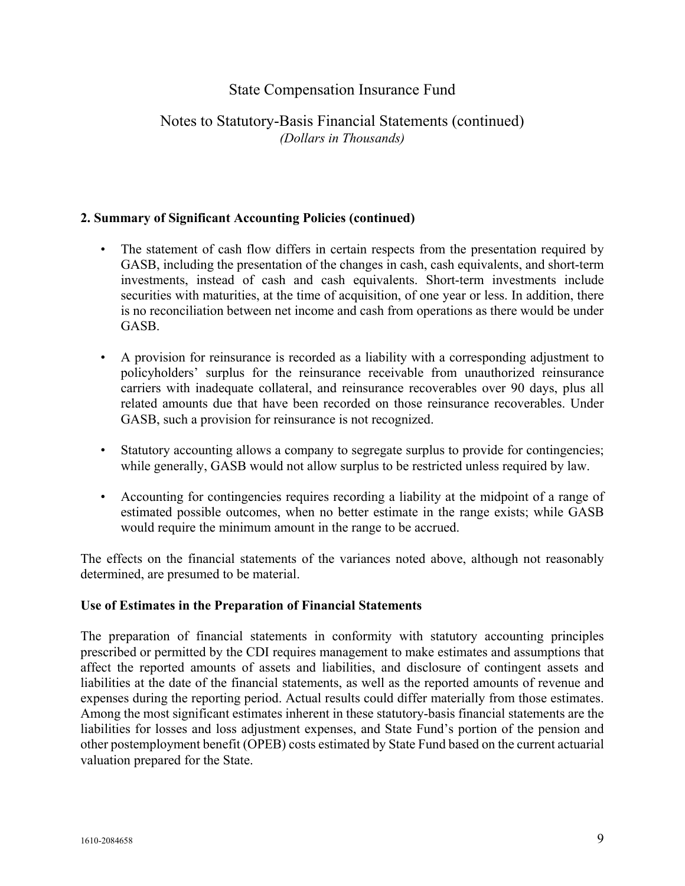# Notes to Statutory-Basis Financial Statements (continued) *(Dollars in Thousands)*

#### **2. Summary of Significant Accounting Policies (continued)**

- The statement of cash flow differs in certain respects from the presentation required by GASB, including the presentation of the changes in cash, cash equivalents, and short-term investments, instead of cash and cash equivalents. Short-term investments include securities with maturities, at the time of acquisition, of one year or less. In addition, there is no reconciliation between net income and cash from operations as there would be under **GASB**
- A provision for reinsurance is recorded as a liability with a corresponding adjustment to policyholders' surplus for the reinsurance receivable from unauthorized reinsurance carriers with inadequate collateral, and reinsurance recoverables over 90 days, plus all related amounts due that have been recorded on those reinsurance recoverables. Under GASB, such a provision for reinsurance is not recognized.
- Statutory accounting allows a company to segregate surplus to provide for contingencies; while generally, GASB would not allow surplus to be restricted unless required by law.
- Accounting for contingencies requires recording a liability at the midpoint of a range of estimated possible outcomes, when no better estimate in the range exists; while GASB would require the minimum amount in the range to be accrued.

The effects on the financial statements of the variances noted above, although not reasonably determined, are presumed to be material.

#### **Use of Estimates in the Preparation of Financial Statements**

The preparation of financial statements in conformity with statutory accounting principles prescribed or permitted by the CDI requires management to make estimates and assumptions that affect the reported amounts of assets and liabilities, and disclosure of contingent assets and liabilities at the date of the financial statements, as well as the reported amounts of revenue and expenses during the reporting period. Actual results could differ materially from those estimates. Among the most significant estimates inherent in these statutory-basis financial statements are the liabilities for losses and loss adjustment expenses, and State Fund's portion of the pension and other postemployment benefit (OPEB) costs estimated by State Fund based on the current actuarial valuation prepared for the State.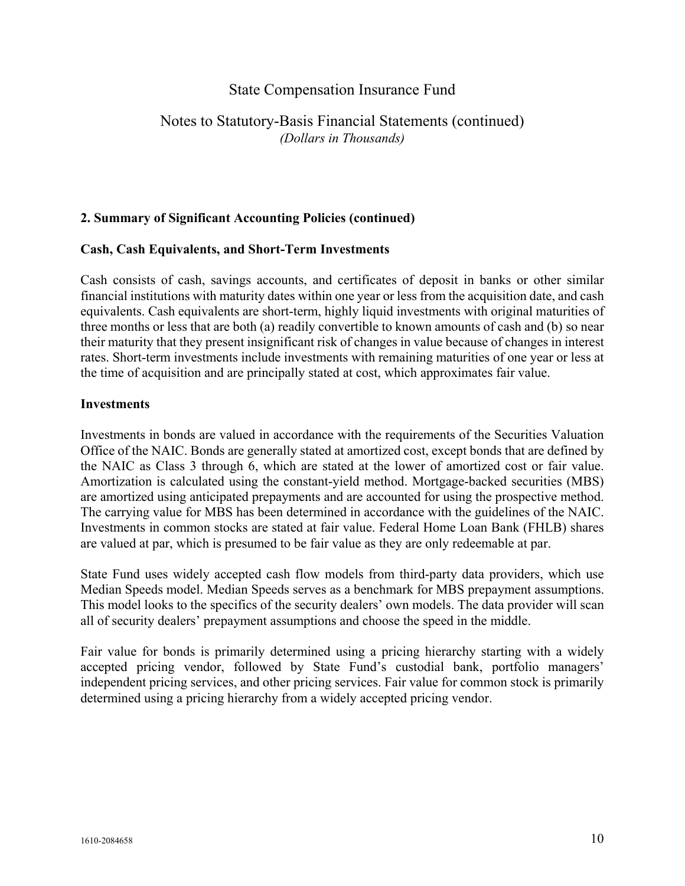# Notes to Statutory-Basis Financial Statements (continued) *(Dollars in Thousands)*

#### **2. Summary of Significant Accounting Policies (continued)**

#### **Cash, Cash Equivalents, and Short-Term Investments**

Cash consists of cash, savings accounts, and certificates of deposit in banks or other similar financial institutions with maturity dates within one year or less from the acquisition date, and cash equivalents. Cash equivalents are short-term, highly liquid investments with original maturities of three months or less that are both (a) readily convertible to known amounts of cash and (b) so near their maturity that they present insignificant risk of changes in value because of changes in interest rates. Short-term investments include investments with remaining maturities of one year or less at the time of acquisition and are principally stated at cost, which approximates fair value.

#### **Investments**

Investments in bonds are valued in accordance with the requirements of the Securities Valuation Office of the NAIC. Bonds are generally stated at amortized cost, except bonds that are defined by the NAIC as Class 3 through 6, which are stated at the lower of amortized cost or fair value. Amortization is calculated using the constant-yield method. Mortgage-backed securities (MBS) are amortized using anticipated prepayments and are accounted for using the prospective method. The carrying value for MBS has been determined in accordance with the guidelines of the NAIC. Investments in common stocks are stated at fair value. Federal Home Loan Bank (FHLB) shares are valued at par, which is presumed to be fair value as they are only redeemable at par.

State Fund uses widely accepted cash flow models from third-party data providers, which use Median Speeds model. Median Speeds serves as a benchmark for MBS prepayment assumptions. This model looks to the specifics of the security dealers' own models. The data provider will scan all of security dealers' prepayment assumptions and choose the speed in the middle.

Fair value for bonds is primarily determined using a pricing hierarchy starting with a widely accepted pricing vendor, followed by State Fund's custodial bank, portfolio managers' independent pricing services, and other pricing services. Fair value for common stock is primarily determined using a pricing hierarchy from a widely accepted pricing vendor.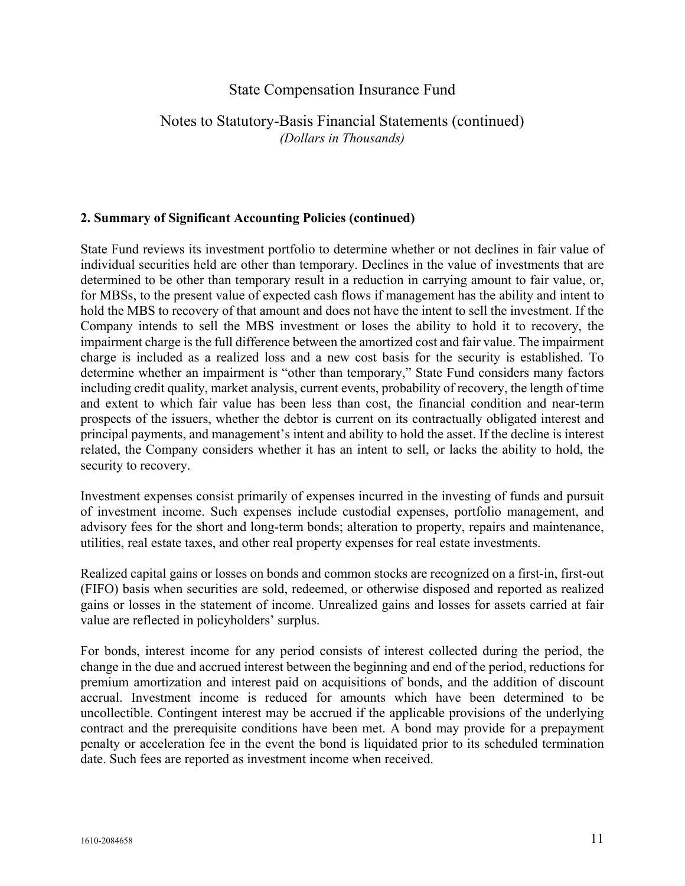# Notes to Statutory-Basis Financial Statements (continued) *(Dollars in Thousands)*

#### **2. Summary of Significant Accounting Policies (continued)**

State Fund reviews its investment portfolio to determine whether or not declines in fair value of individual securities held are other than temporary. Declines in the value of investments that are determined to be other than temporary result in a reduction in carrying amount to fair value, or, for MBSs, to the present value of expected cash flows if management has the ability and intent to hold the MBS to recovery of that amount and does not have the intent to sell the investment. If the Company intends to sell the MBS investment or loses the ability to hold it to recovery, the impairment charge is the full difference between the amortized cost and fair value. The impairment charge is included as a realized loss and a new cost basis for the security is established. To determine whether an impairment is "other than temporary," State Fund considers many factors including credit quality, market analysis, current events, probability of recovery, the length of time and extent to which fair value has been less than cost, the financial condition and near-term prospects of the issuers, whether the debtor is current on its contractually obligated interest and principal payments, and management's intent and ability to hold the asset. If the decline is interest related, the Company considers whether it has an intent to sell, or lacks the ability to hold, the security to recovery.

Investment expenses consist primarily of expenses incurred in the investing of funds and pursuit of investment income. Such expenses include custodial expenses, portfolio management, and advisory fees for the short and long-term bonds; alteration to property, repairs and maintenance, utilities, real estate taxes, and other real property expenses for real estate investments.

Realized capital gains or losses on bonds and common stocks are recognized on a first-in, first-out (FIFO) basis when securities are sold, redeemed, or otherwise disposed and reported as realized gains or losses in the statement of income. Unrealized gains and losses for assets carried at fair value are reflected in policyholders' surplus.

For bonds, interest income for any period consists of interest collected during the period, the change in the due and accrued interest between the beginning and end of the period, reductions for premium amortization and interest paid on acquisitions of bonds, and the addition of discount accrual. Investment income is reduced for amounts which have been determined to be uncollectible. Contingent interest may be accrued if the applicable provisions of the underlying contract and the prerequisite conditions have been met. A bond may provide for a prepayment penalty or acceleration fee in the event the bond is liquidated prior to its scheduled termination date. Such fees are reported as investment income when received.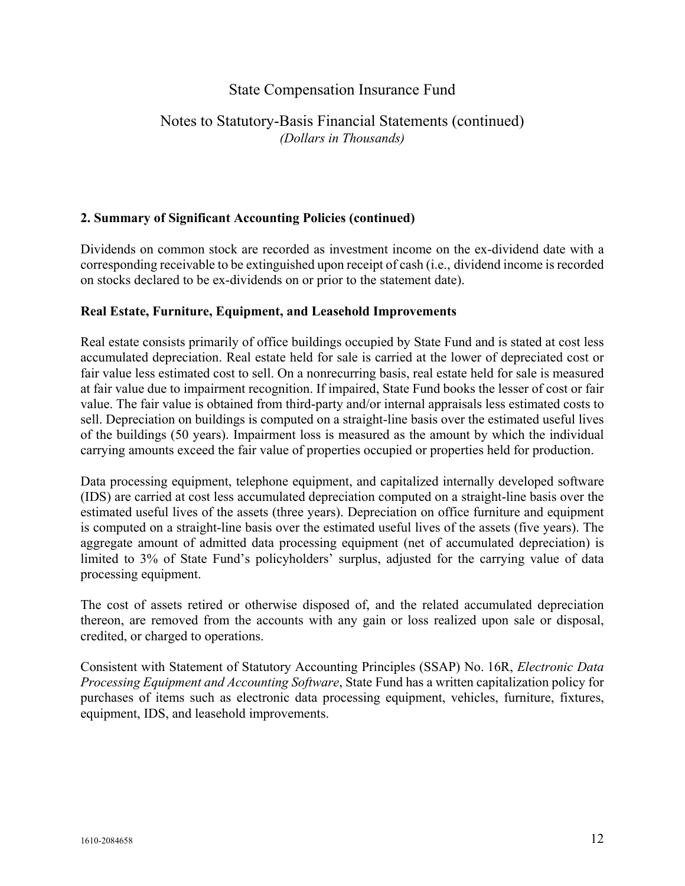# Notes to Statutory-Basis Financial Statements (continued) *(Dollars in Thousands)*

#### **2. Summary of Significant Accounting Policies (continued)**

Dividends on common stock are recorded as investment income on the ex-dividend date with a corresponding receivable to be extinguished upon receipt of cash (i.e., dividend income is recorded on stocks declared to be ex-dividends on or prior to the statement date).

#### **Real Estate, Furniture, Equipment, and Leasehold Improvements**

Real estate consists primarily of office buildings occupied by State Fund and is stated at cost less accumulated depreciation. Real estate held for sale is carried at the lower of depreciated cost or fair value less estimated cost to sell. On a nonrecurring basis, real estate held for sale is measured at fair value due to impairment recognition. If impaired, State Fund books the lesser of cost or fair value. The fair value is obtained from third-party and/or internal appraisals less estimated costs to sell. Depreciation on buildings is computed on a straight-line basis over the estimated useful lives of the buildings (50 years). Impairment loss is measured as the amount by which the individual carrying amounts exceed the fair value of properties occupied or properties held for production.

Data processing equipment, telephone equipment, and capitalized internally developed software (IDS) are carried at cost less accumulated depreciation computed on a straight-line basis over the estimated useful lives of the assets (three years). Depreciation on office furniture and equipment is computed on a straight-line basis over the estimated useful lives of the assets (five years). The aggregate amount of admitted data processing equipment (net of accumulated depreciation) is limited to 3% of State Fund's policyholders' surplus, adjusted for the carrying value of data processing equipment.

The cost of assets retired or otherwise disposed of, and the related accumulated depreciation thereon, are removed from the accounts with any gain or loss realized upon sale or disposal, credited, or charged to operations.

Consistent with Statement of Statutory Accounting Principles (SSAP) No. 16R, *Electronic Data Processing Equipment and Accounting Software*, State Fund has a written capitalization policy for purchases of items such as electronic data processing equipment, vehicles, furniture, fixtures, equipment, IDS, and leasehold improvements.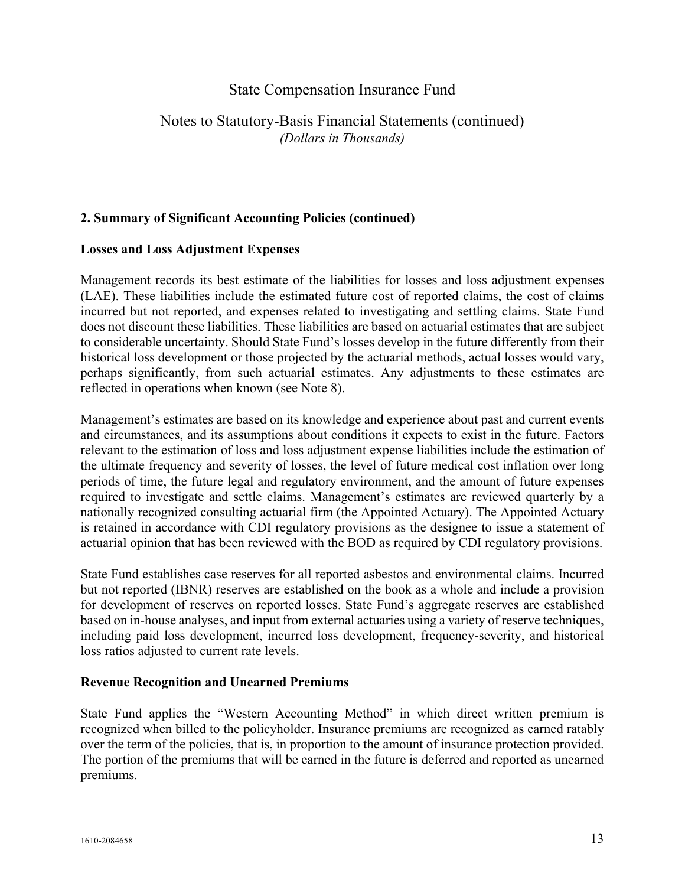# Notes to Statutory-Basis Financial Statements (continued) *(Dollars in Thousands)*

#### **2. Summary of Significant Accounting Policies (continued)**

#### **Losses and Loss Adjustment Expenses**

Management records its best estimate of the liabilities for losses and loss adjustment expenses (LAE). These liabilities include the estimated future cost of reported claims, the cost of claims incurred but not reported, and expenses related to investigating and settling claims. State Fund does not discount these liabilities. These liabilities are based on actuarial estimates that are subject to considerable uncertainty. Should State Fund's losses develop in the future differently from their historical loss development or those projected by the actuarial methods, actual losses would vary, perhaps significantly, from such actuarial estimates. Any adjustments to these estimates are reflected in operations when known (see Note 8).

Management's estimates are based on its knowledge and experience about past and current events and circumstances, and its assumptions about conditions it expects to exist in the future. Factors relevant to the estimation of loss and loss adjustment expense liabilities include the estimation of the ultimate frequency and severity of losses, the level of future medical cost inflation over long periods of time, the future legal and regulatory environment, and the amount of future expenses required to investigate and settle claims. Management's estimates are reviewed quarterly by a nationally recognized consulting actuarial firm (the Appointed Actuary). The Appointed Actuary is retained in accordance with CDI regulatory provisions as the designee to issue a statement of actuarial opinion that has been reviewed with the BOD as required by CDI regulatory provisions.

State Fund establishes case reserves for all reported asbestos and environmental claims. Incurred but not reported (IBNR) reserves are established on the book as a whole and include a provision for development of reserves on reported losses. State Fund's aggregate reserves are established based on in-house analyses, and input from external actuaries using a variety of reserve techniques, including paid loss development, incurred loss development, frequency-severity, and historical loss ratios adjusted to current rate levels.

#### **Revenue Recognition and Unearned Premiums**

State Fund applies the "Western Accounting Method" in which direct written premium is recognized when billed to the policyholder. Insurance premiums are recognized as earned ratably over the term of the policies, that is, in proportion to the amount of insurance protection provided. The portion of the premiums that will be earned in the future is deferred and reported as unearned premiums.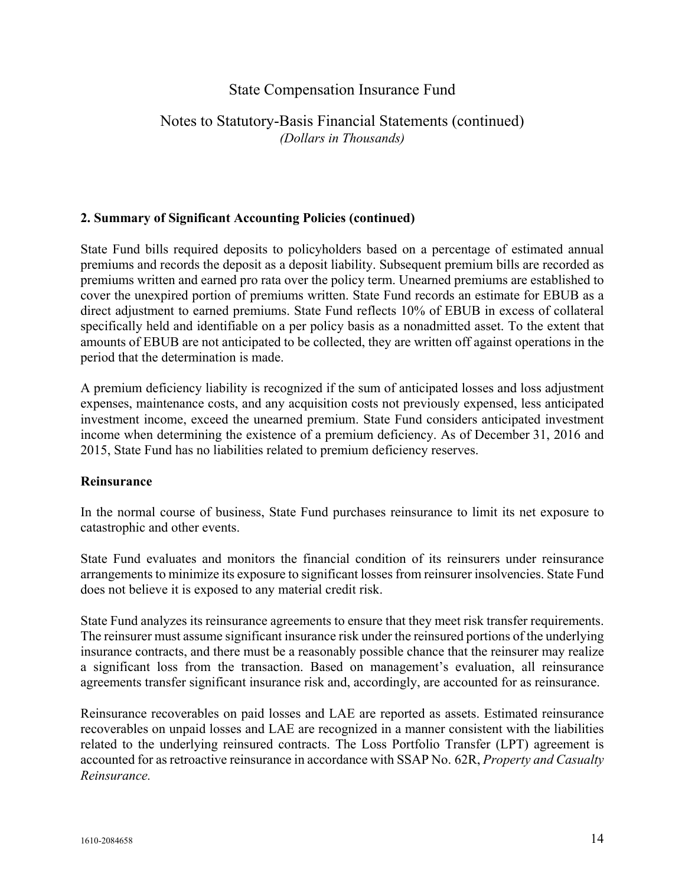# Notes to Statutory-Basis Financial Statements (continued) *(Dollars in Thousands)*

#### **2. Summary of Significant Accounting Policies (continued)**

State Fund bills required deposits to policyholders based on a percentage of estimated annual premiums and records the deposit as a deposit liability. Subsequent premium bills are recorded as premiums written and earned pro rata over the policy term. Unearned premiums are established to cover the unexpired portion of premiums written. State Fund records an estimate for EBUB as a direct adjustment to earned premiums. State Fund reflects 10% of EBUB in excess of collateral specifically held and identifiable on a per policy basis as a nonadmitted asset. To the extent that amounts of EBUB are not anticipated to be collected, they are written off against operations in the period that the determination is made.

A premium deficiency liability is recognized if the sum of anticipated losses and loss adjustment expenses, maintenance costs, and any acquisition costs not previously expensed, less anticipated investment income, exceed the unearned premium. State Fund considers anticipated investment income when determining the existence of a premium deficiency. As of December 31, 2016 and 2015, State Fund has no liabilities related to premium deficiency reserves.

#### **Reinsurance**

In the normal course of business, State Fund purchases reinsurance to limit its net exposure to catastrophic and other events.

State Fund evaluates and monitors the financial condition of its reinsurers under reinsurance arrangements to minimize its exposure to significant losses from reinsurer insolvencies. State Fund does not believe it is exposed to any material credit risk.

State Fund analyzes its reinsurance agreements to ensure that they meet risk transfer requirements. The reinsurer must assume significant insurance risk under the reinsured portions of the underlying insurance contracts, and there must be a reasonably possible chance that the reinsurer may realize a significant loss from the transaction. Based on management's evaluation, all reinsurance agreements transfer significant insurance risk and, accordingly, are accounted for as reinsurance.

Reinsurance recoverables on paid losses and LAE are reported as assets. Estimated reinsurance recoverables on unpaid losses and LAE are recognized in a manner consistent with the liabilities related to the underlying reinsured contracts. The Loss Portfolio Transfer (LPT) agreement is accounted for as retroactive reinsurance in accordance with SSAP No. 62R, *Property and Casualty Reinsurance.*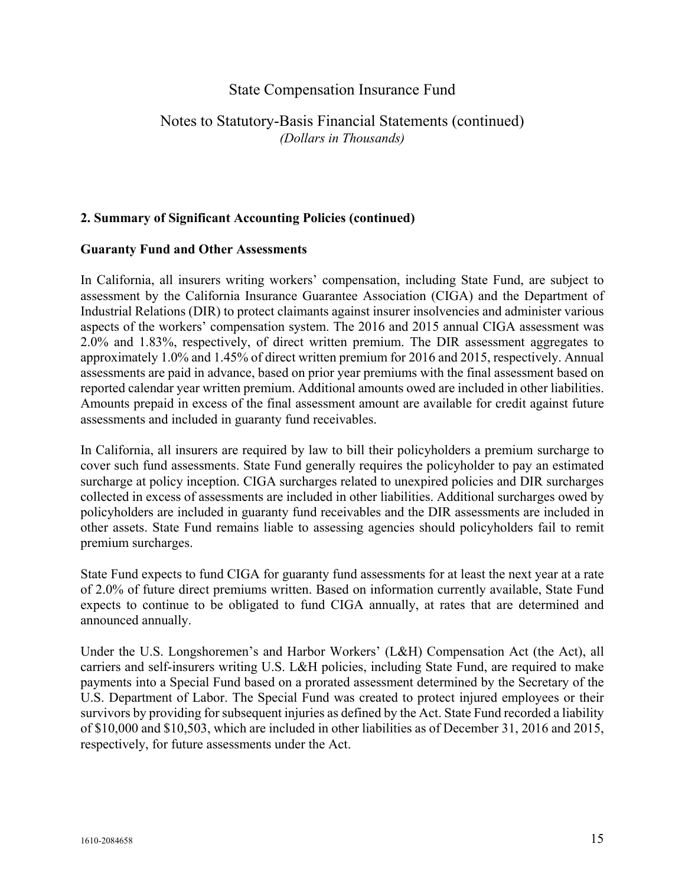# Notes to Statutory-Basis Financial Statements (continued) *(Dollars in Thousands)*

#### **2. Summary of Significant Accounting Policies (continued)**

#### **Guaranty Fund and Other Assessments**

In California, all insurers writing workers' compensation, including State Fund, are subject to assessment by the California Insurance Guarantee Association (CIGA) and the Department of Industrial Relations (DIR) to protect claimants against insurer insolvencies and administer various aspects of the workers' compensation system. The 2016 and 2015 annual CIGA assessment was 2.0% and 1.83%, respectively, of direct written premium. The DIR assessment aggregates to approximately 1.0% and 1.45% of direct written premium for 2016 and 2015, respectively. Annual assessments are paid in advance, based on prior year premiums with the final assessment based on reported calendar year written premium. Additional amounts owed are included in other liabilities. Amounts prepaid in excess of the final assessment amount are available for credit against future assessments and included in guaranty fund receivables.

In California, all insurers are required by law to bill their policyholders a premium surcharge to cover such fund assessments. State Fund generally requires the policyholder to pay an estimated surcharge at policy inception. CIGA surcharges related to unexpired policies and DIR surcharges collected in excess of assessments are included in other liabilities. Additional surcharges owed by policyholders are included in guaranty fund receivables and the DIR assessments are included in other assets. State Fund remains liable to assessing agencies should policyholders fail to remit premium surcharges.

State Fund expects to fund CIGA for guaranty fund assessments for at least the next year at a rate of 2.0% of future direct premiums written. Based on information currently available, State Fund expects to continue to be obligated to fund CIGA annually, at rates that are determined and announced annually.

Under the U.S. Longshoremen's and Harbor Workers' (L&H) Compensation Act (the Act), all carriers and self-insurers writing U.S. L&H policies, including State Fund, are required to make payments into a Special Fund based on a prorated assessment determined by the Secretary of the U.S. Department of Labor. The Special Fund was created to protect injured employees or their survivors by providing for subsequent injuries as defined by the Act. State Fund recorded a liability of \$10,000 and \$10,503, which are included in other liabilities as of December 31, 2016 and 2015, respectively, for future assessments under the Act.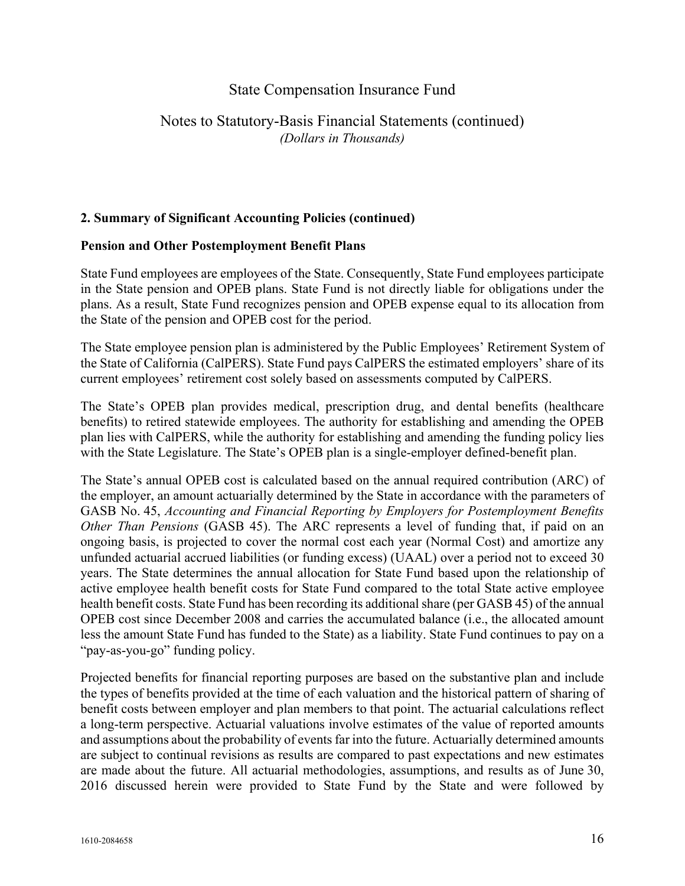# Notes to Statutory-Basis Financial Statements (continued) *(Dollars in Thousands)*

#### **2. Summary of Significant Accounting Policies (continued)**

#### **Pension and Other Postemployment Benefit Plans**

State Fund employees are employees of the State. Consequently, State Fund employees participate in the State pension and OPEB plans. State Fund is not directly liable for obligations under the plans. As a result, State Fund recognizes pension and OPEB expense equal to its allocation from the State of the pension and OPEB cost for the period.

The State employee pension plan is administered by the Public Employees' Retirement System of the State of California (CalPERS). State Fund pays CalPERS the estimated employers' share of its current employees' retirement cost solely based on assessments computed by CalPERS.

The State's OPEB plan provides medical, prescription drug, and dental benefits (healthcare benefits) to retired statewide employees. The authority for establishing and amending the OPEB plan lies with CalPERS, while the authority for establishing and amending the funding policy lies with the State Legislature. The State's OPEB plan is a single-employer defined-benefit plan.

The State's annual OPEB cost is calculated based on the annual required contribution (ARC) of the employer, an amount actuarially determined by the State in accordance with the parameters of GASB No. 45, *Accounting and Financial Reporting by Employers for Postemployment Benefits Other Than Pensions* (GASB 45). The ARC represents a level of funding that, if paid on an ongoing basis, is projected to cover the normal cost each year (Normal Cost) and amortize any unfunded actuarial accrued liabilities (or funding excess) (UAAL) over a period not to exceed 30 years. The State determines the annual allocation for State Fund based upon the relationship of active employee health benefit costs for State Fund compared to the total State active employee health benefit costs. State Fund has been recording its additional share (per GASB 45) of the annual OPEB cost since December 2008 and carries the accumulated balance (i.e., the allocated amount less the amount State Fund has funded to the State) as a liability. State Fund continues to pay on a "pay-as-you-go" funding policy.

Projected benefits for financial reporting purposes are based on the substantive plan and include the types of benefits provided at the time of each valuation and the historical pattern of sharing of benefit costs between employer and plan members to that point. The actuarial calculations reflect a long-term perspective. Actuarial valuations involve estimates of the value of reported amounts and assumptions about the probability of events far into the future. Actuarially determined amounts are subject to continual revisions as results are compared to past expectations and new estimates are made about the future. All actuarial methodologies, assumptions, and results as of June 30, 2016 discussed herein were provided to State Fund by the State and were followed by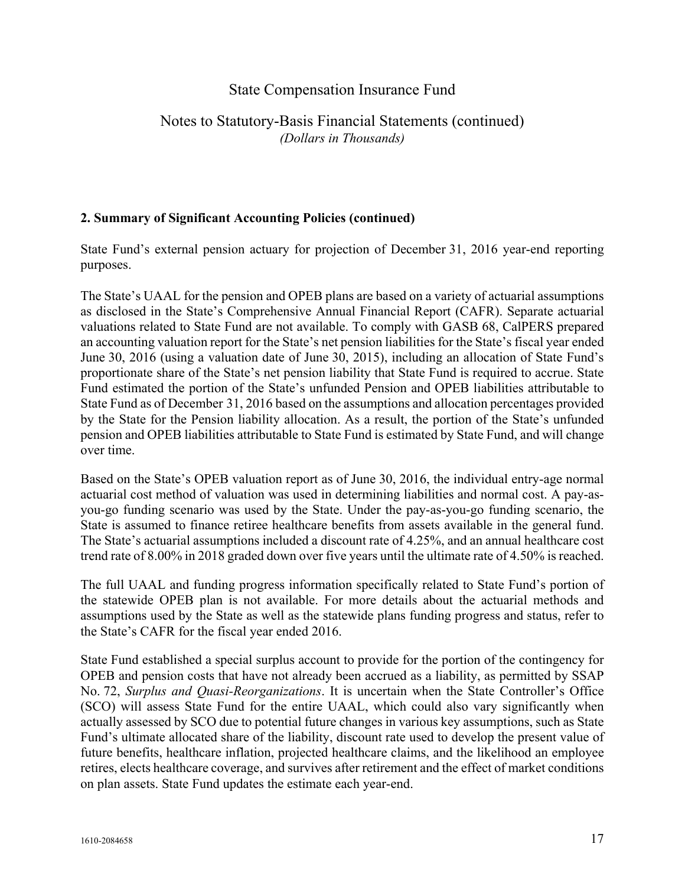# Notes to Statutory-Basis Financial Statements (continued) *(Dollars in Thousands)*

#### **2. Summary of Significant Accounting Policies (continued)**

State Fund's external pension actuary for projection of December 31, 2016 year-end reporting purposes.

The State's UAAL for the pension and OPEB plans are based on a variety of actuarial assumptions as disclosed in the State's Comprehensive Annual Financial Report (CAFR). Separate actuarial valuations related to State Fund are not available. To comply with GASB 68, CalPERS prepared an accounting valuation report for the State's net pension liabilities for the State's fiscal year ended June 30, 2016 (using a valuation date of June 30, 2015), including an allocation of State Fund's proportionate share of the State's net pension liability that State Fund is required to accrue. State Fund estimated the portion of the State's unfunded Pension and OPEB liabilities attributable to State Fund as of December 31, 2016 based on the assumptions and allocation percentages provided by the State for the Pension liability allocation. As a result, the portion of the State's unfunded pension and OPEB liabilities attributable to State Fund is estimated by State Fund, and will change over time.

Based on the State's OPEB valuation report as of June 30, 2016, the individual entry-age normal actuarial cost method of valuation was used in determining liabilities and normal cost. A pay-asyou-go funding scenario was used by the State. Under the pay-as-you-go funding scenario, the State is assumed to finance retiree healthcare benefits from assets available in the general fund. The State's actuarial assumptions included a discount rate of 4.25%, and an annual healthcare cost trend rate of 8.00% in 2018 graded down over five years until the ultimate rate of 4.50% is reached.

The full UAAL and funding progress information specifically related to State Fund's portion of the statewide OPEB plan is not available. For more details about the actuarial methods and assumptions used by the State as well as the statewide plans funding progress and status, refer to the State's CAFR for the fiscal year ended 2016.

State Fund established a special surplus account to provide for the portion of the contingency for OPEB and pension costs that have not already been accrued as a liability, as permitted by SSAP No. 72, *Surplus and Quasi-Reorganizations*. It is uncertain when the State Controller's Office (SCO) will assess State Fund for the entire UAAL, which could also vary significantly when actually assessed by SCO due to potential future changes in various key assumptions, such as State Fund's ultimate allocated share of the liability, discount rate used to develop the present value of future benefits, healthcare inflation, projected healthcare claims, and the likelihood an employee retires, elects healthcare coverage, and survives after retirement and the effect of market conditions on plan assets. State Fund updates the estimate each year-end.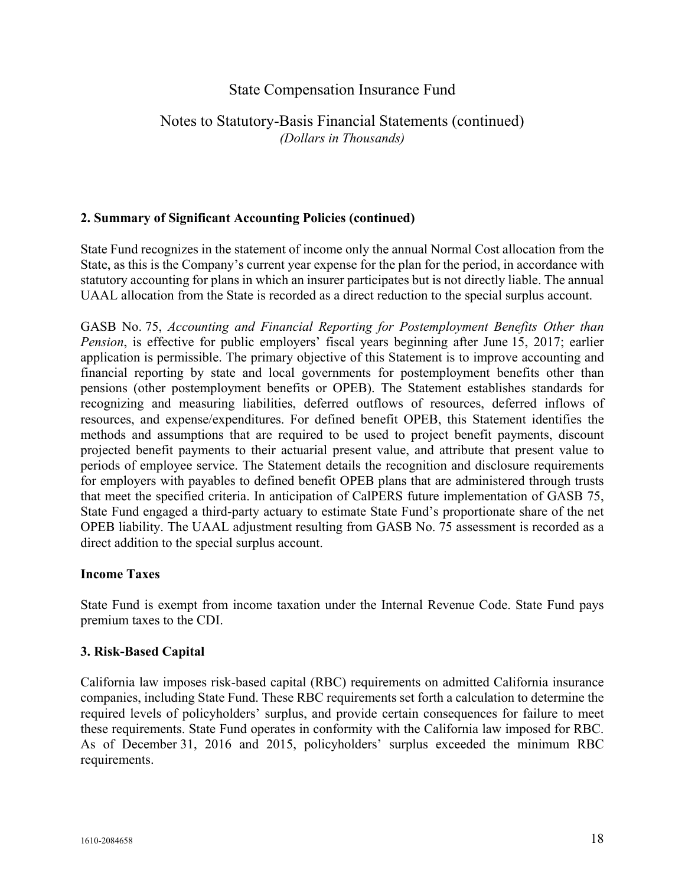# Notes to Statutory-Basis Financial Statements (continued) *(Dollars in Thousands)*

#### **2. Summary of Significant Accounting Policies (continued)**

State Fund recognizes in the statement of income only the annual Normal Cost allocation from the State, as this is the Company's current year expense for the plan for the period, in accordance with statutory accounting for plans in which an insurer participates but is not directly liable. The annual UAAL allocation from the State is recorded as a direct reduction to the special surplus account.

GASB No. 75, *Accounting and Financial Reporting for Postemployment Benefits Other than Pension*, is effective for public employers' fiscal years beginning after June 15, 2017; earlier application is permissible. The primary objective of this Statement is to improve accounting and financial reporting by state and local governments for postemployment benefits other than pensions (other postemployment benefits or OPEB). The Statement establishes standards for recognizing and measuring liabilities, deferred outflows of resources, deferred inflows of resources, and expense/expenditures. For defined benefit OPEB, this Statement identifies the methods and assumptions that are required to be used to project benefit payments, discount projected benefit payments to their actuarial present value, and attribute that present value to periods of employee service. The Statement details the recognition and disclosure requirements for employers with payables to defined benefit OPEB plans that are administered through trusts that meet the specified criteria. In anticipation of CalPERS future implementation of GASB 75, State Fund engaged a third-party actuary to estimate State Fund's proportionate share of the net OPEB liability. The UAAL adjustment resulting from GASB No. 75 assessment is recorded as a direct addition to the special surplus account.

#### **Income Taxes**

State Fund is exempt from income taxation under the Internal Revenue Code. State Fund pays premium taxes to the CDI.

#### **3. Risk-Based Capital**

California law imposes risk-based capital (RBC) requirements on admitted California insurance companies, including State Fund. These RBC requirements set forth a calculation to determine the required levels of policyholders' surplus, and provide certain consequences for failure to meet these requirements. State Fund operates in conformity with the California law imposed for RBC. As of December 31, 2016 and 2015, policyholders' surplus exceeded the minimum RBC requirements.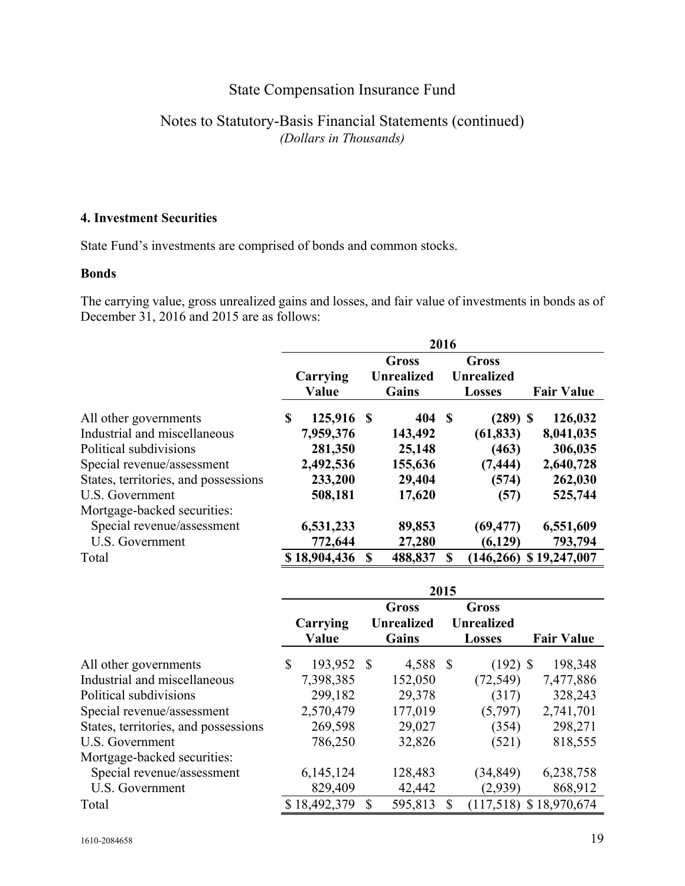# Notes to Statutory-Basis Financial Statements (continued) *(Dollars in Thousands)*

# **4. Investment Securities**

State Fund's investments are comprised of bonds and common stocks.

#### **Bonds**

The carrying value, gross unrealized gains and losses, and fair value of investments in bonds as of December 31, 2016 and 2015 are as follows:

|                                      | 2016 |                   |     |                                     |    |                                             |                   |              |  |  |  |  |
|--------------------------------------|------|-------------------|-----|-------------------------------------|----|---------------------------------------------|-------------------|--------------|--|--|--|--|
|                                      |      | Carrying<br>Value |     | Gross<br><b>Unrealized</b><br>Gains |    | Gross<br><b>Unrealized</b><br><b>Losses</b> | <b>Fair Value</b> |              |  |  |  |  |
| All other governments                | \$   | 125,916 \$        |     | 404                                 | -S | $(289)$ \$                                  |                   | 126,032      |  |  |  |  |
| Industrial and miscellaneous         |      | 7,959,376         |     | 143,492                             |    | (61, 833)                                   |                   | 8,041,035    |  |  |  |  |
| Political subdivisions               |      | 281,350           |     | 25,148                              |    | (463)                                       |                   | 306,035      |  |  |  |  |
| Special revenue/assessment           |      | 2,492,536         |     | 155,636                             |    | (7, 444)                                    |                   | 2,640,728    |  |  |  |  |
| States, territories, and possessions |      | 233,200           |     | 29,404                              |    | (574)                                       |                   | 262,030      |  |  |  |  |
| U.S. Government                      |      | 508,181           |     | 17,620                              |    | (57)                                        |                   | 525,744      |  |  |  |  |
| Mortgage-backed securities:          |      |                   |     |                                     |    |                                             |                   |              |  |  |  |  |
| Special revenue/assessment           |      | 6,531,233         |     | 89,853                              |    | (69, 477)                                   |                   | 6,551,609    |  |  |  |  |
| U.S. Government                      |      | 772,644           |     | 27,280                              |    | (6,129)                                     |                   | 793,794      |  |  |  |  |
| Total                                |      | \$18,904,436      | \$. | 488,837                             | S  | (146, 266)                                  |                   | \$19,247,007 |  |  |  |  |

|                                      |                   |                                     | 2015 |                                             |                   |
|--------------------------------------|-------------------|-------------------------------------|------|---------------------------------------------|-------------------|
|                                      | Carrying<br>Value | Gross<br><b>Unrealized</b><br>Gains |      | Gross<br><b>Unrealized</b><br><b>Losses</b> | <b>Fair Value</b> |
| All other governments                | \$<br>193,952 \$  | 4,588                               | -S   | $(192)$ \$                                  | 198,348           |
| Industrial and miscellaneous         | 7,398,385         | 152,050                             |      | (72, 549)                                   | 7,477,886         |
| Political subdivisions               | 299,182           | 29,378                              |      | (317)                                       | 328,243           |
| Special revenue/assessment           | 2,570,479         | 177,019                             |      | (5,797)                                     | 2,741,701         |
| States, territories, and possessions | 269,598           | 29,027                              |      | (354)                                       | 298,271           |
| U.S. Government                      | 786,250           | 32,826                              |      | (521)                                       | 818,555           |
| Mortgage-backed securities:          |                   |                                     |      |                                             |                   |
| Special revenue/assessment           | 6,145,124         | 128,483                             |      | (34, 849)                                   | 6,238,758         |
| U.S. Government                      | 829,409           | 42,442                              |      | (2,939)                                     | 868,912           |
| Total                                | \$18,492,379      | 595,813                             |      | (117,518)                                   | \$18,970,674      |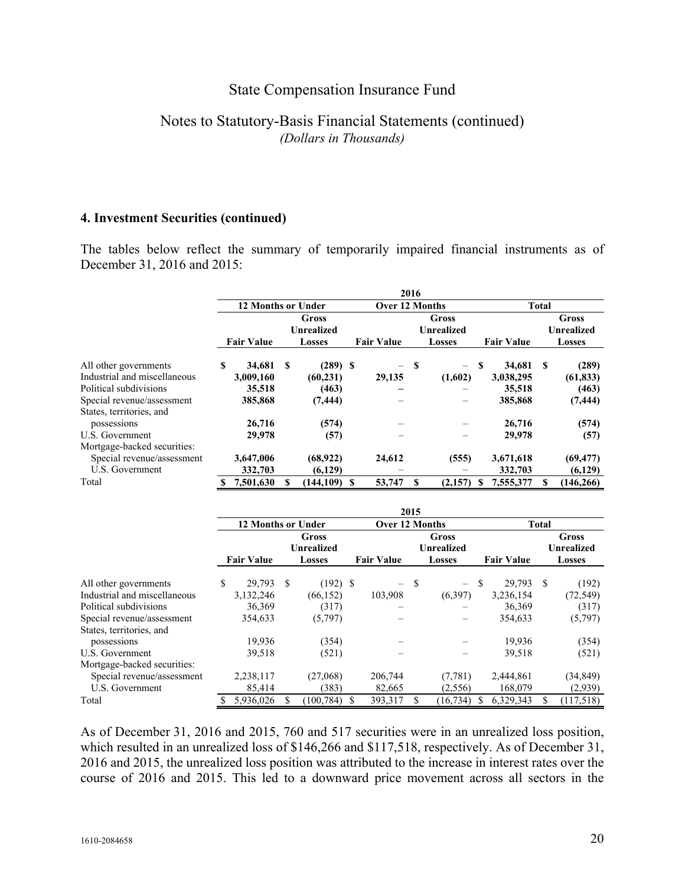# Notes to Statutory-Basis Financial Statements (continued) *(Dollars in Thousands)*

#### **4. Investment Securities (continued)**

The tables below reflect the summary of temporarily impaired financial instruments as of December 31, 2016 and 2015:

|                                         | 2016 |                    |                   |                   |    |                       |    |                   |              |                   |    |               |  |
|-----------------------------------------|------|--------------------|-------------------|-------------------|----|-----------------------|----|-------------------|--------------|-------------------|----|---------------|--|
|                                         |      | 12 Months or Under |                   |                   |    | <b>Over 12 Months</b> |    |                   | <b>Total</b> |                   |    |               |  |
|                                         |      |                    | Gross             |                   |    |                       |    | Gross             |              |                   |    | Gross         |  |
|                                         |      |                    | <b>Unrealized</b> | <b>Unrealized</b> |    |                       |    |                   |              | <b>Unrealized</b> |    |               |  |
|                                         |      | <b>Fair Value</b>  |                   | <b>Losses</b>     |    | <b>Fair Value</b>     |    | Losses            |              | <b>Fair Value</b> |    | <b>Losses</b> |  |
| All other governments                   | S    | 34,681             | -S                | $(289)$ \$        |    | $\qquad \qquad -$     | -S | $\qquad \qquad -$ | -S           | 34,681            | -S | (289)         |  |
| Industrial and miscellaneous            |      | 3,009,160          |                   | (60, 231)         |    | 29,135                |    | (1,602)           |              | 3,038,295         |    | (61, 833)     |  |
| Political subdivisions                  |      | 35,518             |                   | (463)             |    |                       |    |                   |              | 35,518            |    | (463)         |  |
| Special revenue/assessment              |      | 385,868            |                   | (7, 444)          |    |                       |    |                   |              | 385,868           |    | (7, 444)      |  |
|                                         |      |                    |                   |                   |    |                       |    |                   |              |                   |    |               |  |
| States, territories, and<br>possessions |      | 26,716             |                   | (574)             |    |                       |    |                   |              | 26,716            |    | (574)         |  |
| U.S. Government                         |      | 29,978             |                   | (57)              |    |                       |    |                   |              | 29,978            |    | (57)          |  |
| Mortgage-backed securities:             |      |                    |                   |                   |    |                       |    |                   |              |                   |    |               |  |
| Special revenue/assessment              |      | 3,647,006          |                   | (68, 922)         |    | 24,612                |    | (555)             |              | 3,671,618         |    | (69, 477)     |  |
| U.S. Government                         |      | 332,703            |                   | (6,129)           |    |                       |    |                   |              | 332,703           |    | (6,129)       |  |
| Total                                   |      | 7,501,630          |                   | (144, 109)        | -S | 53,747                | S  | (2,157)           |              | 7,555,377         | S  | (146, 266)    |  |

|                              | 2015              |                    |    |                            |     |                       |                            |           |                   |           |                            |               |  |  |
|------------------------------|-------------------|--------------------|----|----------------------------|-----|-----------------------|----------------------------|-----------|-------------------|-----------|----------------------------|---------------|--|--|
|                              |                   | 12 Months or Under |    |                            |     | <b>Over 12 Months</b> |                            |           | <b>Total</b>      |           |                            |               |  |  |
|                              | <b>Fair Value</b> |                    |    | Gross<br><b>Unrealized</b> |     | <b>Fair Value</b>     | Gross<br><b>Unrealized</b> |           | <b>Fair Value</b> |           | Gross<br><b>Unrealized</b> |               |  |  |
|                              |                   |                    |    | <b>Losses</b>              |     |                       |                            | Losses    |                   |           |                            | <b>Losses</b> |  |  |
| All other governments        | \$                | 29,793             | -S | $(192)$ \$                 |     | $\qquad \qquad -$     | S                          | $\equiv$  | S                 | 29,793    | -S                         | (192)         |  |  |
| Industrial and miscellaneous |                   | 3,132,246          |    | (66, 152)                  |     | 103,908               |                            | (6,397)   |                   | 3,236,154 |                            | (72, 549)     |  |  |
| Political subdivisions       |                   | 36,369             |    | (317)                      |     |                       |                            |           |                   | 36,369    |                            | (317)         |  |  |
| Special revenue/assessment   |                   | 354,633            |    | (5,797)                    |     |                       |                            |           |                   | 354,633   |                            | (5,797)       |  |  |
| States, territories, and     |                   |                    |    |                            |     |                       |                            |           |                   |           |                            |               |  |  |
| possessions                  |                   | 19,936             |    | (354)                      |     |                       |                            |           |                   | 19,936    |                            | (354)         |  |  |
| U.S. Government              |                   | 39,518             |    | (521)                      |     |                       |                            |           |                   | 39,518    |                            | (521)         |  |  |
| Mortgage-backed securities:  |                   |                    |    |                            |     |                       |                            |           |                   |           |                            |               |  |  |
| Special revenue/assessment   |                   | 2,238,117          |    | (27,068)                   |     | 206,744               |                            | (7, 781)  |                   | 2,444,861 |                            | (34, 849)     |  |  |
| U.S. Government              |                   | 85,414             |    | (383)                      |     | 82,665                |                            | (2,556)   |                   | 168,079   |                            | (2,939)       |  |  |
| Total                        |                   | 5,936,026          |    | (100, 784)                 | \$. | 393,317               | \$                         | (16, 734) | S                 | 6,329,343 | S                          | (117,518)     |  |  |

As of December 31, 2016 and 2015, 760 and 517 securities were in an unrealized loss position, which resulted in an unrealized loss of \$146,266 and \$117,518, respectively. As of December 31, 2016 and 2015, the unrealized loss position was attributed to the increase in interest rates over the course of 2016 and 2015. This led to a downward price movement across all sectors in the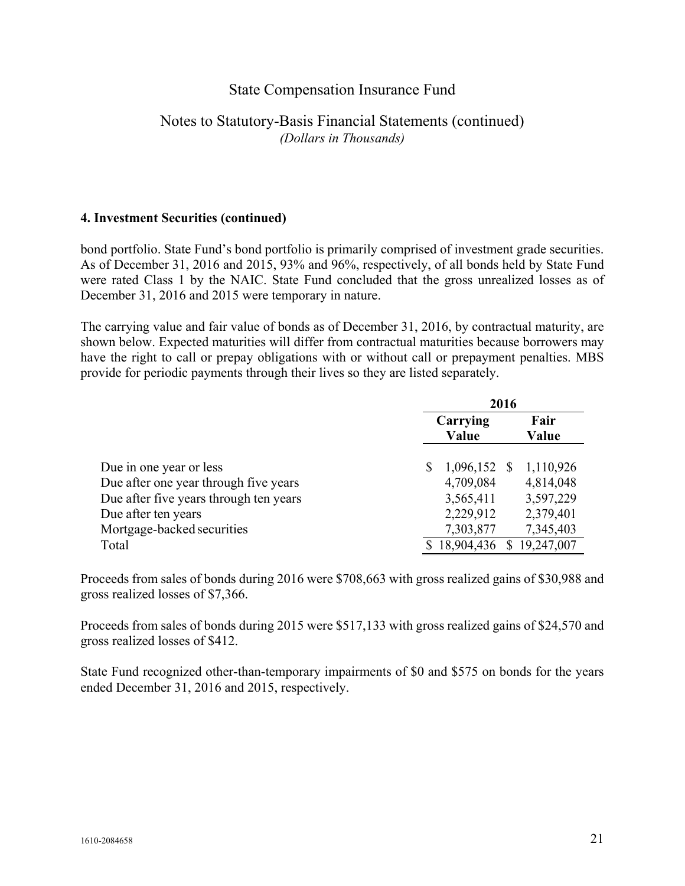# Notes to Statutory-Basis Financial Statements (continued) *(Dollars in Thousands)*

#### **4. Investment Securities (continued)**

bond portfolio. State Fund's bond portfolio is primarily comprised of investment grade securities. As of December 31, 2016 and 2015, 93% and 96%, respectively, of all bonds held by State Fund were rated Class 1 by the NAIC. State Fund concluded that the gross unrealized losses as of December 31, 2016 and 2015 were temporary in nature.

The carrying value and fair value of bonds as of December 31, 2016, by contractual maturity, are shown below. Expected maturities will differ from contractual maturities because borrowers may have the right to call or prepay obligations with or without call or prepayment penalties. MBS provide for periodic payments through their lives so they are listed separately.

|                                        |                     | 2016         |
|----------------------------------------|---------------------|--------------|
|                                        | Carrying            | Fair         |
|                                        | Value               | Value        |
| Due in one year or less                | $1,096,152$ \$<br>S | 1,110,926    |
| Due after one year through five years  | 4,709,084           | 4,814,048    |
| Due after five years through ten years | 3,565,411           | 3,597,229    |
| Due after ten years                    | 2,229,912           | 2,379,401    |
| Mortgage-backed securities             | 7,303,877           | 7,345,403    |
| Total                                  | 18,904,436          | \$19,247,007 |

Proceeds from sales of bonds during 2016 were \$708,663 with gross realized gains of \$30,988 and gross realized losses of \$7,366.

Proceeds from sales of bonds during 2015 were \$517,133 with gross realized gains of \$24,570 and gross realized losses of \$412.

State Fund recognized other-than-temporary impairments of \$0 and \$575 on bonds for the years ended December 31, 2016 and 2015, respectively.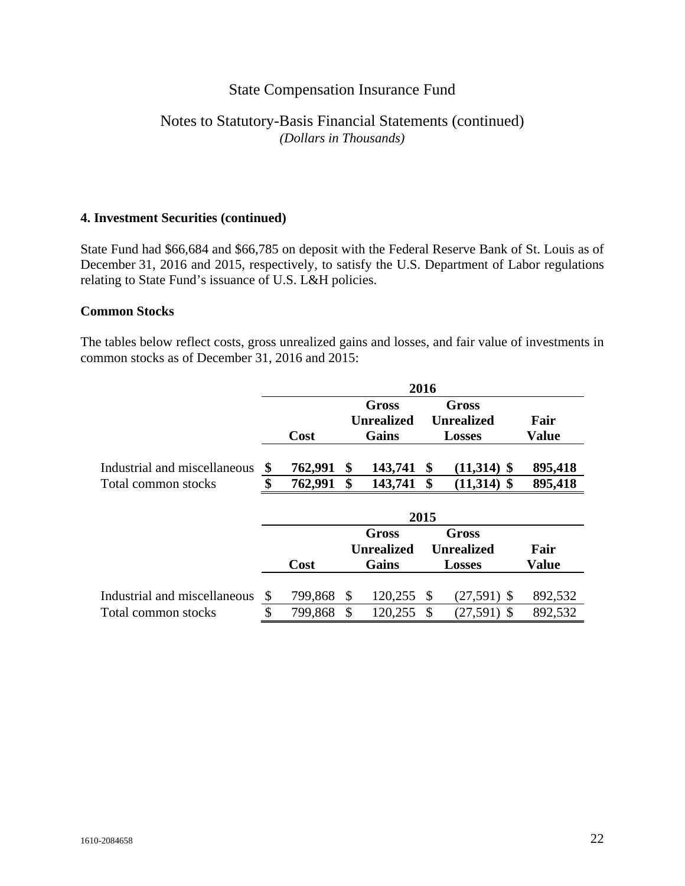# Notes to Statutory-Basis Financial Statements (continued) *(Dollars in Thousands)*

#### **4. Investment Securities (continued)**

State Fund had \$66,684 and \$66,785 on deposit with the Federal Reserve Bank of St. Louis as of December 31, 2016 and 2015, respectively, to satisfy the U.S. Department of Labor regulations relating to State Fund's issuance of U.S. L&H policies.

#### **Common Stocks**

The tables below reflect costs, gross unrealized gains and losses, and fair value of investments in common stocks as of December 31, 2016 and 2015:

|                              |               |      |                   | 2016     |                   |              |  |  |  |  |  |  |
|------------------------------|---------------|------|-------------------|----------|-------------------|--------------|--|--|--|--|--|--|
|                              |               |      | Gross             |          | <b>Gross</b>      |              |  |  |  |  |  |  |
|                              |               |      | <b>Unrealized</b> |          | <b>Unrealized</b> | Fair         |  |  |  |  |  |  |
|                              | Cost          |      | Gains             |          | <b>Losses</b>     | <b>Value</b> |  |  |  |  |  |  |
| Industrial and miscellaneous | \$<br>762,991 | \$   | 143,741           | \$       | $(11,314)$ \$     | 895,418      |  |  |  |  |  |  |
| Total common stocks          | \$<br>762,991 | \$   | 143,741           | \$       | $(11,314)$ \$     | 895,418      |  |  |  |  |  |  |
|                              |               | 2015 |                   |          |                   |              |  |  |  |  |  |  |
|                              |               |      |                   |          |                   |              |  |  |  |  |  |  |
|                              |               |      | Gross             |          | <b>Gross</b>      |              |  |  |  |  |  |  |
|                              |               |      | <b>Unrealized</b> |          | <b>Unrealized</b> | Fair         |  |  |  |  |  |  |
|                              | Cost          |      | Gains             |          | <b>Losses</b>     | <b>Value</b> |  |  |  |  |  |  |
|                              |               |      |                   |          |                   |              |  |  |  |  |  |  |
| Industrial and miscellaneous | \$<br>799,868 | \$   | 120,255           | <b>S</b> | $(27,591)$ \$     | 892,532      |  |  |  |  |  |  |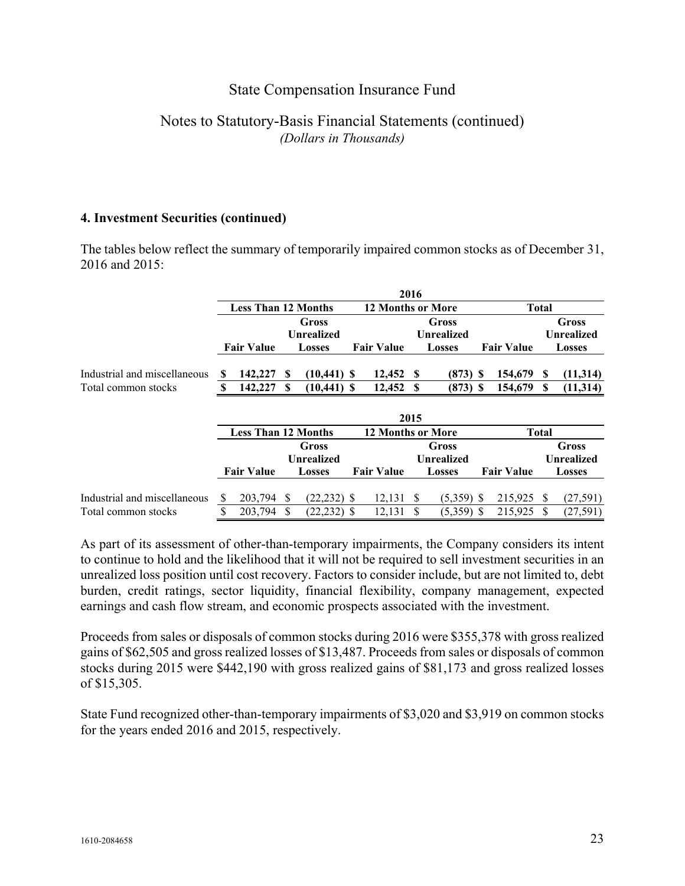# Notes to Statutory-Basis Financial Statements (continued) *(Dollars in Thousands)*

#### **4. Investment Securities (continued)**

The tables below reflect the summary of temporarily impaired common stocks as of December 31, 2016 and 2015:

|                              | 2016 |                            |               |                   |  |                          |      |                   |    |                   |              |                   |  |
|------------------------------|------|----------------------------|---------------|-------------------|--|--------------------------|------|-------------------|----|-------------------|--------------|-------------------|--|
|                              |      | <b>Less Than 12 Months</b> |               |                   |  | <b>12 Months or More</b> |      | <b>Total</b>      |    |                   |              |                   |  |
|                              |      | Gross<br>Gross             |               |                   |  |                          |      |                   |    | Gross             |              |                   |  |
|                              |      |                            |               | <b>Unrealized</b> |  |                          |      | <b>Unrealized</b> |    |                   |              | <b>Unrealized</b> |  |
|                              |      | <b>Fair Value</b>          |               | <b>Losses</b>     |  | <b>Fair Value</b>        |      | <b>Losses</b>     |    | <b>Fair Value</b> |              | Losses            |  |
| Industrial and miscellaneous | \$   | 142,227                    | <b>S</b>      | $(10, 441)$ \$    |  | 12,452 \$                |      | (873)             | S  | 154,679           | S            | (11,314)          |  |
| Total common stocks          |      | 142,227                    | S             | $(10, 441)$ \$    |  | 12,452                   | - \$ | (873)             | -S | 154,679           | S            | (11,314)          |  |
|                              | 2015 |                            |               |                   |  |                          |      |                   |    |                   |              |                   |  |
|                              |      | <b>Less Than 12 Months</b> |               |                   |  | <b>12 Months or More</b> |      |                   |    |                   | <b>Total</b> |                   |  |
|                              |      |                            |               | Gross             |  |                          |      | Gross             |    |                   |              | Gross             |  |
|                              |      |                            |               | Unrealized        |  |                          |      | <b>Unrealized</b> |    |                   |              | <b>Unrealized</b> |  |
|                              |      | <b>Fair Value</b>          |               | <b>Losses</b>     |  | <b>Fair Value</b>        |      | <b>Losses</b>     |    | <b>Fair Value</b> |              | <b>Losses</b>     |  |
|                              |      |                            |               |                   |  |                          |      |                   |    |                   |              |                   |  |
| Industrial and miscellaneous | S    | 203,794                    | -S            | $(22, 232)$ \$    |  | 12,131                   | - S  | $(5,359)$ \$      |    | 215,925           | <sup>S</sup> | (27, 591)         |  |
| Total common stocks          | \$   | 203,794                    | <sup>\$</sup> | $(22, 232)$ \$    |  | 12,131                   | S    | $(5,359)$ \$      |    | 215,925           | S            | (27, 591)         |  |

As part of its assessment of other-than-temporary impairments, the Company considers its intent to continue to hold and the likelihood that it will not be required to sell investment securities in an unrealized loss position until cost recovery. Factors to consider include, but are not limited to, debt burden, credit ratings, sector liquidity, financial flexibility, company management, expected earnings and cash flow stream, and economic prospects associated with the investment.

Proceeds from sales or disposals of common stocks during 2016 were \$355,378 with gross realized gains of \$62,505 and gross realized losses of \$13,487. Proceeds from sales or disposals of common stocks during 2015 were \$442,190 with gross realized gains of \$81,173 and gross realized losses of \$15,305.

State Fund recognized other-than-temporary impairments of \$3,020 and \$3,919 on common stocks for the years ended 2016 and 2015, respectively.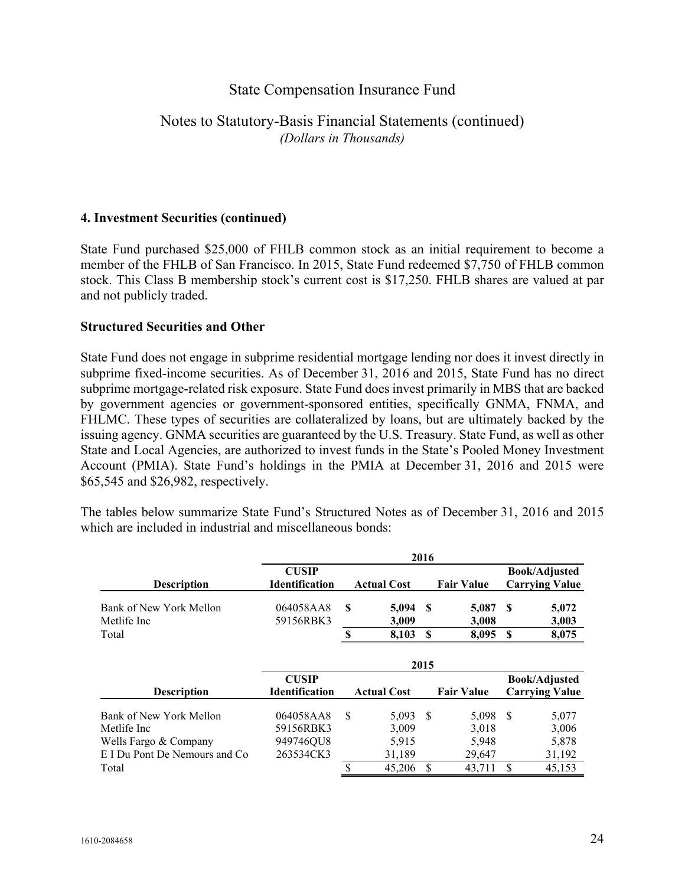# Notes to Statutory-Basis Financial Statements (continued) *(Dollars in Thousands)*

#### **4. Investment Securities (continued)**

State Fund purchased \$25,000 of FHLB common stock as an initial requirement to become a member of the FHLB of San Francisco. In 2015, State Fund redeemed \$7,750 of FHLB common stock. This Class B membership stock's current cost is \$17,250. FHLB shares are valued at par and not publicly traded.

#### **Structured Securities and Other**

State Fund does not engage in subprime residential mortgage lending nor does it invest directly in subprime fixed-income securities. As of December 31, 2016 and 2015, State Fund has no direct subprime mortgage-related risk exposure. State Fund does invest primarily in MBS that are backed by government agencies or government-sponsored entities, specifically GNMA, FNMA, and FHLMC. These types of securities are collateralized by loans, but are ultimately backed by the issuing agency. GNMA securities are guaranteed by the U.S. Treasury. State Fund, as well as other State and Local Agencies, are authorized to invest funds in the State's Pooled Money Investment Account (PMIA). State Fund's holdings in the PMIA at December 31, 2016 and 2015 were \$65,545 and \$26,982, respectively.

The tables below summarize State Fund's Structured Notes as of December 31, 2016 and 2015 which are included in industrial and miscellaneous bonds:

|                               |                                       |          |                    | 2016 |                   |    |                                               |
|-------------------------------|---------------------------------------|----------|--------------------|------|-------------------|----|-----------------------------------------------|
|                               | <b>CUSIP</b>                          |          |                    |      |                   |    | <b>Book/Adjusted</b>                          |
| <b>Description</b>            | <b>Identification</b>                 |          | <b>Actual Cost</b> |      | <b>Fair Value</b> |    | <b>Carrying Value</b>                         |
| Bank of New York Mellon       | 064058AA8                             | <b>S</b> | 5,094              | -S   | 5,087             | -S | 5,072                                         |
| Metlife Inc                   | 59156RBK3                             |          | 3,009              |      | 3,008             |    | 3,003                                         |
| Total                         |                                       | S        | 8,103              | S    | 8,095             | -S | 8,075                                         |
|                               |                                       |          |                    | 2015 |                   |    |                                               |
| <b>Description</b>            | <b>CUSIP</b><br><b>Identification</b> |          | <b>Actual Cost</b> |      | <b>Fair Value</b> |    | <b>Book/Adjusted</b><br><b>Carrying Value</b> |
| Bank of New York Mellon       | 064058AA8                             | -S       | 5,093              | - S  | 5,098 \$          |    | 5,077                                         |
| Metlife Inc                   | 59156RBK3                             |          | 3,009              |      | 3,018             |    | 3,006                                         |
| Wells Fargo & Company         | 949746QU8                             |          | 5,915              |      | 5,948             |    | 5,878                                         |
| E I Du Pont De Nemours and Co | 263534CK3                             |          | 31,189             |      | 29,647            |    | 31,192                                        |
| Total                         |                                       | \$       | 45,206             | S    | 43.711            | S  | 45,153                                        |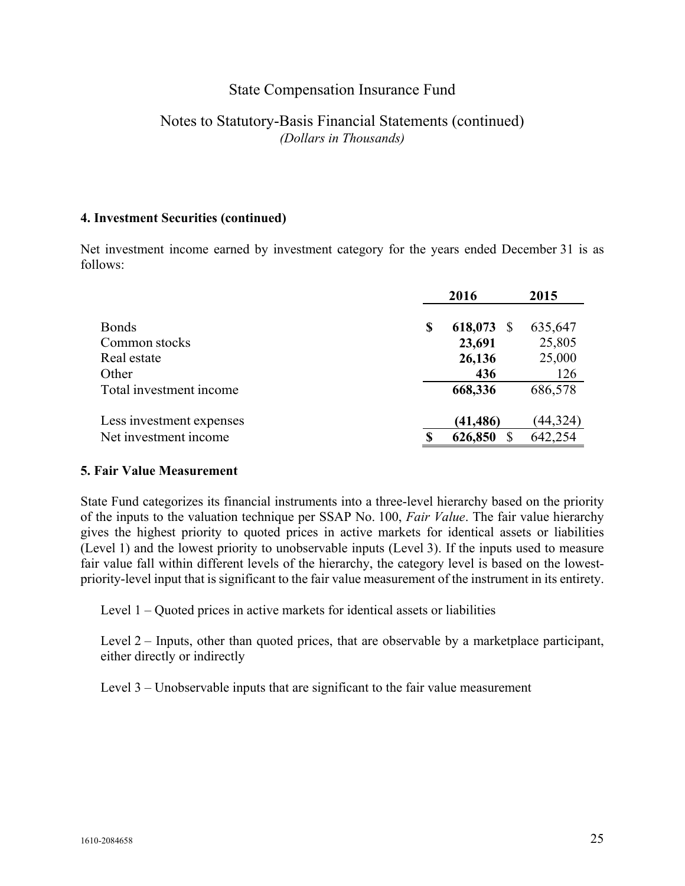# Notes to Statutory-Basis Financial Statements (continued) *(Dollars in Thousands)*

#### **4. Investment Securities (continued)**

Net investment income earned by investment category for the years ended December 31 is as follows:

|                          |   | 2016      | 2015      |
|--------------------------|---|-----------|-----------|
| <b>Bonds</b>             | S | 618,073   | 635,647   |
| Common stocks            |   | 23,691    | 25,805    |
| Real estate              |   | 26,136    | 25,000    |
| Other                    |   | 436       | 126       |
| Total investment income  |   | 668,336   | 686,578   |
| Less investment expenses |   | (41, 486) | (44, 324) |
| Net investment income    | S | 626,850   | 642,254   |

#### **5. Fair Value Measurement**

State Fund categorizes its financial instruments into a three-level hierarchy based on the priority of the inputs to the valuation technique per SSAP No. 100, *Fair Value*. The fair value hierarchy gives the highest priority to quoted prices in active markets for identical assets or liabilities (Level 1) and the lowest priority to unobservable inputs (Level 3). If the inputs used to measure fair value fall within different levels of the hierarchy, the category level is based on the lowestpriority-level input that is significant to the fair value measurement of the instrument in its entirety.

Level 1 – Quoted prices in active markets for identical assets or liabilities

Level 2 – Inputs, other than quoted prices, that are observable by a marketplace participant, either directly or indirectly

Level 3 – Unobservable inputs that are significant to the fair value measurement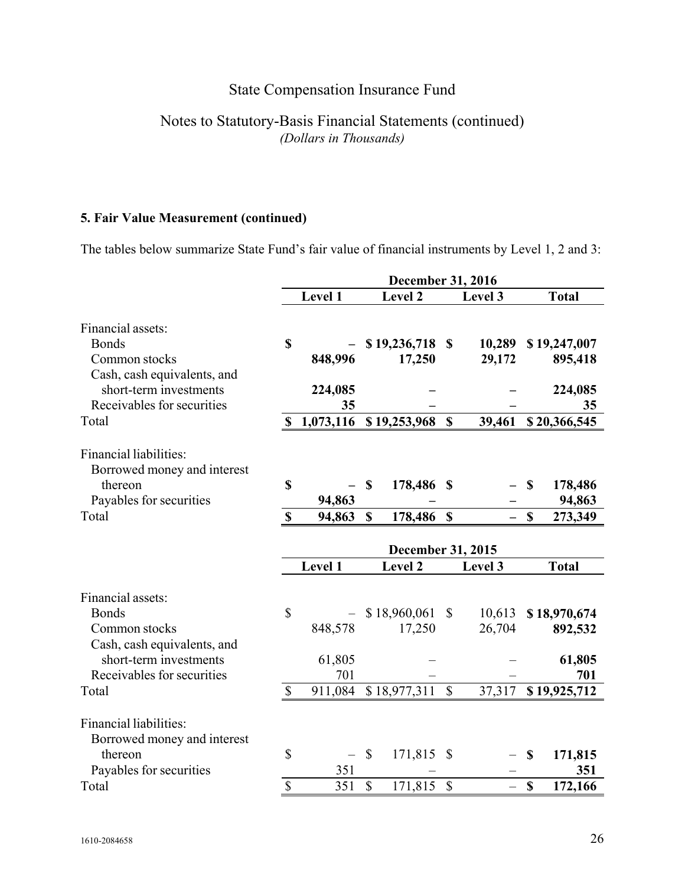# Notes to Statutory-Basis Financial Statements (continued) *(Dollars in Thousands)*

# **5. Fair Value Measurement (continued)**

The tables below summarize State Fund's fair value of financial instruments by Level 1, 2 and 3:

|                                                       |                           |           |                           | <b>December 31, 2016</b> |                    |         |                           |              |
|-------------------------------------------------------|---------------------------|-----------|---------------------------|--------------------------|--------------------|---------|---------------------------|--------------|
|                                                       |                           | Level 1   |                           | Level 2                  |                    | Level 3 |                           | <b>Total</b> |
| Financial assets:                                     |                           |           |                           |                          |                    |         |                           |              |
| <b>Bonds</b>                                          | \$                        |           |                           | \$19,236,718 \$          |                    | 10,289  |                           | \$19,247,007 |
| Common stocks                                         |                           | 848,996   |                           | 17,250                   |                    | 29,172  |                           | 895,418      |
| Cash, cash equivalents, and<br>short-term investments |                           | 224,085   |                           |                          |                    |         |                           | 224,085      |
| Receivables for securities                            |                           | 35        |                           |                          |                    |         |                           | 35           |
| Total                                                 | $\mathbf S$               | 1,073,116 |                           | \$19,253,968             | $\mathbf{\hat{s}}$ | 39,461  |                           | \$20,366,545 |
| Financial liabilities:<br>Borrowed money and interest |                           |           |                           |                          |                    |         |                           |              |
| thereon                                               | \$                        |           | $\boldsymbol{\mathsf{S}}$ | 178,486                  | -S                 |         | \$                        | 178,486      |
| Payables for securities                               |                           | 94,863    |                           |                          |                    |         |                           | 94,863       |
| Total                                                 | $\mathbf S$               | 94,863    | $\mathbf S$               | 178,486                  | $\mathbf S$        |         | $\mathbf S$               | 273,349      |
|                                                       |                           |           |                           | <b>December 31, 2015</b> |                    |         |                           |              |
|                                                       |                           | Level 1   |                           | Level 2                  |                    | Level 3 |                           | <b>Total</b> |
| Financial assets:                                     |                           |           |                           |                          |                    |         |                           |              |
| <b>Bonds</b>                                          | \$                        |           |                           | \$18,960,061             | $\mathbb{S}$       | 10,613  |                           | \$18,970,674 |
| Common stocks                                         |                           | 848,578   |                           | 17,250                   |                    | 26,704  |                           | 892,532      |
| Cash, cash equivalents, and<br>short-term investments |                           | 61,805    |                           |                          |                    |         |                           | 61,805       |
| Receivables for securities                            |                           | 701       |                           |                          |                    |         |                           | 701          |
| Total                                                 | $\mathbb{S}$              | 911,084   |                           | \$18,977,311             | $\mathsf{\$}$      | 37,317  |                           | \$19,925,712 |
| Financial liabilities:<br>Borrowed money and interest |                           |           |                           |                          |                    |         |                           |              |
| thereon                                               | \$                        |           | $\mathsf{\$}$             | 171,815                  | \$                 |         | $\boldsymbol{\mathsf{S}}$ | 171,815      |
|                                                       |                           |           |                           |                          |                    |         |                           |              |
|                                                       |                           | 351       |                           |                          |                    |         |                           | 351          |
| Payables for securities<br>Total                      | $\boldsymbol{\mathsf{S}}$ | 351       | \$                        | 171,815                  | $\mathcal{S}$      |         | \$                        | 172,166      |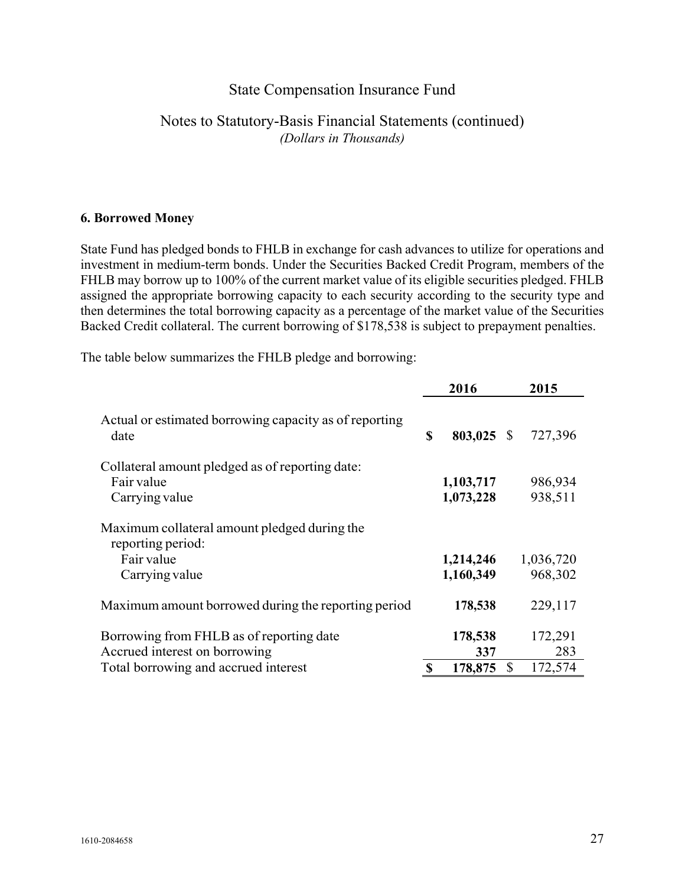# Notes to Statutory-Basis Financial Statements (continued) *(Dollars in Thousands)*

#### **6. Borrowed Money**

State Fund has pledged bonds to FHLB in exchange for cash advances to utilize for operations and investment in medium-term bonds. Under the Securities Backed Credit Program, members of the FHLB may borrow up to 100% of the current market value of its eligible securities pledged. FHLB assigned the appropriate borrowing capacity to each security according to the security type and then determines the total borrowing capacity as a percentage of the market value of the Securities Backed Credit collateral. The current borrowing of \$178,538 is subject to prepayment penalties.

The table below summarizes the FHLB pledge and borrowing:

|   | 2016                   |         | 2015                      |
|---|------------------------|---------|---------------------------|
| S |                        |         | 727,396                   |
|   | 1,103,717<br>1,073,228 |         | 986,934<br>938,511        |
|   | 1,214,246<br>1,160,349 |         | 1,036,720<br>968,302      |
|   | 178,538                |         | 229,117                   |
|   | 178,538<br>337         |         | 172,291<br>283<br>172,574 |
|   | S                      | 178,875 | 803,025 \$                |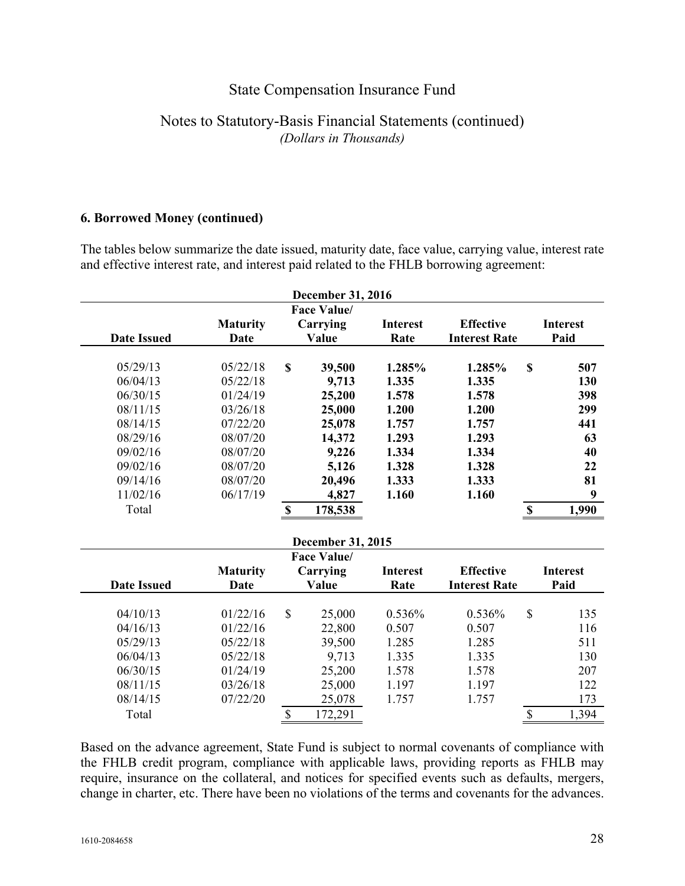# Notes to Statutory-Basis Financial Statements (continued) *(Dollars in Thousands)*

#### **6. Borrowed Money (continued)**

The tables below summarize the date issued, maturity date, face value, carrying value, interest rate and effective interest rate, and interest paid related to the FHLB borrowing agreement:

|                    |                 |              | December 31, 2016        |                 |                      |                           |                 |
|--------------------|-----------------|--------------|--------------------------|-----------------|----------------------|---------------------------|-----------------|
|                    |                 |              | <b>Face Value/</b>       |                 |                      |                           |                 |
|                    | <b>Maturity</b> |              | Carrying                 | <b>Interest</b> | <b>Effective</b>     |                           | <b>Interest</b> |
| <b>Date Issued</b> | Date            |              | Value                    | Rate            | <b>Interest Rate</b> |                           | Paid            |
|                    |                 |              |                          |                 |                      |                           |                 |
| 05/29/13           | 05/22/18        | $\mathbf S$  | 39,500                   | 1.285%          | 1.285%               | \$                        | 507             |
| 06/04/13           | 05/22/18        |              | 9,713                    | 1.335           | 1.335                |                           | 130             |
| 06/30/15           | 01/24/19        |              | 25,200                   | 1.578           | 1.578                |                           | 398             |
| 08/11/15           | 03/26/18        |              | 25,000                   | 1.200           | 1.200                |                           | 299             |
| 08/14/15           | 07/22/20        |              | 25,078                   | 1.757           | 1.757                |                           | 441             |
| 08/29/16           | 08/07/20        |              | 14,372                   | 1.293           | 1.293                |                           | 63              |
| 09/02/16           | 08/07/20        |              | 9,226                    | 1.334           | 1.334                |                           | 40              |
| 09/02/16           | 08/07/20        |              | 5,126                    | 1.328           | 1.328                |                           | 22              |
| 09/14/16           | 08/07/20        |              | 20,496                   | 1.333           | 1.333                |                           | 81              |
| 11/02/16           | 06/17/19        |              | 4,827                    | 1.160           | 1.160                |                           | 9               |
| Total              |                 | \$           | 178,538                  |                 |                      | $\boldsymbol{\mathsf{S}}$ | 1,990           |
|                    |                 |              | <b>December 31, 2015</b> |                 |                      |                           |                 |
|                    |                 |              | <b>Face Value/</b>       |                 |                      |                           |                 |
|                    | <b>Maturity</b> |              | Carrying                 | <b>Interest</b> | <b>Effective</b>     |                           | <b>Interest</b> |
| <b>Date Issued</b> | <b>Date</b>     |              | Value                    | Rate            | <b>Interest Rate</b> |                           | Paid            |
| 04/10/13           | 01/22/16        | $\mathbb{S}$ | 25,000                   | 0.536%          | 0.536%               | \$                        | 135             |
| 04/16/13           | 01/22/16        |              | 22,800                   | 0.507           | 0.507                |                           | 116             |
| 05/29/13           | 05/22/18        |              | 39,500                   | 1.285           | 1.285                |                           | 511             |
| 06/04/13           | 05/22/18        |              | 9,713                    | 1.335           | 1.335                |                           | 130             |
| 06/30/15           | 01/24/19        |              | 25,200                   | 1.578           | 1.578                |                           | 207             |
| 08/11/15           | 03/26/18        |              | 25,000                   | 1.197           | 1.197                |                           | 122             |
| 08/14/15           | 07/22/20        |              | 25,078                   | 1.757           | 1.757                |                           | 173             |
| Total              |                 | \$           | 172,291                  |                 |                      | $\boldsymbol{\mathsf{S}}$ | 1,394           |
|                    |                 |              |                          |                 |                      |                           |                 |

Based on the advance agreement, State Fund is subject to normal covenants of compliance with the FHLB credit program, compliance with applicable laws, providing reports as FHLB may require, insurance on the collateral, and notices for specified events such as defaults, mergers, change in charter, etc. There have been no violations of the terms and covenants for the advances.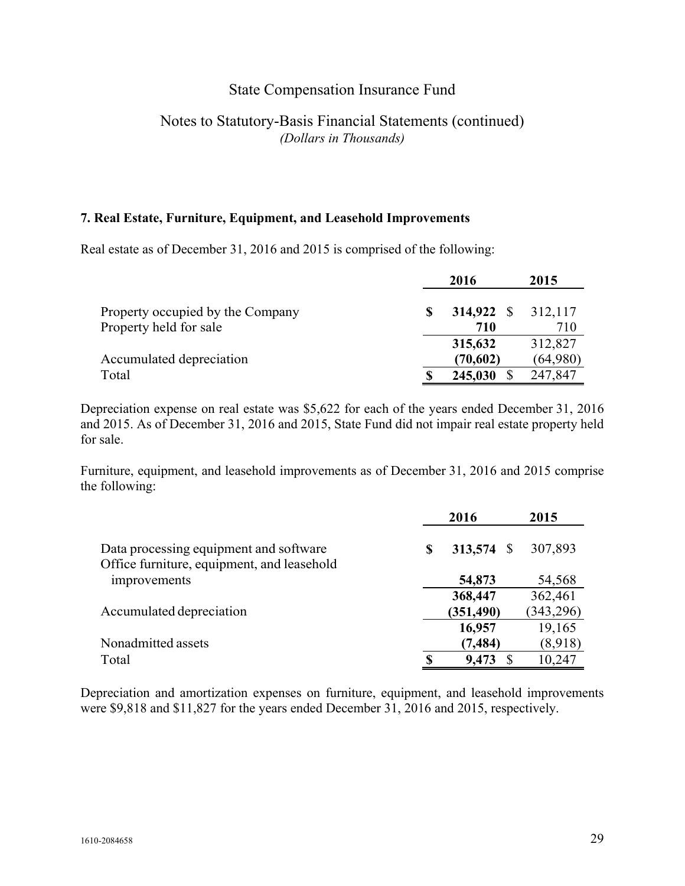## Notes to Statutory-Basis Financial Statements (continued) *(Dollars in Thousands)*

#### **7. Real Estate, Furniture, Equipment, and Leasehold Improvements**

Real estate as of December 31, 2016 and 2015 is comprised of the following:

|                                  |   | 2016               | 2015     |
|----------------------------------|---|--------------------|----------|
| Property occupied by the Company | S | 314,922 \$ 312,117 |          |
| Property held for sale           |   | 710                | 710      |
|                                  |   | 315,632            | 312,827  |
| Accumulated depreciation         |   | (70, 602)          | (64,980) |
| Total                            |   | 245,030            | 247,847  |

Depreciation expense on real estate was \$5,622 for each of the years ended December 31, 2016 and 2015. As of December 31, 2016 and 2015, State Fund did not impair real estate property held for sale.

Furniture, equipment, and leasehold improvements as of December 31, 2016 and 2015 comprise the following:

|                                                                                      |    | 2016       | 2015       |
|--------------------------------------------------------------------------------------|----|------------|------------|
| Data processing equipment and software<br>Office furniture, equipment, and leasehold | S  | 313,574 \$ | 307,893    |
| improvements                                                                         |    | 54,873     | 54,568     |
|                                                                                      |    | 368,447    | 362,461    |
| Accumulated depreciation                                                             |    | (351, 490) | (343, 296) |
|                                                                                      |    | 16,957     | 19,165     |
| Nonadmitted assets                                                                   |    | (7, 484)   | (8,918)    |
| Total                                                                                | \$ | 9,473      | 10,247     |

Depreciation and amortization expenses on furniture, equipment, and leasehold improvements were \$9,818 and \$11,827 for the years ended December 31, 2016 and 2015, respectively.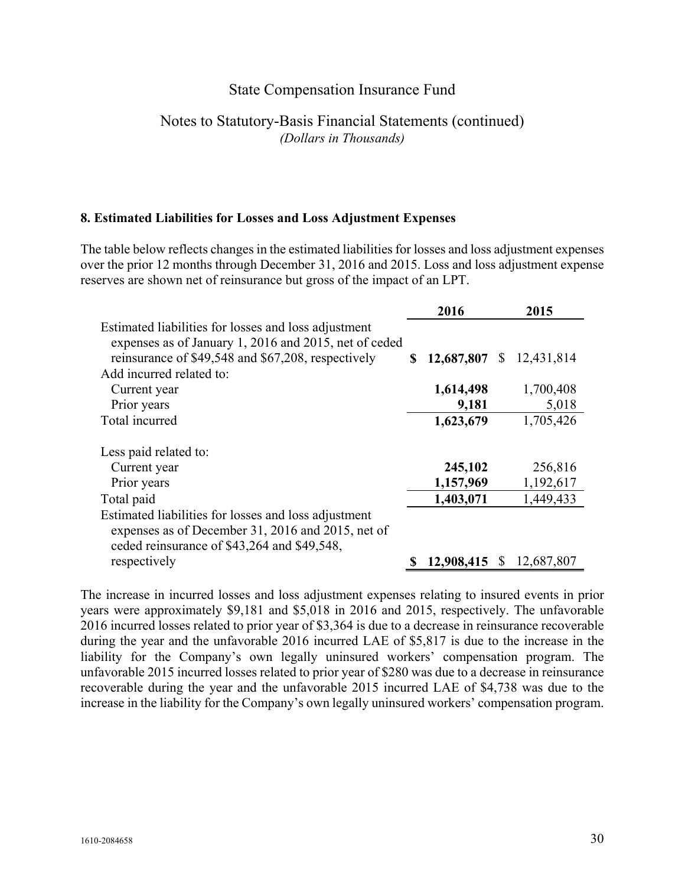## Notes to Statutory-Basis Financial Statements (continued) *(Dollars in Thousands)*

#### **8. Estimated Liabilities for Losses and Loss Adjustment Expenses**

The table below reflects changes in the estimated liabilities for losses and loss adjustment expenses over the prior 12 months through December 31, 2016 and 2015. Loss and loss adjustment expense reserves are shown net of reinsurance but gross of the impact of an LPT.

|                                                                                                               |   | 2016       | 2015             |
|---------------------------------------------------------------------------------------------------------------|---|------------|------------------|
| Estimated liabilities for losses and loss adjustment<br>expenses as of January 1, 2016 and 2015, net of ceded |   |            |                  |
| reinsurance of \$49,548 and \$67,208, respectively                                                            | S | 12,687,807 | \$<br>12,431,814 |
| Add incurred related to:                                                                                      |   |            |                  |
| Current year                                                                                                  |   | 1,614,498  | 1,700,408        |
| Prior years                                                                                                   |   | 9,181      | 5,018            |
| Total incurred                                                                                                |   | 1,623,679  | 1,705,426        |
| Less paid related to:                                                                                         |   |            |                  |
| Current year                                                                                                  |   | 245,102    | 256,816          |
| Prior years                                                                                                   |   | 1,157,969  | 1,192,617        |
| Total paid                                                                                                    |   | 1,403,071  | 1,449,433        |
| Estimated liabilities for losses and loss adjustment                                                          |   |            |                  |
| expenses as of December 31, 2016 and 2015, net of                                                             |   |            |                  |
| ceded reinsurance of \$43,264 and \$49,548,                                                                   |   |            |                  |
| respectively                                                                                                  |   | 12,908,415 | \$12,687,807     |

The increase in incurred losses and loss adjustment expenses relating to insured events in prior years were approximately \$9,181 and \$5,018 in 2016 and 2015, respectively. The unfavorable 2016 incurred losses related to prior year of \$3,364 is due to a decrease in reinsurance recoverable during the year and the unfavorable 2016 incurred LAE of \$5,817 is due to the increase in the liability for the Company's own legally uninsured workers' compensation program. The unfavorable 2015 incurred losses related to prior year of \$280 was due to a decrease in reinsurance recoverable during the year and the unfavorable 2015 incurred LAE of \$4,738 was due to the increase in the liability for the Company's own legally uninsured workers' compensation program.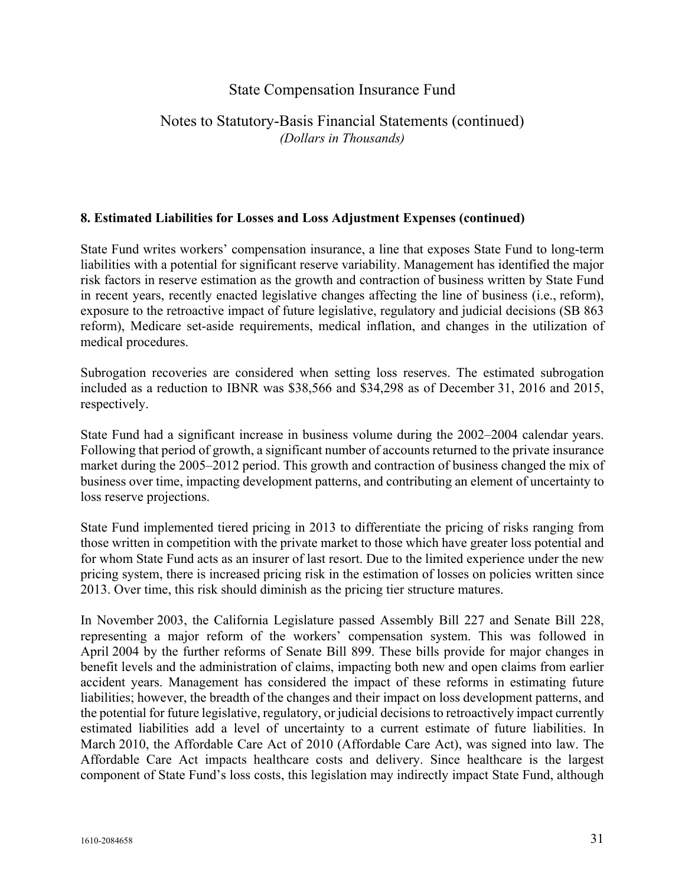# Notes to Statutory-Basis Financial Statements (continued) *(Dollars in Thousands)*

#### **8. Estimated Liabilities for Losses and Loss Adjustment Expenses (continued)**

State Fund writes workers' compensation insurance, a line that exposes State Fund to long-term liabilities with a potential for significant reserve variability. Management has identified the major risk factors in reserve estimation as the growth and contraction of business written by State Fund in recent years, recently enacted legislative changes affecting the line of business (i.e., reform), exposure to the retroactive impact of future legislative, regulatory and judicial decisions (SB 863 reform), Medicare set-aside requirements, medical inflation, and changes in the utilization of medical procedures.

Subrogation recoveries are considered when setting loss reserves. The estimated subrogation included as a reduction to IBNR was \$38,566 and \$34,298 as of December 31, 2016 and 2015, respectively.

State Fund had a significant increase in business volume during the 2002–2004 calendar years. Following that period of growth, a significant number of accounts returned to the private insurance market during the 2005–2012 period. This growth and contraction of business changed the mix of business over time, impacting development patterns, and contributing an element of uncertainty to loss reserve projections.

State Fund implemented tiered pricing in 2013 to differentiate the pricing of risks ranging from those written in competition with the private market to those which have greater loss potential and for whom State Fund acts as an insurer of last resort. Due to the limited experience under the new pricing system, there is increased pricing risk in the estimation of losses on policies written since 2013. Over time, this risk should diminish as the pricing tier structure matures.

In November 2003, the California Legislature passed Assembly Bill 227 and Senate Bill 228, representing a major reform of the workers' compensation system. This was followed in April 2004 by the further reforms of Senate Bill 899. These bills provide for major changes in benefit levels and the administration of claims, impacting both new and open claims from earlier accident years. Management has considered the impact of these reforms in estimating future liabilities; however, the breadth of the changes and their impact on loss development patterns, and the potential for future legislative, regulatory, or judicial decisions to retroactively impact currently estimated liabilities add a level of uncertainty to a current estimate of future liabilities. In March 2010, the Affordable Care Act of 2010 (Affordable Care Act), was signed into law. The Affordable Care Act impacts healthcare costs and delivery. Since healthcare is the largest component of State Fund's loss costs, this legislation may indirectly impact State Fund, although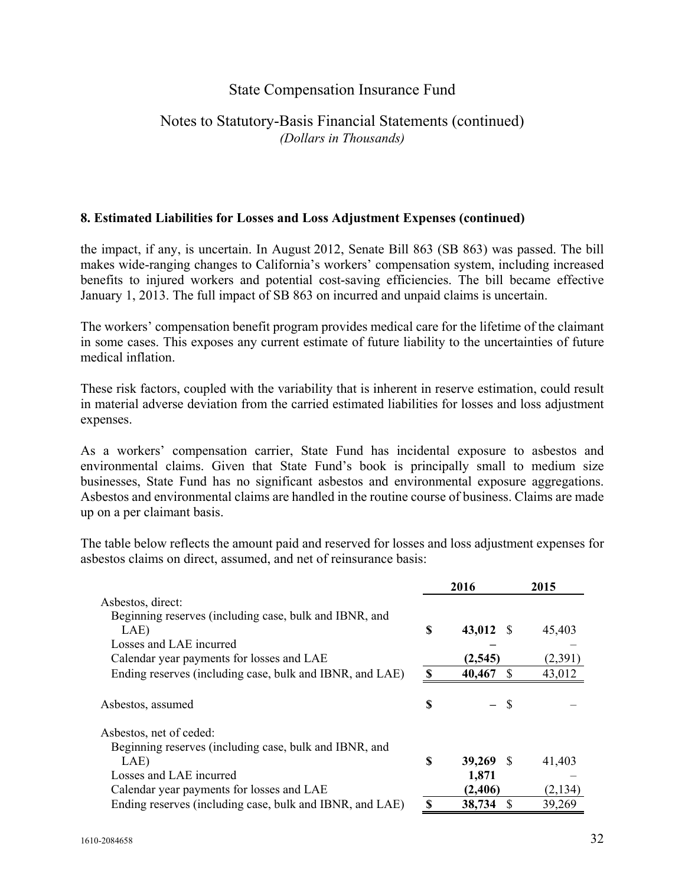# Notes to Statutory-Basis Financial Statements (continued) *(Dollars in Thousands)*

#### **8. Estimated Liabilities for Losses and Loss Adjustment Expenses (continued)**

the impact, if any, is uncertain. In August 2012, Senate Bill 863 (SB 863) was passed. The bill makes wide-ranging changes to California's workers' compensation system, including increased benefits to injured workers and potential cost-saving efficiencies. The bill became effective January 1, 2013. The full impact of SB 863 on incurred and unpaid claims is uncertain.

The workers' compensation benefit program provides medical care for the lifetime of the claimant in some cases. This exposes any current estimate of future liability to the uncertainties of future medical inflation.

These risk factors, coupled with the variability that is inherent in reserve estimation, could result in material adverse deviation from the carried estimated liabilities for losses and loss adjustment expenses.

As a workers' compensation carrier, State Fund has incidental exposure to asbestos and environmental claims. Given that State Fund's book is principally small to medium size businesses, State Fund has no significant asbestos and environmental exposure aggregations. Asbestos and environmental claims are handled in the routine course of business. Claims are made up on a per claimant basis.

The table below reflects the amount paid and reserved for losses and loss adjustment expenses for asbestos claims on direct, assumed, and net of reinsurance basis:

|                                                          |    | 2016           |   | 2015     |
|----------------------------------------------------------|----|----------------|---|----------|
| Asbestos, direct:                                        |    |                |   |          |
| Beginning reserves (including case, bulk and IBNR, and   |    |                |   |          |
| LAE)                                                     | S  | 43,012 $\sqrt$ |   | 45,403   |
| Losses and LAE incurred                                  |    |                |   |          |
| Calendar year payments for losses and LAE                |    | (2,545)        |   | (2,391)  |
| Ending reserves (including case, bulk and IBNR, and LAE) | S  | 40,467         | S | 43,012   |
| Asbestos, assumed                                        | \$ | - \$           |   |          |
| Asbestos, net of ceded:                                  |    |                |   |          |
| Beginning reserves (including case, bulk and IBNR, and   |    |                |   |          |
| LAE)                                                     | S  | $39,269$ \$    |   | 41,403   |
| Losses and LAE incurred                                  |    | 1,871          |   |          |
| Calendar year payments for losses and LAE                |    | (2,406)        |   | (2, 134) |
| Ending reserves (including case, bulk and IBNR, and LAE) | \$ | 38,734         |   | 39,269   |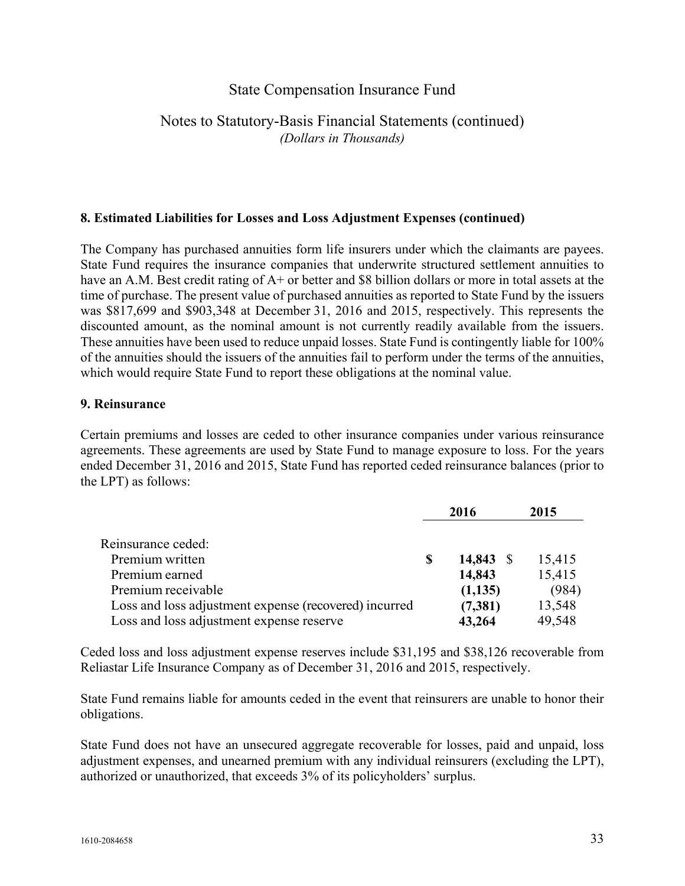# Notes to Statutory-Basis Financial Statements (continued) *(Dollars in Thousands)*

#### **8. Estimated Liabilities for Losses and Loss Adjustment Expenses (continued)**

The Company has purchased annuities form life insurers under which the claimants are payees. State Fund requires the insurance companies that underwrite structured settlement annuities to have an A.M. Best credit rating of A+ or better and \$8 billion dollars or more in total assets at the time of purchase. The present value of purchased annuities as reported to State Fund by the issuers was \$817,699 and \$903,348 at December 31, 2016 and 2015, respectively. This represents the discounted amount, as the nominal amount is not currently readily available from the issuers. These annuities have been used to reduce unpaid losses. State Fund is contingently liable for 100% of the annuities should the issuers of the annuities fail to perform under the terms of the annuities, which would require State Fund to report these obligations at the nominal value.

#### **9. Reinsurance**

Certain premiums and losses are ceded to other insurance companies under various reinsurance agreements. These agreements are used by State Fund to manage exposure to loss. For the years ended December 31, 2016 and 2015, State Fund has reported ceded reinsurance balances (prior to the LPT) as follows:

|   | 2016           | 2015   |
|---|----------------|--------|
|   |                |        |
| S | 14,843 $\sqrt$ | 15,415 |
|   | 14,843         | 15,415 |
|   | (1,135)        | (984)  |
|   | (7,381)        | 13,548 |
|   | 43,264         | 49,548 |
|   |                |        |

Ceded loss and loss adjustment expense reserves include \$31,195 and \$38,126 recoverable from Reliastar Life Insurance Company as of December 31, 2016 and 2015, respectively.

State Fund remains liable for amounts ceded in the event that reinsurers are unable to honor their obligations.

State Fund does not have an unsecured aggregate recoverable for losses, paid and unpaid, loss adjustment expenses, and unearned premium with any individual reinsurers (excluding the LPT), authorized or unauthorized, that exceeds 3% of its policyholders' surplus.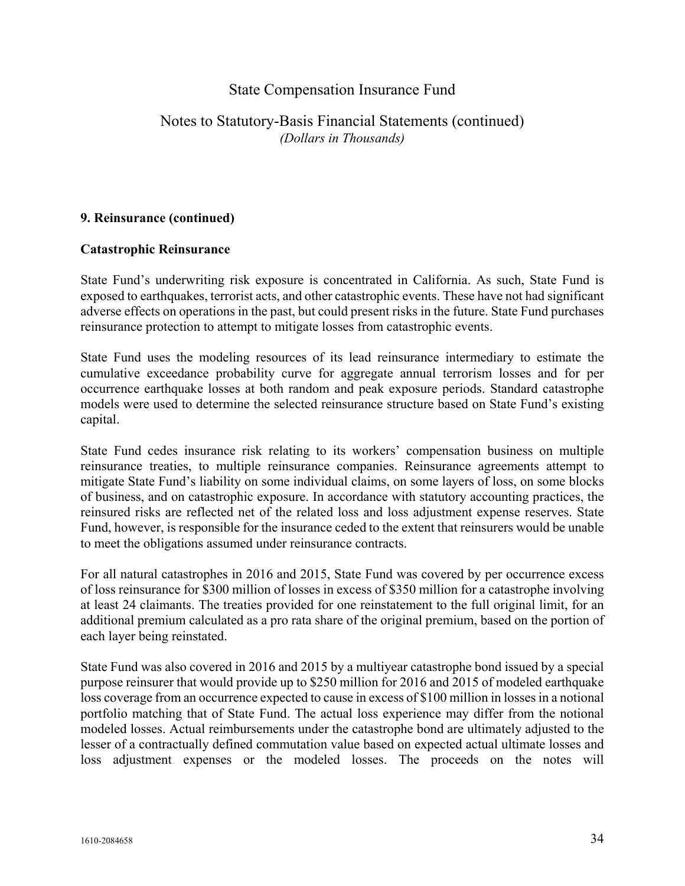# Notes to Statutory-Basis Financial Statements (continued) *(Dollars in Thousands)*

#### **9. Reinsurance (continued)**

#### **Catastrophic Reinsurance**

State Fund's underwriting risk exposure is concentrated in California. As such, State Fund is exposed to earthquakes, terrorist acts, and other catastrophic events. These have not had significant adverse effects on operations in the past, but could present risks in the future. State Fund purchases reinsurance protection to attempt to mitigate losses from catastrophic events.

State Fund uses the modeling resources of its lead reinsurance intermediary to estimate the cumulative exceedance probability curve for aggregate annual terrorism losses and for per occurrence earthquake losses at both random and peak exposure periods. Standard catastrophe models were used to determine the selected reinsurance structure based on State Fund's existing capital.

State Fund cedes insurance risk relating to its workers' compensation business on multiple reinsurance treaties, to multiple reinsurance companies. Reinsurance agreements attempt to mitigate State Fund's liability on some individual claims, on some layers of loss, on some blocks of business, and on catastrophic exposure. In accordance with statutory accounting practices, the reinsured risks are reflected net of the related loss and loss adjustment expense reserves. State Fund, however, is responsible for the insurance ceded to the extent that reinsurers would be unable to meet the obligations assumed under reinsurance contracts.

For all natural catastrophes in 2016 and 2015, State Fund was covered by per occurrence excess of loss reinsurance for \$300 million of losses in excess of \$350 million for a catastrophe involving at least 24 claimants. The treaties provided for one reinstatement to the full original limit, for an additional premium calculated as a pro rata share of the original premium, based on the portion of each layer being reinstated.

State Fund was also covered in 2016 and 2015 by a multiyear catastrophe bond issued by a special purpose reinsurer that would provide up to \$250 million for 2016 and 2015 of modeled earthquake loss coverage from an occurrence expected to cause in excess of \$100 million in losses in a notional portfolio matching that of State Fund. The actual loss experience may differ from the notional modeled losses. Actual reimbursements under the catastrophe bond are ultimately adjusted to the lesser of a contractually defined commutation value based on expected actual ultimate losses and loss adjustment expenses or the modeled losses. The proceeds on the notes will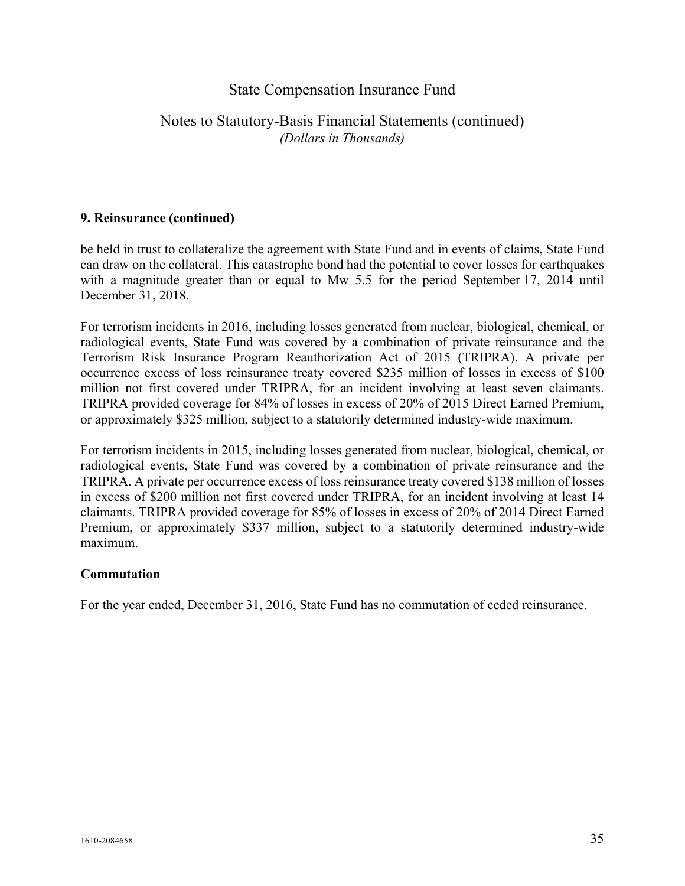# Notes to Statutory-Basis Financial Statements (continued) *(Dollars in Thousands)*

#### **9. Reinsurance (continued)**

be held in trust to collateralize the agreement with State Fund and in events of claims, State Fund can draw on the collateral. This catastrophe bond had the potential to cover losses for earthquakes with a magnitude greater than or equal to Mw 5.5 for the period September 17, 2014 until December 31, 2018.

For terrorism incidents in 2016, including losses generated from nuclear, biological, chemical, or radiological events, State Fund was covered by a combination of private reinsurance and the Terrorism Risk Insurance Program Reauthorization Act of 2015 (TRIPRA). A private per occurrence excess of loss reinsurance treaty covered \$235 million of losses in excess of \$100 million not first covered under TRIPRA, for an incident involving at least seven claimants. TRIPRA provided coverage for 84% of losses in excess of 20% of 2015 Direct Earned Premium, or approximately \$325 million, subject to a statutorily determined industry-wide maximum.

For terrorism incidents in 2015, including losses generated from nuclear, biological, chemical, or radiological events, State Fund was covered by a combination of private reinsurance and the TRIPRA. A private per occurrence excess of loss reinsurance treaty covered \$138 million of losses in excess of \$200 million not first covered under TRIPRA, for an incident involving at least 14 claimants. TRIPRA provided coverage for 85% of losses in excess of 20% of 2014 Direct Earned Premium, or approximately \$337 million, subject to a statutorily determined industry-wide maximum.

#### **Commutation**

For the year ended, December 31, 2016, State Fund has no commutation of ceded reinsurance.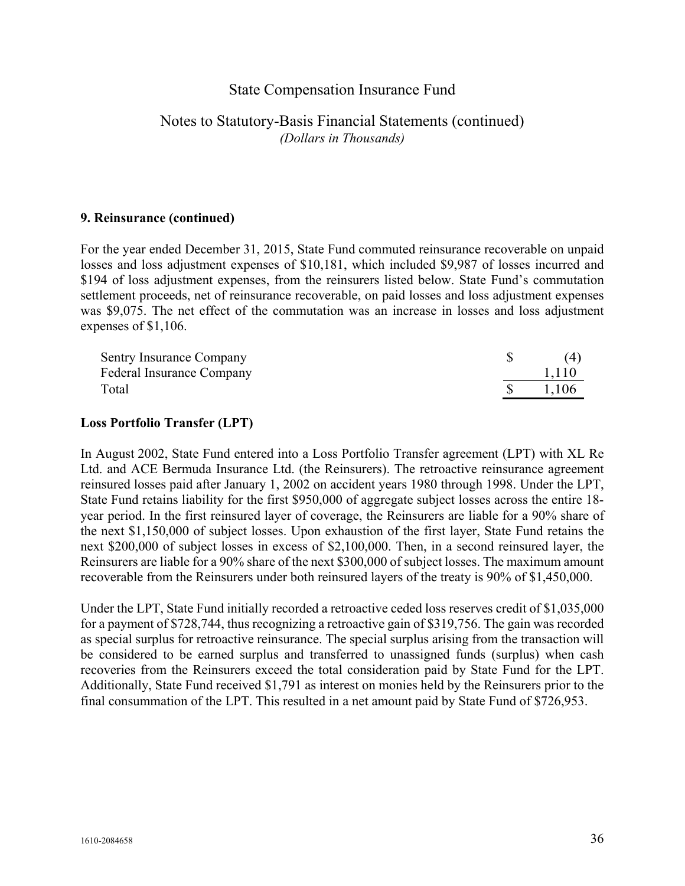# Notes to Statutory-Basis Financial Statements (continued) *(Dollars in Thousands)*

#### **9. Reinsurance (continued)**

For the year ended December 31, 2015, State Fund commuted reinsurance recoverable on unpaid losses and loss adjustment expenses of \$10,181, which included \$9,987 of losses incurred and \$194 of loss adjustment expenses, from the reinsurers listed below. State Fund's commutation settlement proceeds, net of reinsurance recoverable, on paid losses and loss adjustment expenses was \$9,075. The net effect of the commutation was an increase in losses and loss adjustment expenses of \$1,106.

| Sentry Insurance Company         | (4)   |
|----------------------------------|-------|
| <b>Federal Insurance Company</b> | 1,110 |
| Total                            | 1,106 |

#### **Loss Portfolio Transfer (LPT)**

In August 2002, State Fund entered into a Loss Portfolio Transfer agreement (LPT) with XL Re Ltd. and ACE Bermuda Insurance Ltd. (the Reinsurers). The retroactive reinsurance agreement reinsured losses paid after January 1, 2002 on accident years 1980 through 1998. Under the LPT, State Fund retains liability for the first \$950,000 of aggregate subject losses across the entire 18 year period. In the first reinsured layer of coverage, the Reinsurers are liable for a 90% share of the next \$1,150,000 of subject losses. Upon exhaustion of the first layer, State Fund retains the next \$200,000 of subject losses in excess of \$2,100,000. Then, in a second reinsured layer, the Reinsurers are liable for a 90% share of the next \$300,000 of subject losses. The maximum amount recoverable from the Reinsurers under both reinsured layers of the treaty is 90% of \$1,450,000.

Under the LPT, State Fund initially recorded a retroactive ceded loss reserves credit of \$1,035,000 for a payment of \$728,744, thus recognizing a retroactive gain of \$319,756. The gain was recorded as special surplus for retroactive reinsurance. The special surplus arising from the transaction will be considered to be earned surplus and transferred to unassigned funds (surplus) when cash recoveries from the Reinsurers exceed the total consideration paid by State Fund for the LPT. Additionally, State Fund received \$1,791 as interest on monies held by the Reinsurers prior to the final consummation of the LPT. This resulted in a net amount paid by State Fund of \$726,953.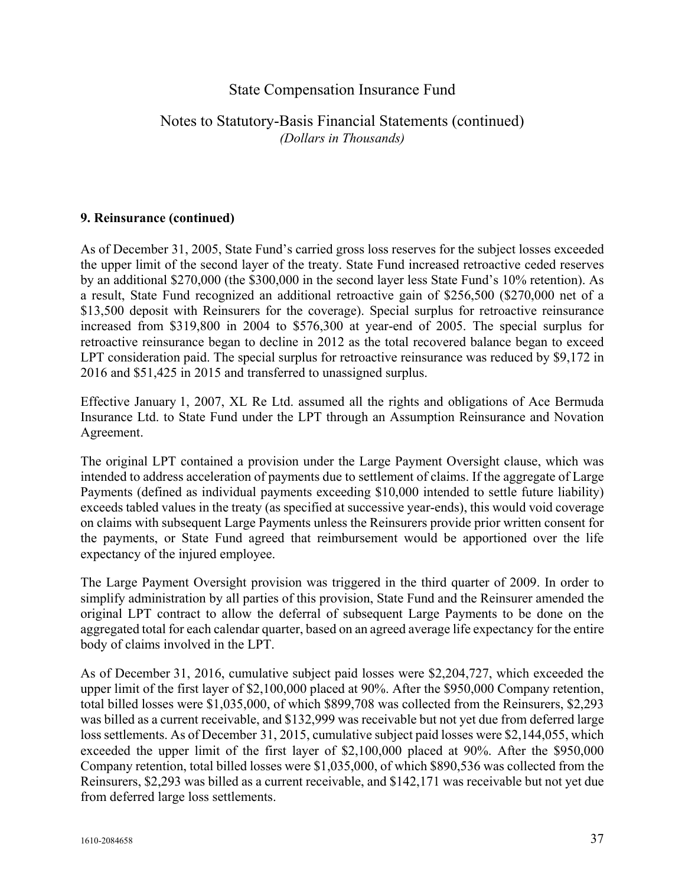# Notes to Statutory-Basis Financial Statements (continued) *(Dollars in Thousands)*

#### **9. Reinsurance (continued)**

As of December 31, 2005, State Fund's carried gross loss reserves for the subject losses exceeded the upper limit of the second layer of the treaty. State Fund increased retroactive ceded reserves by an additional \$270,000 (the \$300,000 in the second layer less State Fund's 10% retention). As a result, State Fund recognized an additional retroactive gain of \$256,500 (\$270,000 net of a \$13,500 deposit with Reinsurers for the coverage). Special surplus for retroactive reinsurance increased from \$319,800 in 2004 to \$576,300 at year-end of 2005. The special surplus for retroactive reinsurance began to decline in 2012 as the total recovered balance began to exceed LPT consideration paid. The special surplus for retroactive reinsurance was reduced by \$9,172 in 2016 and \$51,425 in 2015 and transferred to unassigned surplus.

Effective January 1, 2007, XL Re Ltd. assumed all the rights and obligations of Ace Bermuda Insurance Ltd. to State Fund under the LPT through an Assumption Reinsurance and Novation Agreement.

The original LPT contained a provision under the Large Payment Oversight clause, which was intended to address acceleration of payments due to settlement of claims. If the aggregate of Large Payments (defined as individual payments exceeding \$10,000 intended to settle future liability) exceeds tabled values in the treaty (as specified at successive year-ends), this would void coverage on claims with subsequent Large Payments unless the Reinsurers provide prior written consent for the payments, or State Fund agreed that reimbursement would be apportioned over the life expectancy of the injured employee.

The Large Payment Oversight provision was triggered in the third quarter of 2009. In order to simplify administration by all parties of this provision, State Fund and the Reinsurer amended the original LPT contract to allow the deferral of subsequent Large Payments to be done on the aggregated total for each calendar quarter, based on an agreed average life expectancy for the entire body of claims involved in the LPT.

As of December 31, 2016, cumulative subject paid losses were \$2,204,727, which exceeded the upper limit of the first layer of \$2,100,000 placed at 90%. After the \$950,000 Company retention, total billed losses were \$1,035,000, of which \$899,708 was collected from the Reinsurers, \$2,293 was billed as a current receivable, and \$132,999 was receivable but not yet due from deferred large loss settlements. As of December 31, 2015, cumulative subject paid losses were \$2,144,055, which exceeded the upper limit of the first layer of \$2,100,000 placed at 90%. After the \$950,000 Company retention, total billed losses were \$1,035,000, of which \$890,536 was collected from the Reinsurers, \$2,293 was billed as a current receivable, and \$142,171 was receivable but not yet due from deferred large loss settlements.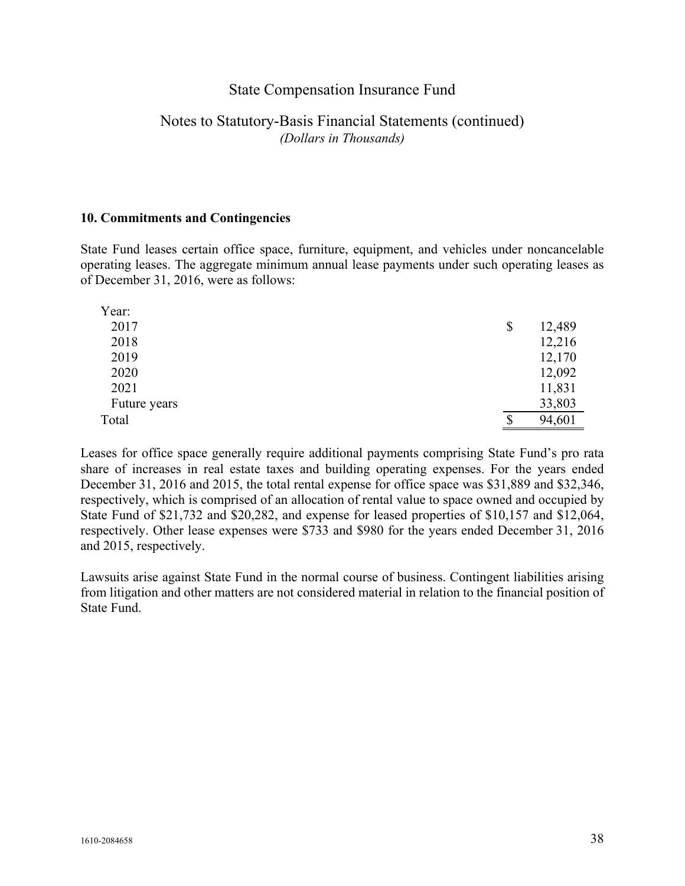#### Notes to Statutory-Basis Financial Statements (continued) *(Dollars in Thousands)*

#### **10. Commitments and Contingencies**

State Fund leases certain office space, furniture, equipment, and vehicles under noncancelable operating leases. The aggregate minimum annual lease payments under such operating leases as of December 31, 2016, were as follows:

| Year:        |              |
|--------------|--------------|
| 2017         | \$<br>12,489 |
| 2018         | 12,216       |
| 2019         | 12,170       |
| 2020         | 12,092       |
| 2021         | 11,831       |
| Future years | 33,803       |
| Total        | \$<br>94,601 |

Leases for office space generally require additional payments comprising State Fund's pro rata share of increases in real estate taxes and building operating expenses. For the years ended December 31, 2016 and 2015, the total rental expense for office space was \$31,889 and \$32,346, respectively, which is comprised of an allocation of rental value to space owned and occupied by State Fund of \$21,732 and \$20,282, and expense for leased properties of \$10,157 and \$12,064, respectively. Other lease expenses were \$733 and \$980 for the years ended December 31, 2016 and 2015, respectively.

Lawsuits arise against State Fund in the normal course of business. Contingent liabilities arising from litigation and other matters are not considered material in relation to the financial position of State Fund.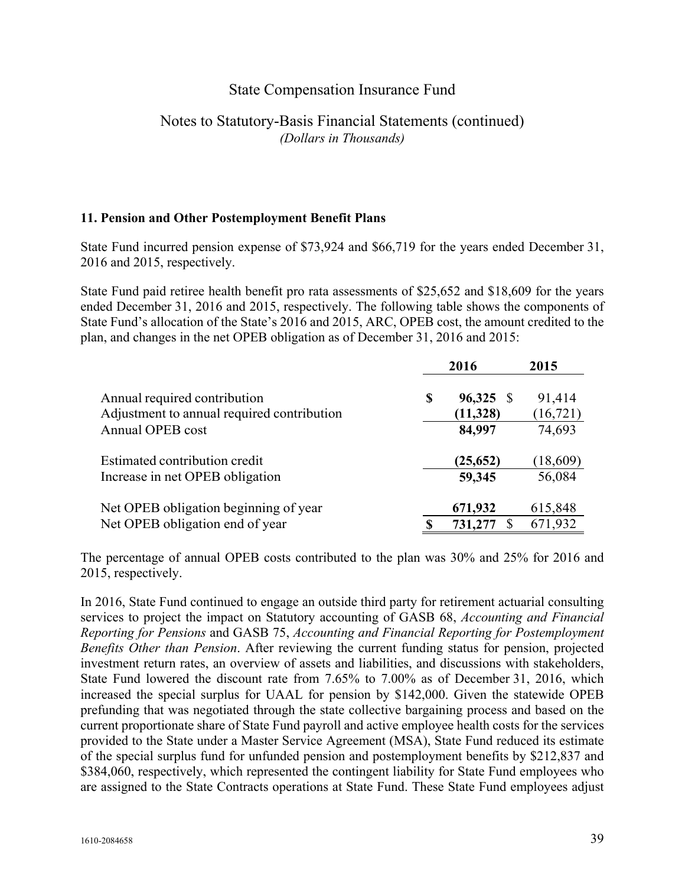# Notes to Statutory-Basis Financial Statements (continued) *(Dollars in Thousands)*

#### **11. Pension and Other Postemployment Benefit Plans**

State Fund incurred pension expense of \$73,924 and \$66,719 for the years ended December 31, 2016 and 2015, respectively.

State Fund paid retiree health benefit pro rata assessments of \$25,652 and \$18,609 for the years ended December 31, 2016 and 2015, respectively. The following table shows the components of State Fund's allocation of the State's 2016 and 2015, ARC, OPEB cost, the amount credited to the plan, and changes in the net OPEB obligation as of December 31, 2016 and 2015:

|                                            | 2016              | 2015      |
|--------------------------------------------|-------------------|-----------|
| Annual required contribution               | \$<br>$96,325$ \$ | 91,414    |
| Adjustment to annual required contribution | (11,328)          | (16, 721) |
| Annual OPEB cost                           | 84,997            | 74,693    |
| Estimated contribution credit              | (25, 652)         | (18,609)  |
| Increase in net OPEB obligation            | 59,345            | 56,084    |
| Net OPEB obligation beginning of year      | 671,932           | 615,848   |
| Net OPEB obligation end of year            | \$<br>731,277     | 671,932   |

The percentage of annual OPEB costs contributed to the plan was 30% and 25% for 2016 and 2015, respectively.

In 2016, State Fund continued to engage an outside third party for retirement actuarial consulting services to project the impact on Statutory accounting of GASB 68, *Accounting and Financial Reporting for Pensions* and GASB 75, *Accounting and Financial Reporting for Postemployment Benefits Other than Pension*. After reviewing the current funding status for pension, projected investment return rates, an overview of assets and liabilities, and discussions with stakeholders, State Fund lowered the discount rate from 7.65% to 7.00% as of December 31, 2016, which increased the special surplus for UAAL for pension by \$142,000. Given the statewide OPEB prefunding that was negotiated through the state collective bargaining process and based on the current proportionate share of State Fund payroll and active employee health costs for the services provided to the State under a Master Service Agreement (MSA), State Fund reduced its estimate of the special surplus fund for unfunded pension and postemployment benefits by \$212,837 and \$384,060, respectively, which represented the contingent liability for State Fund employees who are assigned to the State Contracts operations at State Fund. These State Fund employees adjust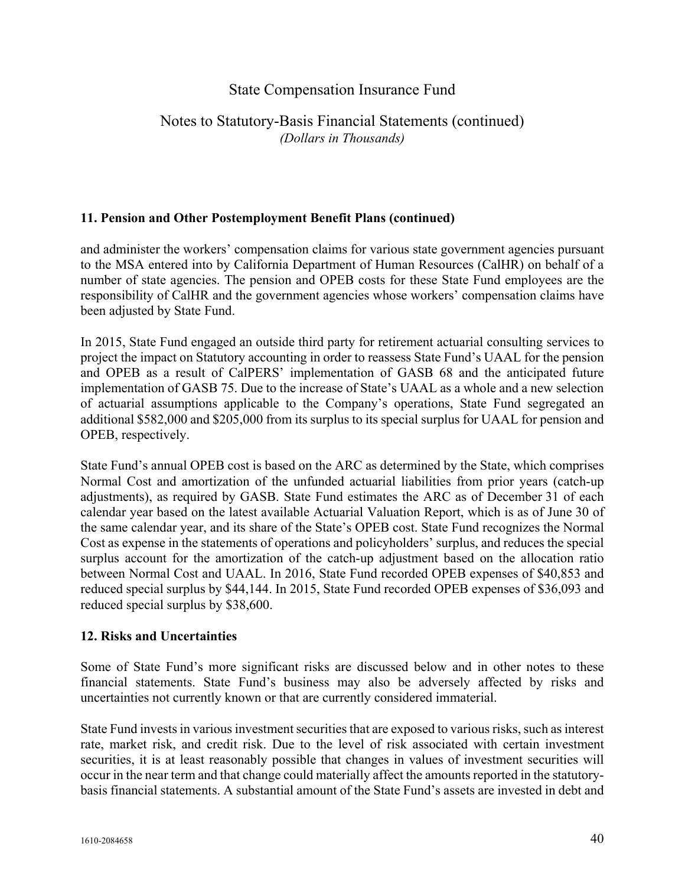# Notes to Statutory-Basis Financial Statements (continued) *(Dollars in Thousands)*

#### **11. Pension and Other Postemployment Benefit Plans (continued)**

and administer the workers' compensation claims for various state government agencies pursuant to the MSA entered into by California Department of Human Resources (CalHR) on behalf of a number of state agencies. The pension and OPEB costs for these State Fund employees are the responsibility of CalHR and the government agencies whose workers' compensation claims have been adjusted by State Fund.

In 2015, State Fund engaged an outside third party for retirement actuarial consulting services to project the impact on Statutory accounting in order to reassess State Fund's UAAL for the pension and OPEB as a result of CalPERS' implementation of GASB 68 and the anticipated future implementation of GASB 75. Due to the increase of State's UAAL as a whole and a new selection of actuarial assumptions applicable to the Company's operations, State Fund segregated an additional \$582,000 and \$205,000 from its surplus to its special surplus for UAAL for pension and OPEB, respectively.

State Fund's annual OPEB cost is based on the ARC as determined by the State, which comprises Normal Cost and amortization of the unfunded actuarial liabilities from prior years (catch-up adjustments), as required by GASB. State Fund estimates the ARC as of December 31 of each calendar year based on the latest available Actuarial Valuation Report, which is as of June 30 of the same calendar year, and its share of the State's OPEB cost. State Fund recognizes the Normal Cost as expense in the statements of operations and policyholders' surplus, and reduces the special surplus account for the amortization of the catch-up adjustment based on the allocation ratio between Normal Cost and UAAL. In 2016, State Fund recorded OPEB expenses of \$40,853 and reduced special surplus by \$44,144. In 2015, State Fund recorded OPEB expenses of \$36,093 and reduced special surplus by \$38,600.

#### **12. Risks and Uncertainties**

Some of State Fund's more significant risks are discussed below and in other notes to these financial statements. State Fund's business may also be adversely affected by risks and uncertainties not currently known or that are currently considered immaterial.

State Fund invests in various investment securities that are exposed to various risks, such as interest rate, market risk, and credit risk. Due to the level of risk associated with certain investment securities, it is at least reasonably possible that changes in values of investment securities will occur in the near term and that change could materially affect the amounts reported in the statutorybasis financial statements. A substantial amount of the State Fund's assets are invested in debt and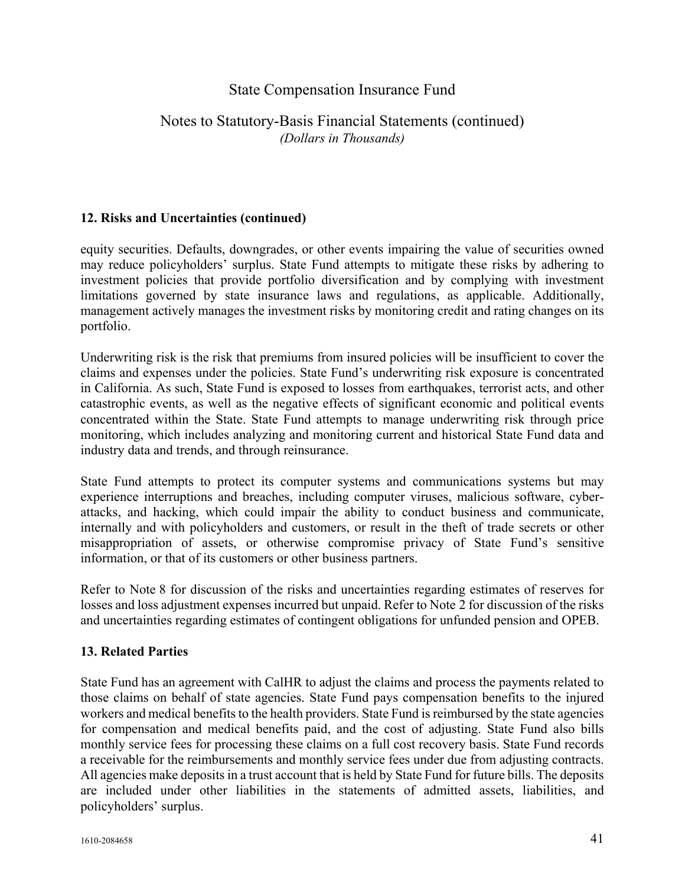# Notes to Statutory-Basis Financial Statements (continued) *(Dollars in Thousands)*

#### **12. Risks and Uncertainties (continued)**

equity securities. Defaults, downgrades, or other events impairing the value of securities owned may reduce policyholders' surplus. State Fund attempts to mitigate these risks by adhering to investment policies that provide portfolio diversification and by complying with investment limitations governed by state insurance laws and regulations, as applicable. Additionally, management actively manages the investment risks by monitoring credit and rating changes on its portfolio.

Underwriting risk is the risk that premiums from insured policies will be insufficient to cover the claims and expenses under the policies. State Fund's underwriting risk exposure is concentrated in California. As such, State Fund is exposed to losses from earthquakes, terrorist acts, and other catastrophic events, as well as the negative effects of significant economic and political events concentrated within the State. State Fund attempts to manage underwriting risk through price monitoring, which includes analyzing and monitoring current and historical State Fund data and industry data and trends, and through reinsurance.

State Fund attempts to protect its computer systems and communications systems but may experience interruptions and breaches, including computer viruses, malicious software, cyberattacks, and hacking, which could impair the ability to conduct business and communicate, internally and with policyholders and customers, or result in the theft of trade secrets or other misappropriation of assets, or otherwise compromise privacy of State Fund's sensitive information, or that of its customers or other business partners.

Refer to Note 8 for discussion of the risks and uncertainties regarding estimates of reserves for losses and loss adjustment expenses incurred but unpaid. Refer to Note 2 for discussion of the risks and uncertainties regarding estimates of contingent obligations for unfunded pension and OPEB.

#### **13. Related Parties**

State Fund has an agreement with CalHR to adjust the claims and process the payments related to those claims on behalf of state agencies. State Fund pays compensation benefits to the injured workers and medical benefits to the health providers. State Fund is reimbursed by the state agencies for compensation and medical benefits paid, and the cost of adjusting. State Fund also bills monthly service fees for processing these claims on a full cost recovery basis. State Fund records a receivable for the reimbursements and monthly service fees under due from adjusting contracts. All agencies make deposits in a trust account that is held by State Fund for future bills. The deposits are included under other liabilities in the statements of admitted assets, liabilities, and policyholders' surplus.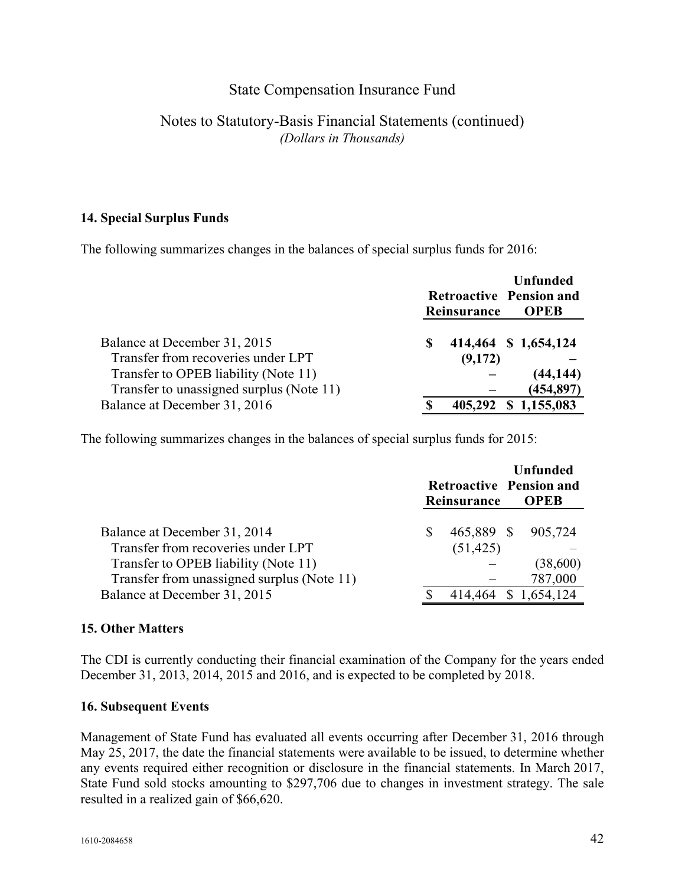# Notes to Statutory-Basis Financial Statements (continued) *(Dollars in Thousands)*

#### **14. Special Surplus Funds**

The following summarizes changes in the balances of special surplus funds for 2016:

|                                          | <b>Retroactive Pension and</b><br>Reinsurance |         |  | <b>Unfunded</b><br><b>OPEB</b> |
|------------------------------------------|-----------------------------------------------|---------|--|--------------------------------|
| Balance at December 31, 2015             | S                                             |         |  | 414,464 \$1,654,124            |
| Transfer from recoveries under LPT       |                                               | (9,172) |  |                                |
| Transfer to OPEB liability (Note 11)     |                                               |         |  | (44, 144)                      |
| Transfer to unassigned surplus (Note 11) |                                               |         |  | (454, 897)                     |
| Balance at December 31, 2016             |                                               |         |  | 405,292 \$ 1,155,083           |

The following summarizes changes in the balances of special surplus funds for 2015:

|                                                                                    |   | Reinsurance             | <b>Unfunded</b><br><b>Retroactive Pension and</b><br><b>OPEB</b> |
|------------------------------------------------------------------------------------|---|-------------------------|------------------------------------------------------------------|
| Balance at December 31, 2014<br>Transfer from recoveries under LPT                 | S | 465,889 \$<br>(51, 425) | 905,724                                                          |
| Transfer to OPEB liability (Note 11)<br>Transfer from unassigned surplus (Note 11) |   |                         | (38,600)<br>787,000                                              |
| Balance at December 31, 2015                                                       |   | 414,464                 | \$1,654,124                                                      |

#### **15. Other Matters**

The CDI is currently conducting their financial examination of the Company for the years ended December 31, 2013, 2014, 2015 and 2016, and is expected to be completed by 2018.

#### **16. Subsequent Events**

Management of State Fund has evaluated all events occurring after December 31, 2016 through May 25, 2017, the date the financial statements were available to be issued, to determine whether any events required either recognition or disclosure in the financial statements. In March 2017, State Fund sold stocks amounting to \$297,706 due to changes in investment strategy. The sale resulted in a realized gain of \$66,620.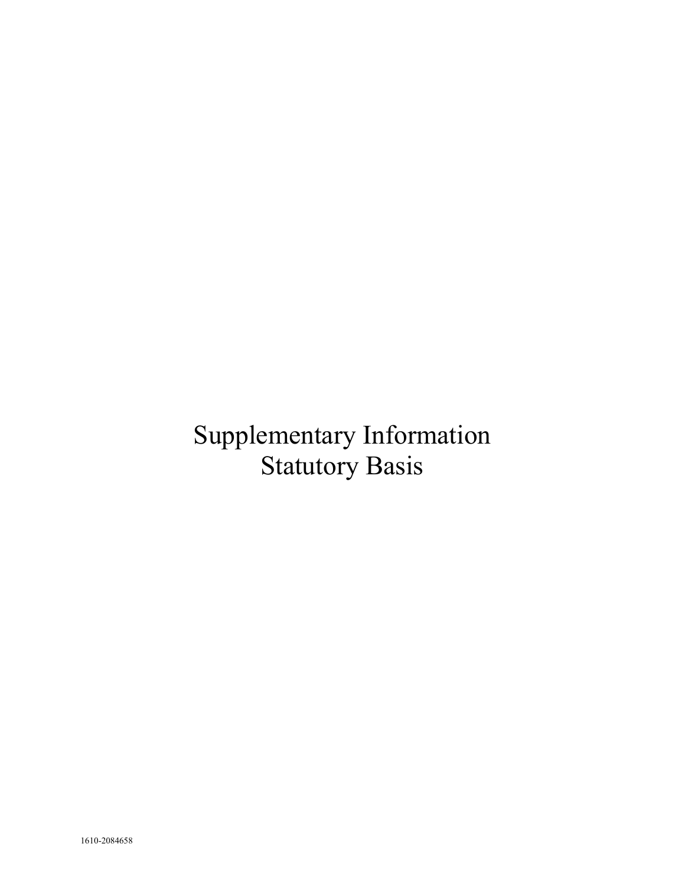# Supplementary Information Statutory Basis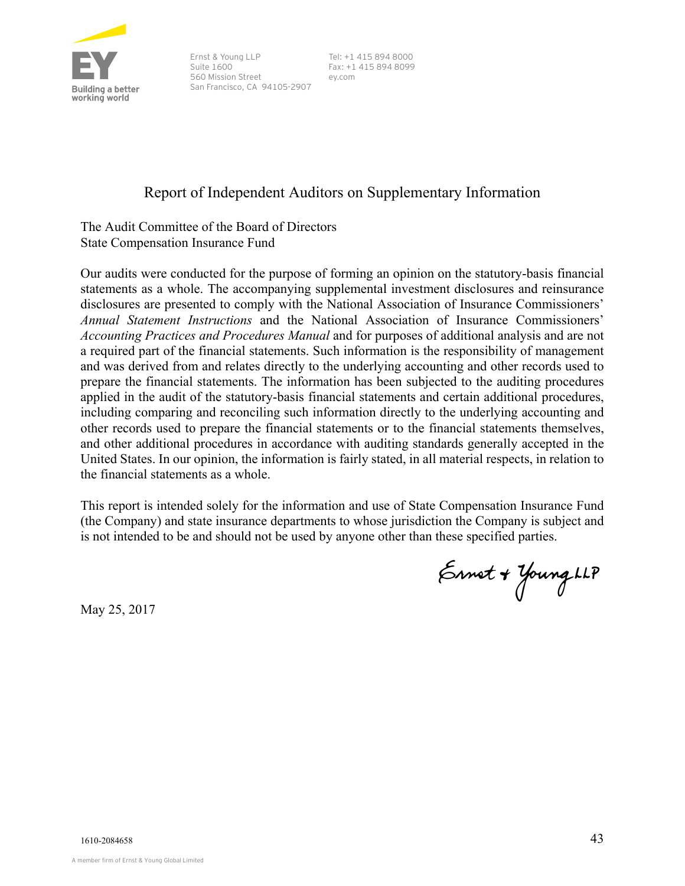

Ernst & Young LLP Suite 1600 560 Mission Street San Francisco, CA 94105-2907

Tel: +1 415 894 8000 Fax: +1 415 894 8099 ey.com

# Report of Independent Auditors on Supplementary Information

The Audit Committee of the Board of Directors State Compensation Insurance Fund

Our audits were conducted for the purpose of forming an opinion on the statutory-basis financial statements as a whole. The accompanying supplemental investment disclosures and reinsurance disclosures are presented to comply with the National Association of Insurance Commissioners' *Annual Statement Instructions* and the National Association of Insurance Commissioners' *Accounting Practices and Procedures Manual* and for purposes of additional analysis and are not a required part of the financial statements. Such information is the responsibility of management and was derived from and relates directly to the underlying accounting and other records used to prepare the financial statements. The information has been subjected to the auditing procedures applied in the audit of the statutory-basis financial statements and certain additional procedures, including comparing and reconciling such information directly to the underlying accounting and other records used to prepare the financial statements or to the financial statements themselves, and other additional procedures in accordance with auditing standards generally accepted in the United States. In our opinion, the information is fairly stated, in all material respects, in relation to the financial statements as a whole.

This report is intended solely for the information and use of State Compensation Insurance Fund (the Company) and state insurance departments to whose jurisdiction the Company is subject and is not intended to be and should not be used by anyone other than these specified parties.

Ennet + Young LLP

May 25, 2017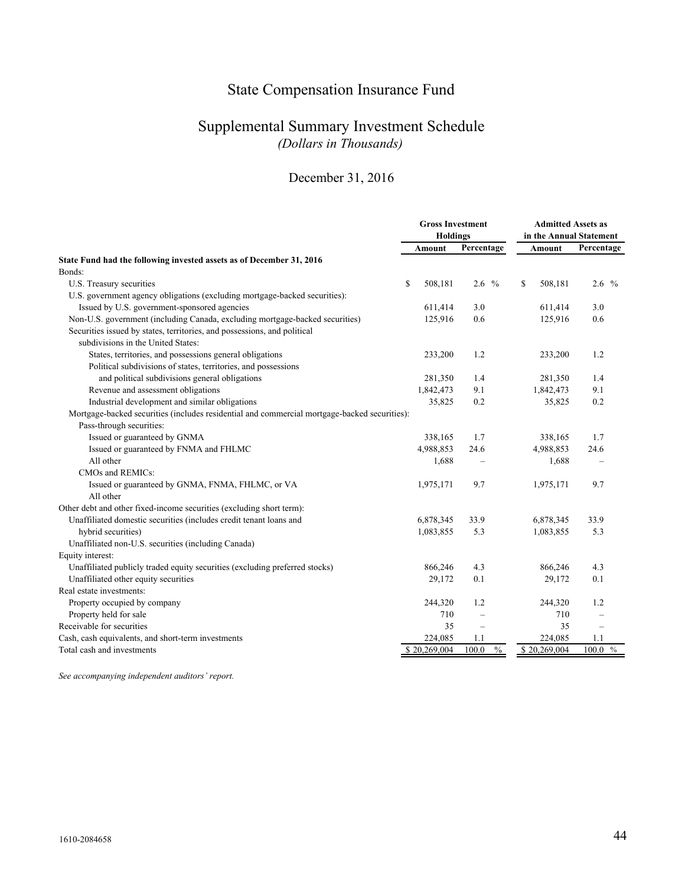# Supplemental Summary Investment Schedule *(Dollars in Thousands)*

# December 31, 2016

|                                                                                              | <b>Gross Investment</b><br><b>Holdings</b> |              |                          | <b>Admitted Assets as</b><br>in the Annual Statement |                          |  |
|----------------------------------------------------------------------------------------------|--------------------------------------------|--------------|--------------------------|------------------------------------------------------|--------------------------|--|
|                                                                                              |                                            | Amount       | Percentage               | Amount                                               | Percentage               |  |
| State Fund had the following invested assets as of December 31, 2016                         |                                            |              |                          |                                                      |                          |  |
| Bonds:                                                                                       |                                            |              |                          |                                                      |                          |  |
| U.S. Treasury securities                                                                     | \$                                         | 508,181      | $2.6\%$                  | S<br>508,181                                         | 2.6 %                    |  |
| U.S. government agency obligations (excluding mortgage-backed securities):                   |                                            |              |                          |                                                      |                          |  |
| Issued by U.S. government-sponsored agencies                                                 |                                            | 611,414      | 3.0                      | 611,414                                              | 3.0                      |  |
| Non-U.S. government (including Canada, excluding mortgage-backed securities)                 |                                            | 125,916      | 0.6                      | 125,916                                              | 0.6                      |  |
| Securities issued by states, territories, and possessions, and political                     |                                            |              |                          |                                                      |                          |  |
| subdivisions in the United States:                                                           |                                            |              |                          |                                                      |                          |  |
| States, territories, and possessions general obligations                                     |                                            | 233,200      | 1.2                      | 233,200                                              | 1.2                      |  |
| Political subdivisions of states, territories, and possessions                               |                                            |              |                          |                                                      |                          |  |
| and political subdivisions general obligations                                               |                                            | 281,350      | 1.4                      | 281,350                                              | 1.4                      |  |
| Revenue and assessment obligations                                                           |                                            | 1,842,473    | 9.1                      | 1,842,473                                            | 9.1                      |  |
| Industrial development and similar obligations                                               |                                            | 35,825       | 0.2                      | 35,825                                               | 0.2                      |  |
| Mortgage-backed securities (includes residential and commercial mortgage-backed securities): |                                            |              |                          |                                                      |                          |  |
| Pass-through securities:                                                                     |                                            |              |                          |                                                      |                          |  |
| Issued or guaranteed by GNMA                                                                 |                                            | 338,165      | 1.7                      | 338,165                                              | 1.7                      |  |
| Issued or guaranteed by FNMA and FHLMC                                                       |                                            | 4,988,853    | 24.6                     | 4,988,853                                            | 24.6                     |  |
| All other                                                                                    |                                            | 1,688        |                          | 1,688                                                |                          |  |
| CMOs and REMICs:                                                                             |                                            |              |                          |                                                      |                          |  |
| Issued or guaranteed by GNMA, FNMA, FHLMC, or VA                                             |                                            | 1,975,171    | 9.7                      | 1,975,171                                            | 9.7                      |  |
| All other                                                                                    |                                            |              |                          |                                                      |                          |  |
| Other debt and other fixed-income securities (excluding short term):                         |                                            |              |                          |                                                      |                          |  |
| Unaffiliated domestic securities (includes credit tenant loans and                           |                                            | 6,878,345    | 33.9                     | 6,878,345                                            | 33.9                     |  |
| hybrid securities)                                                                           |                                            | 1,083,855    | 5.3                      | 1,083,855                                            | 5.3                      |  |
| Unaffiliated non-U.S. securities (including Canada)                                          |                                            |              |                          |                                                      |                          |  |
| Equity interest:                                                                             |                                            |              |                          |                                                      |                          |  |
| Unaffiliated publicly traded equity securities (excluding preferred stocks)                  |                                            | 866,246      | 4.3                      | 866,246                                              | 4.3                      |  |
| Unaffiliated other equity securities                                                         |                                            | 29,172       | 0.1                      | 29,172                                               | 0.1                      |  |
| Real estate investments:                                                                     |                                            |              |                          |                                                      |                          |  |
| Property occupied by company                                                                 |                                            | 244,320      | 1.2                      | 244,320                                              | 1.2                      |  |
| Property held for sale                                                                       |                                            | 710          | $\overline{\phantom{0}}$ | 710                                                  |                          |  |
| Receivable for securities                                                                    |                                            | 35           | $\overline{\phantom{0}}$ | 35                                                   | $\overline{\phantom{0}}$ |  |
| Cash, cash equivalents, and short-term investments                                           |                                            | 224,085      | 1.1                      | 224,085                                              | 1.1                      |  |
| Total cash and investments                                                                   |                                            | \$20,269,004 | $\frac{0}{0}$<br>100.0   | $\overline{$}20,269,004$                             | $100.0\frac{6}{5}$       |  |

*See accompanying independent auditors' report.*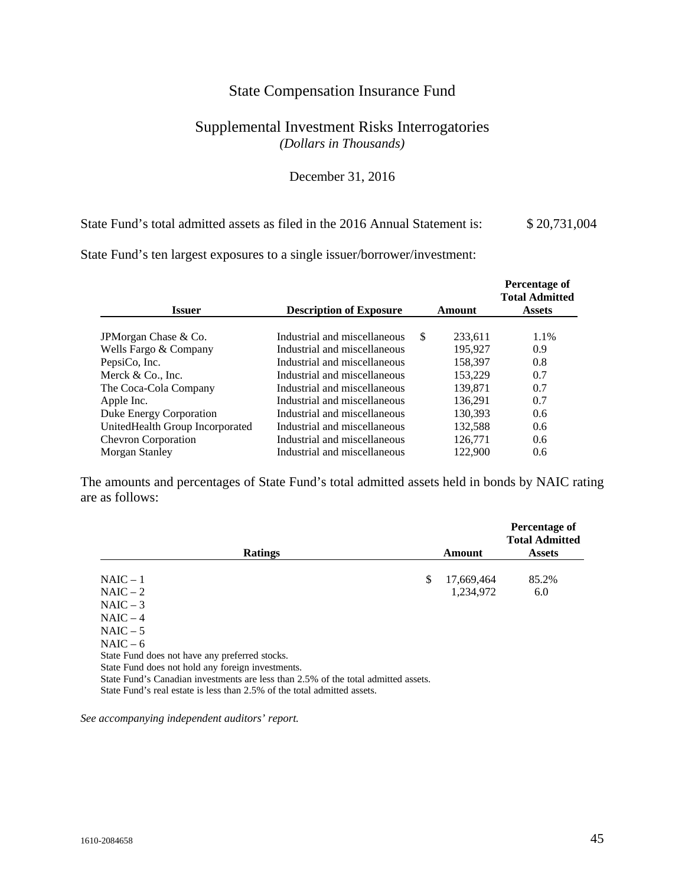# Supplemental Investment Risks Interrogatories *(Dollars in Thousands)*

#### December 31, 2016

#### State Fund's total admitted assets as filed in the 2016 Annual Statement is: \$ 20,731,004

State Fund's ten largest exposures to a single issuer/borrower/investment:

|                                  |                                |     |         | Percentage of<br><b>Total Admitted</b> |
|----------------------------------|--------------------------------|-----|---------|----------------------------------------|
| <b>Issuer</b>                    | <b>Description of Exposure</b> |     | Amount  | <b>Assets</b>                          |
| JPM organ Chase & Co.            | Industrial and miscellaneous   | \$. | 233,611 | 1.1%                                   |
| Wells Fargo & Company            | Industrial and miscellaneous   |     | 195.927 | 0.9                                    |
| PepsiCo, Inc.                    | Industrial and miscellaneous   |     | 158,397 | 0.8                                    |
| Merck $& Co., Inc.$              | Industrial and miscellaneous   |     | 153,229 | 0.7                                    |
| The Coca-Cola Company            | Industrial and miscellaneous   |     | 139,871 | 0.7                                    |
| Apple Inc.                       | Industrial and miscellaneous   |     | 136.291 | 0.7                                    |
| Duke Energy Corporation          | Industrial and miscellaneous   |     | 130,393 | 0.6                                    |
| United Health Group Incorporated | Industrial and miscellaneous   |     | 132,588 | 0.6                                    |
| <b>Chevron Corporation</b>       | Industrial and miscellaneous   |     | 126,771 | 0.6                                    |
| Morgan Stanley                   | Industrial and miscellaneous   |     | 122,900 | 0.6                                    |

The amounts and percentages of State Fund's total admitted assets held in bonds by NAIC rating are as follows:

|              |                |     | Percentage of<br><b>Total Admitted</b> |               |
|--------------|----------------|-----|----------------------------------------|---------------|
|              | <b>Ratings</b> |     | Amount                                 | <b>Assets</b> |
| $NAIC - 1$   |                | \$. | 17,669,464                             | 85.2%         |
| $NAIC - 2$   |                |     | 1,234,972                              | 6.0           |
| $NAIC - 3$   |                |     |                                        |               |
| $\mathbf{v}$ |                |     |                                        |               |

 $NAIC - 4$ 

- $NAIC 5$
- $NAIC 6$

State Fund does not have any preferred stocks.

State Fund does not hold any foreign investments.

State Fund's Canadian investments are less than 2.5% of the total admitted assets.

State Fund's real estate is less than 2.5% of the total admitted assets.

*See accompanying independent auditors' report.*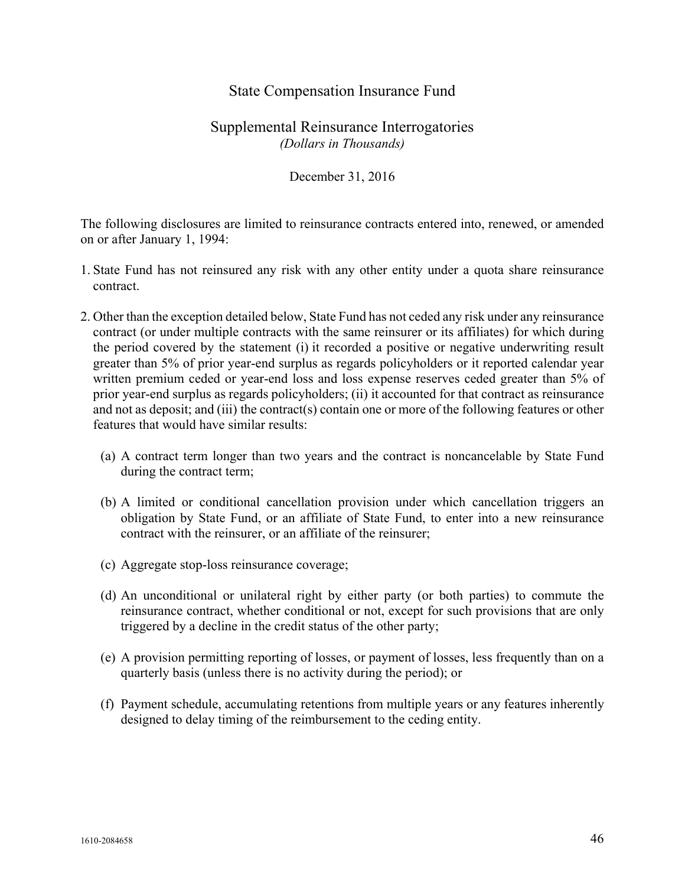#### Supplemental Reinsurance Interrogatories *(Dollars in Thousands)*

#### December 31, 2016

The following disclosures are limited to reinsurance contracts entered into, renewed, or amended on or after January 1, 1994:

- 1. State Fund has not reinsured any risk with any other entity under a quota share reinsurance contract.
- 2. Other than the exception detailed below, State Fund has not ceded any risk under any reinsurance contract (or under multiple contracts with the same reinsurer or its affiliates) for which during the period covered by the statement (i) it recorded a positive or negative underwriting result greater than 5% of prior year-end surplus as regards policyholders or it reported calendar year written premium ceded or year-end loss and loss expense reserves ceded greater than 5% of prior year-end surplus as regards policyholders; (ii) it accounted for that contract as reinsurance and not as deposit; and (iii) the contract(s) contain one or more of the following features or other features that would have similar results:
	- (a) A contract term longer than two years and the contract is noncancelable by State Fund during the contract term;
	- (b) A limited or conditional cancellation provision under which cancellation triggers an obligation by State Fund, or an affiliate of State Fund, to enter into a new reinsurance contract with the reinsurer, or an affiliate of the reinsurer;
	- (c) Aggregate stop-loss reinsurance coverage;
	- (d) An unconditional or unilateral right by either party (or both parties) to commute the reinsurance contract, whether conditional or not, except for such provisions that are only triggered by a decline in the credit status of the other party;
	- (e) A provision permitting reporting of losses, or payment of losses, less frequently than on a quarterly basis (unless there is no activity during the period); or
	- (f) Payment schedule, accumulating retentions from multiple years or any features inherently designed to delay timing of the reimbursement to the ceding entity.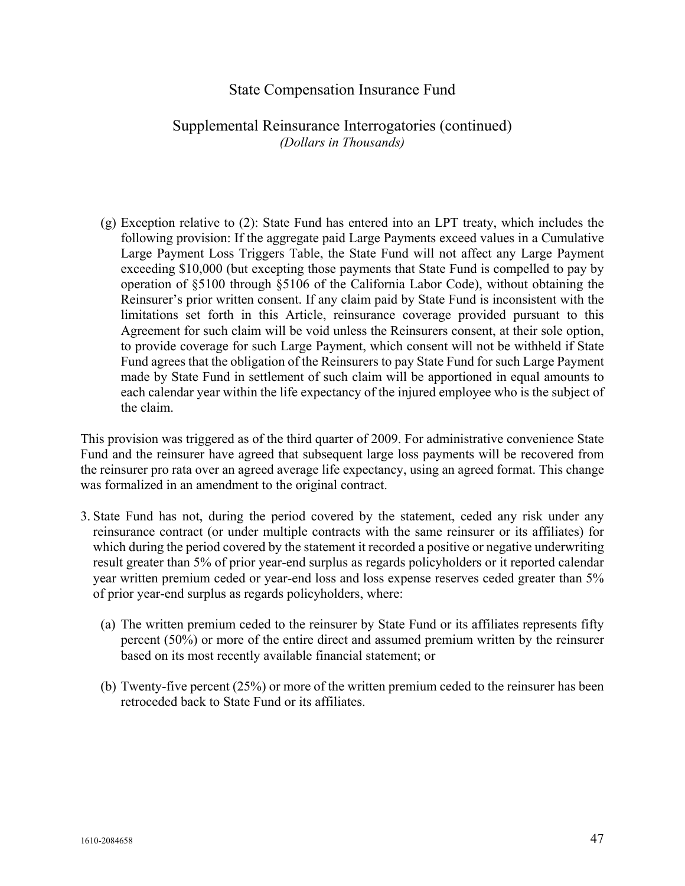# Supplemental Reinsurance Interrogatories (continued) *(Dollars in Thousands)*

(g) Exception relative to (2): State Fund has entered into an LPT treaty, which includes the following provision: If the aggregate paid Large Payments exceed values in a Cumulative Large Payment Loss Triggers Table, the State Fund will not affect any Large Payment exceeding \$10,000 (but excepting those payments that State Fund is compelled to pay by operation of §5100 through §5106 of the California Labor Code), without obtaining the Reinsurer's prior written consent. If any claim paid by State Fund is inconsistent with the limitations set forth in this Article, reinsurance coverage provided pursuant to this Agreement for such claim will be void unless the Reinsurers consent, at their sole option, to provide coverage for such Large Payment, which consent will not be withheld if State Fund agrees that the obligation of the Reinsurers to pay State Fund for such Large Payment made by State Fund in settlement of such claim will be apportioned in equal amounts to each calendar year within the life expectancy of the injured employee who is the subject of the claim.

This provision was triggered as of the third quarter of 2009. For administrative convenience State Fund and the reinsurer have agreed that subsequent large loss payments will be recovered from the reinsurer pro rata over an agreed average life expectancy, using an agreed format. This change was formalized in an amendment to the original contract.

- 3. State Fund has not, during the period covered by the statement, ceded any risk under any reinsurance contract (or under multiple contracts with the same reinsurer or its affiliates) for which during the period covered by the statement it recorded a positive or negative underwriting result greater than 5% of prior year-end surplus as regards policyholders or it reported calendar year written premium ceded or year-end loss and loss expense reserves ceded greater than 5% of prior year-end surplus as regards policyholders, where:
	- (a) The written premium ceded to the reinsurer by State Fund or its affiliates represents fifty percent (50%) or more of the entire direct and assumed premium written by the reinsurer based on its most recently available financial statement; or
	- (b) Twenty-five percent (25%) or more of the written premium ceded to the reinsurer has been retroceded back to State Fund or its affiliates.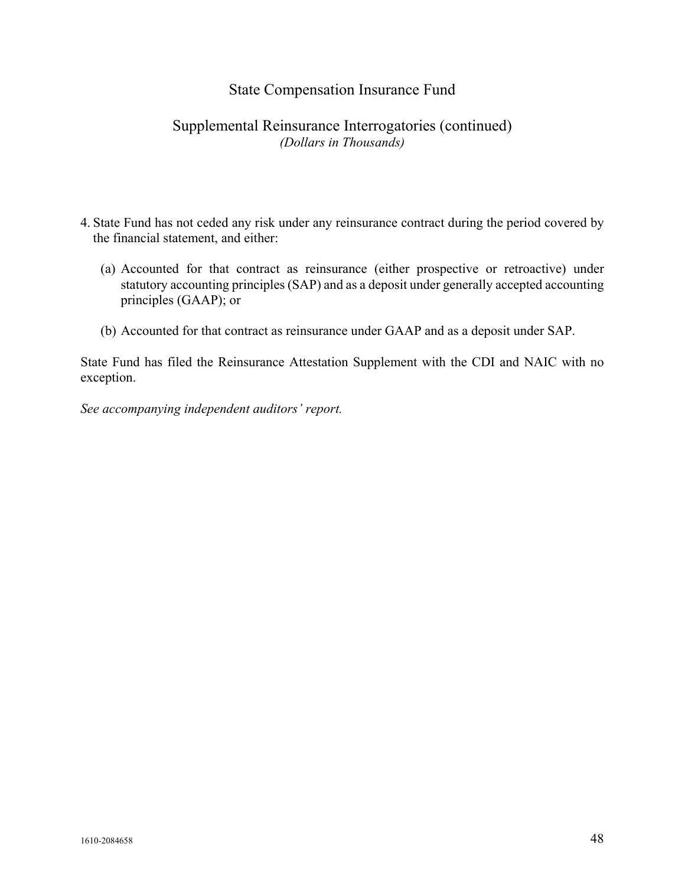## Supplemental Reinsurance Interrogatories (continued) *(Dollars in Thousands)*

- 4. State Fund has not ceded any risk under any reinsurance contract during the period covered by the financial statement, and either:
	- (a) Accounted for that contract as reinsurance (either prospective or retroactive) under statutory accounting principles (SAP) and as a deposit under generally accepted accounting principles (GAAP); or
	- (b) Accounted for that contract as reinsurance under GAAP and as a deposit under SAP.

State Fund has filed the Reinsurance Attestation Supplement with the CDI and NAIC with no exception.

*See accompanying independent auditors' report.*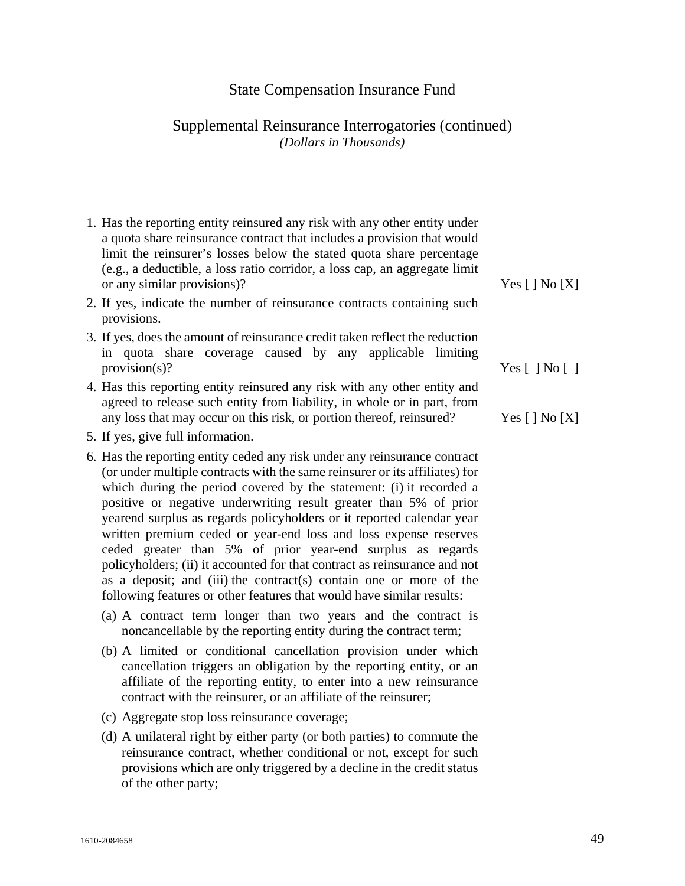#### Supplemental Reinsurance Interrogatories (continued) *(Dollars in Thousands)*

- 1. Has the reporting entity reinsured any risk with any other entity under a quota share reinsurance contract that includes a provision that would limit the reinsurer's losses below the stated quota share percentage (e.g., a deductible, a loss ratio corridor, a loss cap, an aggregate limit or any similar provisions)? Yes [ ] No [X]
- 2. If yes, indicate the number of reinsurance contracts containing such provisions.
- 3. If yes, does the amount of reinsurance credit taken reflect the reduction in quota share coverage caused by any applicable limiting  $\text{provision}(s)$ ?  $\text{Yes} \begin{bmatrix} \end{bmatrix} \text{No} \begin{bmatrix} \end{bmatrix}$
- 4. Has this reporting entity reinsured any risk with any other entity and agreed to release such entity from liability, in whole or in part, from any loss that may occur on this risk, or portion thereof, reinsured? Yes [ ] No [X]
- 5. If yes, give full information.
- 6. Has the reporting entity ceded any risk under any reinsurance contract (or under multiple contracts with the same reinsurer or its affiliates) for which during the period covered by the statement: (i) it recorded a positive or negative underwriting result greater than 5% of prior yearend surplus as regards policyholders or it reported calendar year written premium ceded or year-end loss and loss expense reserves ceded greater than 5% of prior year-end surplus as regards policyholders; (ii) it accounted for that contract as reinsurance and not as a deposit; and (iii) the contract(s) contain one or more of the following features or other features that would have similar results:
	- (a) A contract term longer than two years and the contract is noncancellable by the reporting entity during the contract term;
	- (b) A limited or conditional cancellation provision under which cancellation triggers an obligation by the reporting entity, or an affiliate of the reporting entity, to enter into a new reinsurance contract with the reinsurer, or an affiliate of the reinsurer;
	- (c) Aggregate stop loss reinsurance coverage;
	- (d) A unilateral right by either party (or both parties) to commute the reinsurance contract, whether conditional or not, except for such provisions which are only triggered by a decline in the credit status of the other party;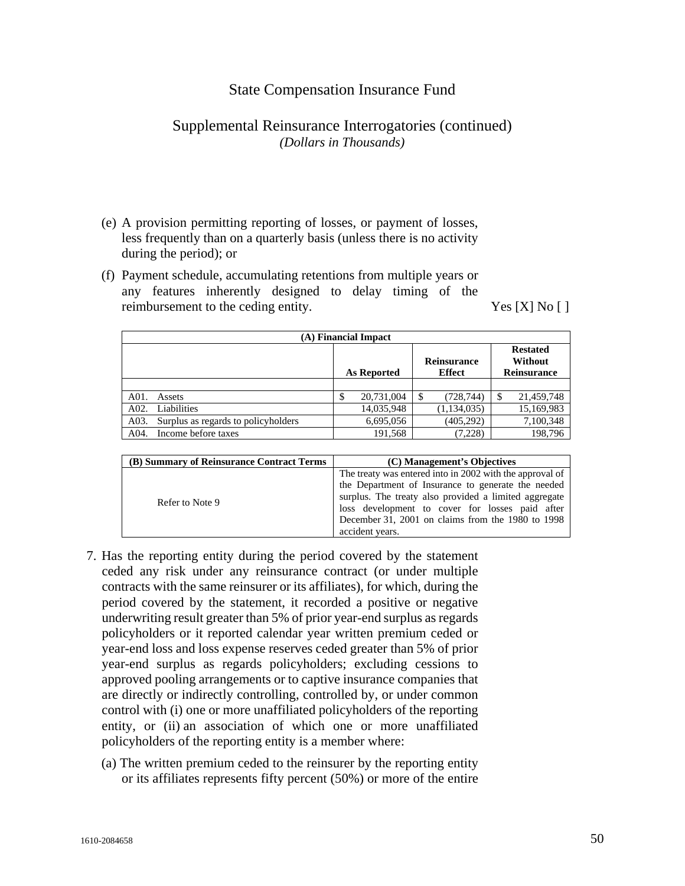## Supplemental Reinsurance Interrogatories (continued) *(Dollars in Thousands)*

- (e) A provision permitting reporting of losses, or payment of losses, less frequently than on a quarterly basis (unless there is no activity during the period); or
- (f) Payment schedule, accumulating retentions from multiple years or any features inherently designed to delay timing of the reimbursement to the ceding entity.

| Yes $[X]$ No $[$ $]$ |  |  |  |  |
|----------------------|--|--|--|--|
|----------------------|--|--|--|--|

|                 | (A) Financial Impact                |    |             |  |                              |                        |
|-----------------|-------------------------------------|----|-------------|--|------------------------------|------------------------|
|                 |                                     |    |             |  |                              | <b>Restated</b>        |
|                 |                                     |    | As Reported |  | Reinsurance<br><b>Effect</b> | Without<br>Reinsurance |
|                 |                                     |    |             |  |                              |                        |
| A <sub>01</sub> | Assets                              | \$ | 20,731,004  |  | (728,744)                    | 21,459,748             |
| A02.            | Liabilities                         |    | 14,035,948  |  | (1,134,035)                  | 15,169,983             |
| A03.            | Surplus as regards to policyholders |    | 6,695,056   |  | (405, 292)                   | 7,100,348              |
| A04.            | Income before taxes                 |    | 191,568     |  | (7,228)                      | 198,796                |

| (B) Summary of Reinsurance Contract Terms | (C) Management's Objectives                                                                                                                                                                                                                                                                        |  |  |  |
|-------------------------------------------|----------------------------------------------------------------------------------------------------------------------------------------------------------------------------------------------------------------------------------------------------------------------------------------------------|--|--|--|
| Refer to Note 9                           | The treaty was entered into in 2002 with the approval of<br>the Department of Insurance to generate the needed<br>surplus. The treaty also provided a limited aggregate<br>loss development to cover for losses paid after<br>December 31, 2001 on claims from the 1980 to 1998<br>accident years. |  |  |  |

- 7. Has the reporting entity during the period covered by the statement ceded any risk under any reinsurance contract (or under multiple contracts with the same reinsurer or its affiliates), for which, during the period covered by the statement, it recorded a positive or negative underwriting result greater than 5% of prior year-end surplus as regards policyholders or it reported calendar year written premium ceded or year-end loss and loss expense reserves ceded greater than 5% of prior year-end surplus as regards policyholders; excluding cessions to approved pooling arrangements or to captive insurance companies that are directly or indirectly controlling, controlled by, or under common control with (i) one or more unaffiliated policyholders of the reporting entity, or (ii) an association of which one or more unaffiliated policyholders of the reporting entity is a member where:
	- (a) The written premium ceded to the reinsurer by the reporting entity or its affiliates represents fifty percent (50%) or more of the entire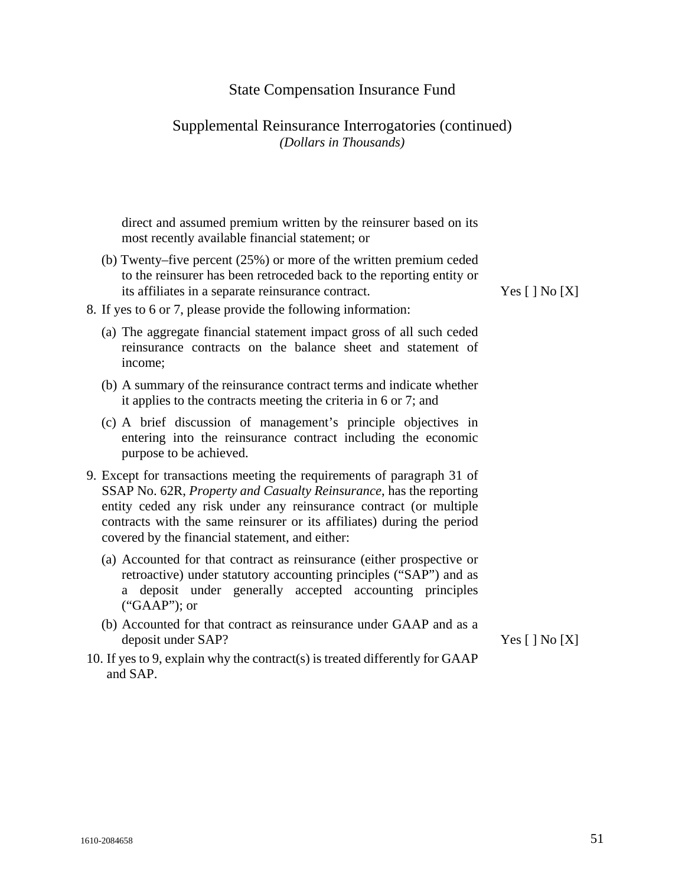#### Supplemental Reinsurance Interrogatories (continued) *(Dollars in Thousands)*

direct and assumed premium written by the reinsurer based on its most recently available financial statement; or

- (b) Twenty–five percent (25%) or more of the written premium ceded to the reinsurer has been retroceded back to the reporting entity or its affiliates in a separate reinsurance contract. Yes [ ] No [X]
- 8. If yes to 6 or 7, please provide the following information:
	- (a) The aggregate financial statement impact gross of all such ceded reinsurance contracts on the balance sheet and statement of income;
	- (b) A summary of the reinsurance contract terms and indicate whether it applies to the contracts meeting the criteria in 6 or 7; and
	- (c) A brief discussion of management's principle objectives in entering into the reinsurance contract including the economic purpose to be achieved.
- 9. Except for transactions meeting the requirements of paragraph 31 of SSAP No. 62R, *Property and Casualty Reinsurance*, has the reporting entity ceded any risk under any reinsurance contract (or multiple contracts with the same reinsurer or its affiliates) during the period covered by the financial statement, and either:
	- (a) Accounted for that contract as reinsurance (either prospective or retroactive) under statutory accounting principles ("SAP") and as a deposit under generally accepted accounting principles ("GAAP"); or
	- (b) Accounted for that contract as reinsurance under GAAP and as a deposit under SAP? Yes [ ] No [X]
- 10. If yes to 9, explain why the contract(s) is treated differently for GAAP and SAP.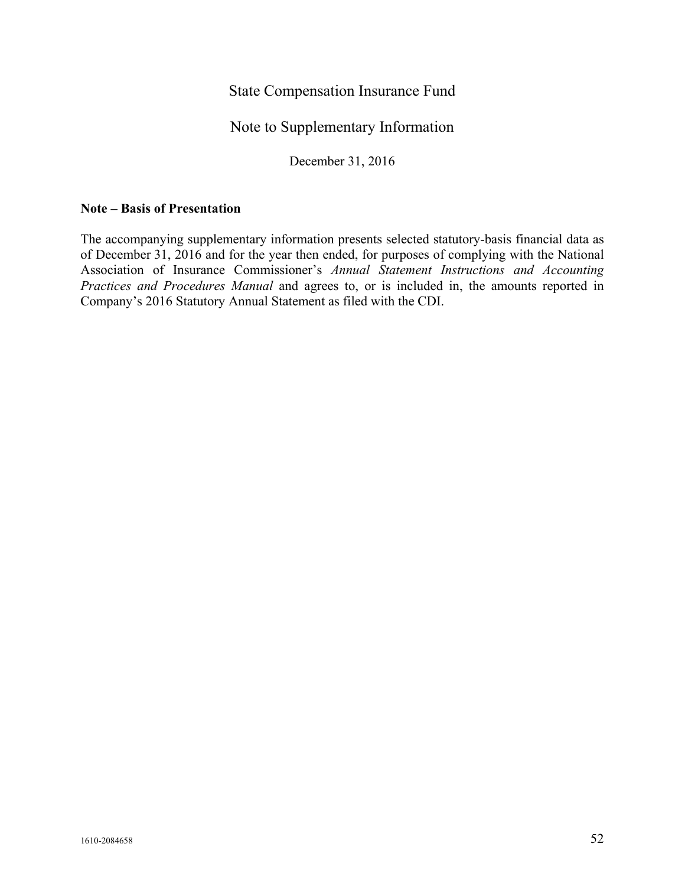# Note to Supplementary Information

December 31, 2016

#### **Note – Basis of Presentation**

The accompanying supplementary information presents selected statutory-basis financial data as of December 31, 2016 and for the year then ended, for purposes of complying with the National Association of Insurance Commissioner's *Annual Statement Instructions and Accounting Practices and Procedures Manual* and agrees to, or is included in, the amounts reported in Company's 2016 Statutory Annual Statement as filed with the CDI.